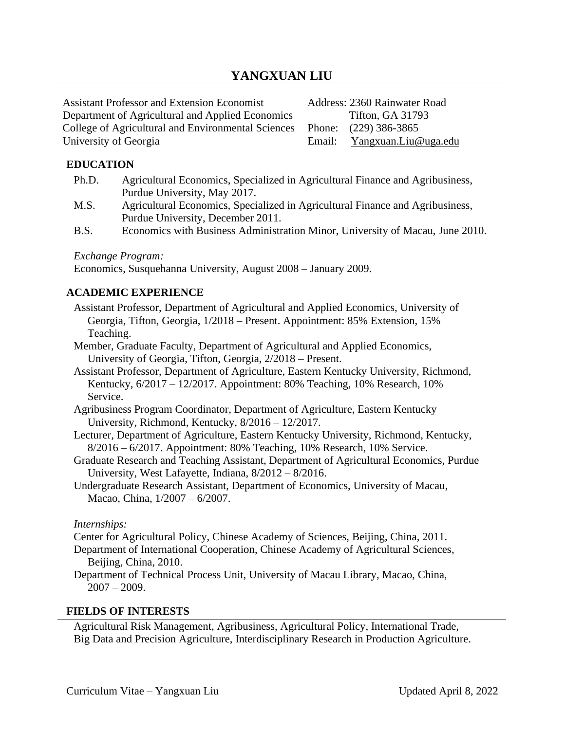# **YANGXUAN LIU**

| <b>Assistant Professor and Extension Economist</b> | Address: 2360 Rainwater Road |
|----------------------------------------------------|------------------------------|
| Department of Agricultural and Applied Economics   | <b>Tifton, GA 31793</b>      |
| College of Agricultural and Environmental Sciences | Phone: (229) 386-3865        |
| University of Georgia                              | Email: Yangxuan.Liu@uga.edu  |

#### **EDUCATION**

| Ph.D.        | Agricultural Economics, Specialized in Agricultural Finance and Agribusiness,                                                                                   |
|--------------|-----------------------------------------------------------------------------------------------------------------------------------------------------------------|
|              | Purdue University, May 2017.                                                                                                                                    |
| M.S.         | Agricultural Economics, Specialized in Agricultural Finance and Agribusiness,<br>Purdue University, December 2011.                                              |
| B.S.         | Economics with Business Administration Minor, University of Macau, June 2010.                                                                                   |
|              | Exchange Program:                                                                                                                                               |
|              | Economics, Susquehanna University, August 2008 - January 2009.                                                                                                  |
|              | <b>ACADEMIC EXPERIENCE</b>                                                                                                                                      |
|              | Assistant Professor, Department of Agricultural and Applied Economics, University of                                                                            |
|              | Georgia, Tifton, Georgia, 1/2018 – Present. Appointment: 85% Extension, 15%                                                                                     |
| Teaching.    |                                                                                                                                                                 |
|              | Member, Graduate Faculty, Department of Agricultural and Applied Economics,                                                                                     |
|              | University of Georgia, Tifton, Georgia, 2/2018 – Present.                                                                                                       |
|              | Assistant Professor, Department of Agriculture, Eastern Kentucky University, Richmond,                                                                          |
|              | Kentucky, 6/2017 - 12/2017. Appointment: 80% Teaching, 10% Research, 10%                                                                                        |
| Service.     |                                                                                                                                                                 |
|              | Agribusiness Program Coordinator, Department of Agriculture, Eastern Kentucky                                                                                   |
|              | University, Richmond, Kentucky, 8/2016 - 12/2017.                                                                                                               |
|              | Lecturer, Department of Agriculture, Eastern Kentucky University, Richmond, Kentucky,<br>8/2016 - 6/2017. Appointment: 80% Teaching, 10% Research, 10% Service. |
|              | Graduate Research and Teaching Assistant, Department of Agricultural Economics, Purdue<br>University, West Lafayette, Indiana, 8/2012 - 8/2016.                 |
|              | Undergraduate Research Assistant, Department of Economics, University of Macau,                                                                                 |
|              | Macao, China, 1/2007 - 6/2007.                                                                                                                                  |
| Internships: |                                                                                                                                                                 |
|              | Center for Agricultural Policy, Chinese Academy of Sciences, Beijing, China, 2011.                                                                              |
|              | Department of International Cooperation, Chinese Academy of Agricultural Sciences,<br>Beijing, China, 2010.                                                     |
|              | Department of Technical Process Unit, University of Macau Library, Macao, China,<br>$2007 - 2009.$                                                              |

#### **FIELDS OF INTERESTS**

Agricultural Risk Management, Agribusiness, Agricultural Policy, International Trade, Big Data and Precision Agriculture, Interdisciplinary Research in Production Agriculture.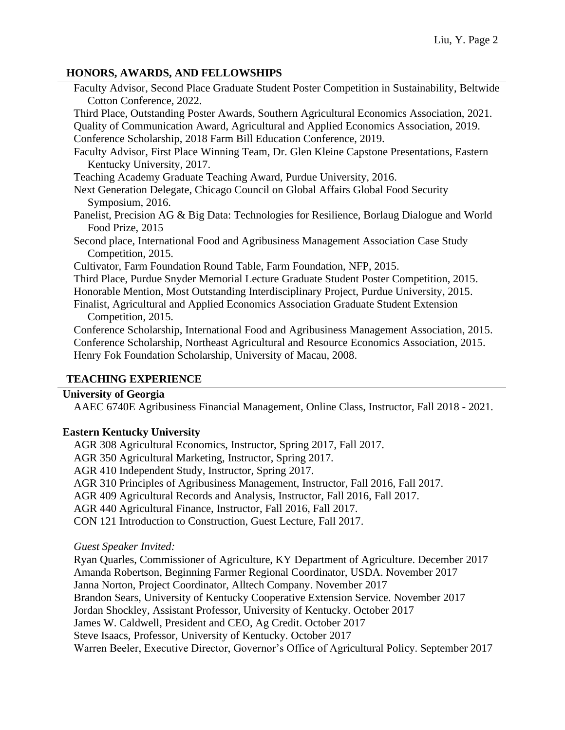### **HONORS, AWARDS, AND FELLOWSHIPS**

| Faculty Advisor, Second Place Graduate Student Poster Competition in Sustainability, Beltwide |
|-----------------------------------------------------------------------------------------------|
| Cotton Conference, 2022.                                                                      |
| Third Place, Outstanding Poster Awards, Southern Agricultural Economics Association, 2021.    |
| Quality of Communication Award, Agricultural and Applied Economics Association, 2019.         |
| Conference Scholarship, 2018 Farm Bill Education Conference, 2019.                            |
| Faculty Advisor, First Place Winning Team, Dr. Glen Kleine Capstone Presentations, Eastern    |
| Kentucky University, 2017.                                                                    |
| Teaching Academy Graduate Teaching Award, Purdue University, 2016.                            |
| Next Generation Delegate, Chicago Council on Global Affairs Global Food Security              |
| Symposium, 2016.                                                                              |
| Panelist, Precision AG & Big Data: Technologies for Resilience, Borlaug Dialogue and World    |
| Food Prize, 2015                                                                              |
| Second place, International Food and Agribusiness Management Association Case Study           |
| Competition, 2015.                                                                            |
| Cultivator, Farm Foundation Round Table, Farm Foundation, NFP, 2015.                          |
| Third Place, Purdue Snyder Memorial Lecture Graduate Student Poster Competition, 2015.        |
| Honorable Mention, Most Outstanding Interdisciplinary Project, Purdue University, 2015.       |
| Finalist, Agricultural and Applied Economics Association Graduate Student Extension           |
| Competition, 2015.                                                                            |
| Conference Scholarship, International Food and Agribusiness Management Association, 2015.     |
| Conference Scholarship, Northeast Agricultural and Resource Economics Association, 2015.      |
| Henry Fok Foundation Scholarship, University of Macau, 2008.                                  |
|                                                                                               |

#### **TEACHING EXPERIENCE**

### **University of Georgia**

AAEC 6740E Agribusiness Financial Management, Online Class, Instructor, Fall 2018 - 2021.

#### **Eastern Kentucky University**

AGR 308 Agricultural Economics, Instructor, Spring 2017, Fall 2017.

AGR 350 Agricultural Marketing, Instructor, Spring 2017.

AGR 410 Independent Study, Instructor, Spring 2017.

AGR 310 Principles of Agribusiness Management, Instructor, Fall 2016, Fall 2017.

AGR 409 Agricultural Records and Analysis, Instructor, Fall 2016, Fall 2017.

AGR 440 Agricultural Finance, Instructor, Fall 2016, Fall 2017.

CON 121 Introduction to Construction, Guest Lecture, Fall 2017.

*Guest Speaker Invited:*

Ryan Quarles, Commissioner of Agriculture, KY Department of Agriculture. December 2017 Amanda Robertson, Beginning Farmer Regional Coordinator, USDA. November 2017 Janna Norton, Project Coordinator, Alltech Company. November 2017 Brandon Sears, University of Kentucky Cooperative Extension Service. November 2017 Jordan Shockley, Assistant Professor, University of Kentucky. October 2017 James W. Caldwell, President and CEO, Ag Credit. October 2017 Steve Isaacs, Professor, University of Kentucky. October 2017 Warren Beeler, Executive Director, Governor's Office of Agricultural Policy. September 2017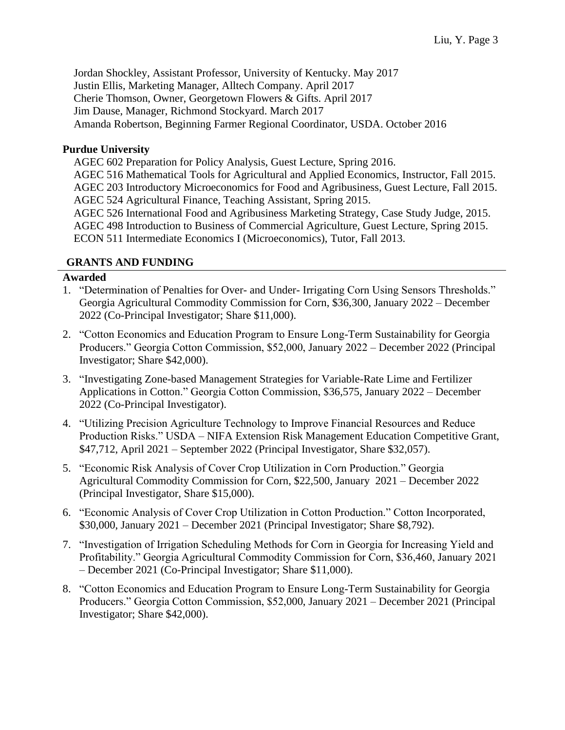Jordan Shockley, Assistant Professor, University of Kentucky. May 2017 Justin Ellis, Marketing Manager, Alltech Company. April 2017 Cherie Thomson, Owner, Georgetown Flowers & Gifts. April 2017 Jim Dause, Manager, Richmond Stockyard. March 2017 Amanda Robertson, Beginning Farmer Regional Coordinator, USDA. October 2016

### **Purdue University**

AGEC 602 Preparation for Policy Analysis, Guest Lecture, Spring 2016. AGEC 516 Mathematical Tools for Agricultural and Applied Economics, Instructor, Fall 2015. AGEC 203 Introductory Microeconomics for Food and Agribusiness, Guest Lecture, Fall 2015. AGEC 524 Agricultural Finance, Teaching Assistant, Spring 2015. AGEC 526 International Food and Agribusiness Marketing Strategy, Case Study Judge, 2015. AGEC 498 Introduction to Business of Commercial Agriculture, Guest Lecture, Spring 2015. ECON 511 Intermediate Economics I (Microeconomics), Tutor, Fall 2013.

#### **GRANTS AND FUNDING**

### **Awarded**

- 1. "Determination of Penalties for Over- and Under- Irrigating Corn Using Sensors Thresholds." Georgia Agricultural Commodity Commission for Corn, \$36,300, January 2022 – December 2022 (Co-Principal Investigator; Share \$11,000).
- 2. "Cotton Economics and Education Program to Ensure Long-Term Sustainability for Georgia Producers." Georgia Cotton Commission, \$52,000, January 2022 – December 2022 (Principal Investigator; Share \$42,000).
- 3. "Investigating Zone-based Management Strategies for Variable-Rate Lime and Fertilizer Applications in Cotton." Georgia Cotton Commission, \$36,575, January 2022 – December 2022 (Co-Principal Investigator).
- 4. "Utilizing Precision Agriculture Technology to Improve Financial Resources and Reduce Production Risks." USDA – NIFA Extension Risk Management Education Competitive Grant, \$47,712, April 2021 – September 2022 (Principal Investigator, Share \$32,057).
- 5. "Economic Risk Analysis of Cover Crop Utilization in Corn Production." Georgia Agricultural Commodity Commission for Corn, \$22,500, January 2021 – December 2022 (Principal Investigator, Share \$15,000).
- 6. "Economic Analysis of Cover Crop Utilization in Cotton Production." Cotton Incorporated, \$30,000, January 2021 – December 2021 (Principal Investigator; Share \$8,792).
- 7. "Investigation of Irrigation Scheduling Methods for Corn in Georgia for Increasing Yield and Profitability." Georgia Agricultural Commodity Commission for Corn, \$36,460, January 2021 – December 2021 (Co-Principal Investigator; Share \$11,000).
- 8. "Cotton Economics and Education Program to Ensure Long-Term Sustainability for Georgia Producers." Georgia Cotton Commission, \$52,000, January 2021 – December 2021 (Principal Investigator; Share \$42,000).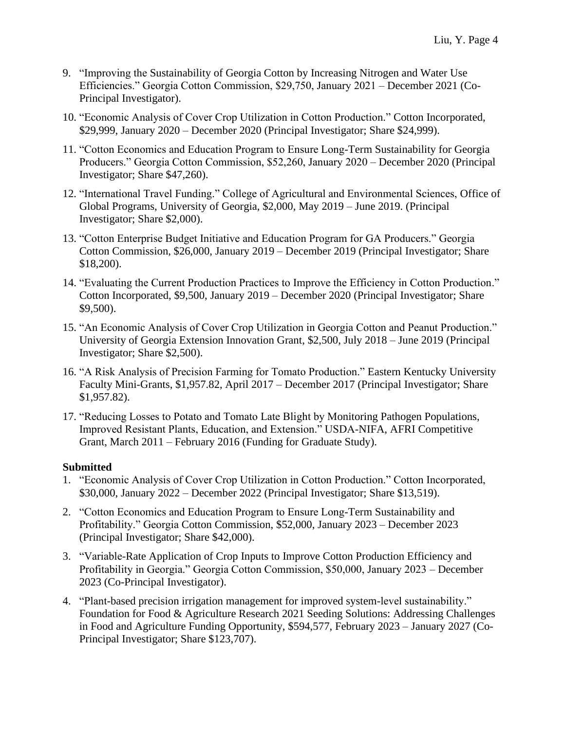- 9. "Improving the Sustainability of Georgia Cotton by Increasing Nitrogen and Water Use Efficiencies." Georgia Cotton Commission, \$29,750, January 2021 – December 2021 (Co-Principal Investigator).
- 10. "Economic Analysis of Cover Crop Utilization in Cotton Production." Cotton Incorporated, \$29,999, January 2020 – December 2020 (Principal Investigator; Share \$24,999).
- 11. "Cotton Economics and Education Program to Ensure Long-Term Sustainability for Georgia Producers." Georgia Cotton Commission, \$52,260, January 2020 – December 2020 (Principal Investigator; Share \$47,260).
- 12. "International Travel Funding." College of Agricultural and Environmental Sciences, Office of Global Programs, University of Georgia, \$2,000, May 2019 – June 2019. (Principal Investigator; Share \$2,000).
- 13. "Cotton Enterprise Budget Initiative and Education Program for GA Producers." Georgia Cotton Commission, \$26,000, January 2019 – December 2019 (Principal Investigator; Share \$18,200).
- 14. "Evaluating the Current Production Practices to Improve the Efficiency in Cotton Production." Cotton Incorporated, \$9,500, January 2019 – December 2020 (Principal Investigator; Share \$9,500).
- 15. "An Economic Analysis of Cover Crop Utilization in Georgia Cotton and Peanut Production." University of Georgia Extension Innovation Grant, \$2,500, July 2018 – June 2019 (Principal Investigator; Share \$2,500).
- 16. "A Risk Analysis of Precision Farming for Tomato Production." Eastern Kentucky University Faculty Mini-Grants, \$1,957.82, April 2017 – December 2017 (Principal Investigator; Share \$1,957.82).
- 17. "Reducing Losses to Potato and Tomato Late Blight by Monitoring Pathogen Populations, Improved Resistant Plants, Education, and Extension." USDA-NIFA, AFRI Competitive Grant, March 2011 – February 2016 (Funding for Graduate Study).

## **Submitted**

- 1. "Economic Analysis of Cover Crop Utilization in Cotton Production." Cotton Incorporated, \$30,000, January 2022 – December 2022 (Principal Investigator; Share \$13,519).
- 2. "Cotton Economics and Education Program to Ensure Long-Term Sustainability and Profitability." Georgia Cotton Commission, \$52,000, January 2023 – December 2023 (Principal Investigator; Share \$42,000).
- 3. "Variable-Rate Application of Crop Inputs to Improve Cotton Production Efficiency and Profitability in Georgia." Georgia Cotton Commission, \$50,000, January 2023 – December 2023 (Co-Principal Investigator).
- 4. "Plant-based precision irrigation management for improved system-level sustainability." Foundation for Food & Agriculture Research 2021 Seeding Solutions: Addressing Challenges in Food and Agriculture Funding Opportunity, \$594,577, February 2023 – January 2027 (Co-Principal Investigator; Share \$123,707).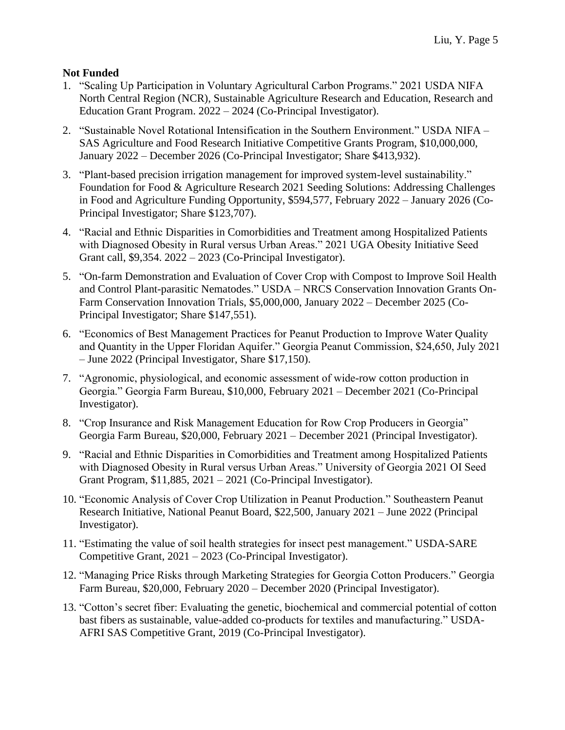## **Not Funded**

- 1. "Scaling Up Participation in Voluntary Agricultural Carbon Programs." 2021 USDA NIFA North Central Region (NCR), Sustainable Agriculture Research and Education, Research and Education Grant Program. 2022 – 2024 (Co-Principal Investigator).
- 2. "Sustainable Novel Rotational Intensification in the Southern Environment." USDA NIFA SAS Agriculture and Food Research Initiative Competitive Grants Program, \$10,000,000, January 2022 – December 2026 (Co-Principal Investigator; Share \$413,932).
- 3. "Plant-based precision irrigation management for improved system-level sustainability." Foundation for Food & Agriculture Research 2021 Seeding Solutions: Addressing Challenges in Food and Agriculture Funding Opportunity, \$594,577, February 2022 – January 2026 (Co-Principal Investigator; Share \$123,707).
- 4. "Racial and Ethnic Disparities in Comorbidities and Treatment among Hospitalized Patients with Diagnosed Obesity in Rural versus Urban Areas." 2021 UGA Obesity Initiative Seed Grant call, \$9,354. 2022 – 2023 (Co-Principal Investigator).
- 5. "On-farm Demonstration and Evaluation of Cover Crop with Compost to Improve Soil Health and Control Plant-parasitic Nematodes." USDA – NRCS Conservation Innovation Grants On-Farm Conservation Innovation Trials, \$5,000,000, January 2022 – December 2025 (Co-Principal Investigator; Share \$147,551).
- 6. "Economics of Best Management Practices for Peanut Production to Improve Water Quality and Quantity in the Upper Floridan Aquifer." Georgia Peanut Commission, \$24,650, July 2021 – June 2022 (Principal Investigator, Share \$17,150).
- 7. "Agronomic, physiological, and economic assessment of wide-row cotton production in Georgia." Georgia Farm Bureau, \$10,000, February 2021 – December 2021 (Co-Principal Investigator).
- 8. "Crop Insurance and Risk Management Education for Row Crop Producers in Georgia" Georgia Farm Bureau, \$20,000, February 2021 – December 2021 (Principal Investigator).
- 9. "Racial and Ethnic Disparities in Comorbidities and Treatment among Hospitalized Patients with Diagnosed Obesity in Rural versus Urban Areas." University of Georgia 2021 OI Seed Grant Program, \$11,885, 2021 – 2021 (Co-Principal Investigator).
- 10. "Economic Analysis of Cover Crop Utilization in Peanut Production." Southeastern Peanut Research Initiative, National Peanut Board, \$22,500, January 2021 – June 2022 (Principal Investigator).
- 11. "Estimating the value of soil health strategies for insect pest management." USDA-SARE Competitive Grant, 2021 – 2023 (Co-Principal Investigator).
- 12. "Managing Price Risks through Marketing Strategies for Georgia Cotton Producers." Georgia Farm Bureau, \$20,000, February 2020 – December 2020 (Principal Investigator).
- 13. "Cotton's secret fiber: Evaluating the genetic, biochemical and commercial potential of cotton bast fibers as sustainable, value-added co-products for textiles and manufacturing." USDA-AFRI SAS Competitive Grant, 2019 (Co-Principal Investigator).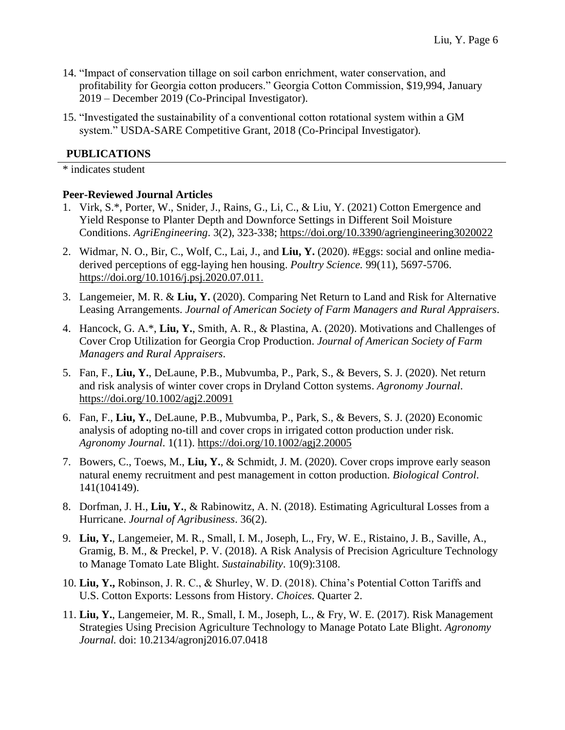- 14. "Impact of conservation tillage on soil carbon enrichment, water conservation, and profitability for Georgia cotton producers." Georgia Cotton Commission, \$19,994, January 2019 – December 2019 (Co-Principal Investigator).
- 15. "Investigated the sustainability of a conventional cotton rotational system within a GM system." USDA-SARE Competitive Grant, 2018 (Co-Principal Investigator).

### **PUBLICATIONS**

\* indicates student

#### **Peer-Reviewed Journal Articles**

- 1. Virk, S.\*, Porter, W., Snider, J., Rains, G., Li, C., & Liu, Y. (2021) Cotton Emergence and Yield Response to Planter Depth and Downforce Settings in Different Soil Moisture Conditions. *AgriEngineering*. 3(2), 323-338; <https://doi.org/10.3390/agriengineering3020022>
- 2. Widmar, N. O., Bir, C., Wolf, C., Lai, J., and **Liu, Y.** (2020). #Eggs: social and online mediaderived perceptions of egg-laying hen housing. *Poultry Science.* 99(11), 5697-5706. <https://doi.org/10.1016/j.psj.2020.07.011>.
- 3. Langemeier, M. R. & **Liu, Y.** (2020). Comparing Net Return to Land and Risk for Alternative Leasing Arrangements. *Journal of American Society of Farm Managers and Rural Appraisers*.
- 4. Hancock, G. A.\*, **Liu, Y.**, Smith, A. R., & Plastina, A. (2020). Motivations and Challenges of Cover Crop Utilization for Georgia Crop Production. *Journal of American Society of Farm Managers and Rural Appraisers*.
- 5. Fan, F., **Liu, Y.**, DeLaune, P.B., Mubvumba, P., Park, S., & Bevers, S. J. (2020). Net return and risk analysis of winter cover crops in Dryland Cotton systems. *Agronomy Journal*. <https://doi.org/10.1002/agj2.20091>
- 6. Fan, F., **Liu, Y.**, DeLaune, P.B., Mubvumba, P., Park, S., & Bevers, S. J. (2020) Economic analysis of adopting no-till and cover crops in irrigated cotton production under risk. *Agronomy Journal*. 1(11).<https://doi.org/10.1002/agj2.20005>
- 7. Bowers, C., Toews, M., **Liu, Y.**, & Schmidt, J. M. (2020). Cover crops improve early season natural enemy recruitment and pest management in cotton production. *Biological Control*. 141(104149).
- 8. Dorfman, J. H., **Liu, Y.**, & Rabinowitz, A. N. (2018). Estimating Agricultural Losses from a Hurricane. *Journal of Agribusiness*. 36(2).
- 9. **Liu, Y.**, Langemeier, M. R., Small, I. M., Joseph, L., Fry, W. E., Ristaino, J. B., Saville, A., Gramig, B. M., & Preckel, P. V. (2018). A Risk Analysis of Precision Agriculture Technology to Manage Tomato Late Blight. *Sustainability*. 10(9):3108.
- 10. **Liu, Y.,** Robinson, J. R. C., & Shurley, W. D. (2018). China's Potential Cotton Tariffs and U.S. Cotton Exports: Lessons from History. *Choices.* Quarter 2.
- 11. **Liu, Y.**, Langemeier, M. R., Small, I. M., Joseph, L., & Fry, W. E. (2017). Risk Management Strategies Using Precision Agriculture Technology to Manage Potato Late Blight. *Agronomy Journal.* doi: 10.2134/agronj2016.07.0418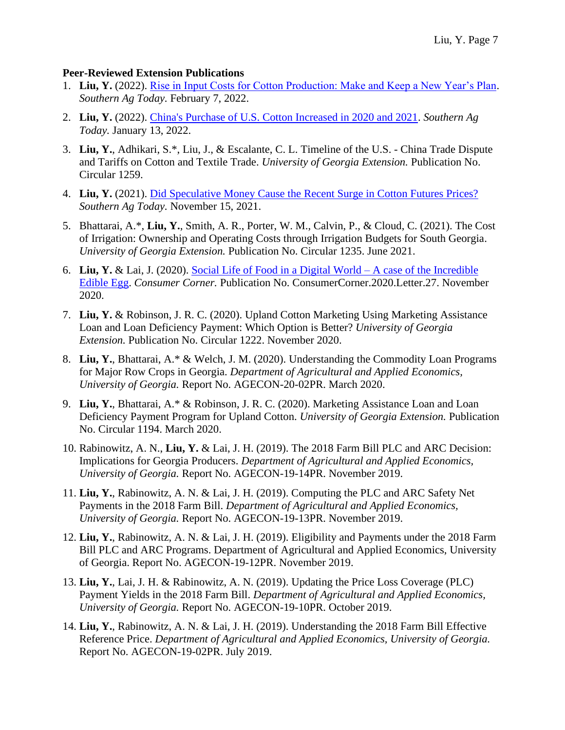## **Peer-Reviewed Extension Publications**

- 1. **Liu, Y.** (2022). [Rise in Input Costs for Cotton Production: Make and Keep a New Year's Plan.](https://southernagtoday.uada.edu/rise-in-input-costs-for-cotton-production-make-and-keep-a-new-years-plan/) *Southern Ag Today.* February 7, 2022.
- 2. **Liu, Y.** (2022). [China's Purchase of U.S. Cotton Increased in 2020 and 2021.](https://southernagtoday.uada.edu/chinas-purchase-of-u-s-cotton-increased-in-2020-and-2021/) *Southern Ag Today.* January 13, 2022.
- 3. **Liu, Y.**, Adhikari, S.\*, Liu, J., & Escalante, C. L. Timeline of the U.S. China Trade Dispute and Tariffs on Cotton and Textile Trade. *University of Georgia Extension.* Publication No. Circular 1259.
- 4. **Liu, Y.** (2021). [Did Speculative Money Cause the Recent Surge in Cotton Futures Prices?](https://files.constantcontact.com/8c5dbcbc801/eefd94cb-c91f-48fb-8c83-ba48231421e9.pdf) *Southern Ag Today.* November 15, 2021.
- 5. Bhattarai, A.\*, **Liu, Y.**, Smith, A. R., Porter, W. M., Calvin, P., & Cloud, C. (2021). The Cost of Irrigation: Ownership and Operating Costs through Irrigation Budgets for South Georgia. *University of Georgia Extension.* Publication No. Circular 1235. June 2021.
- 6. **Liu, Y.** & Lai, J. (2020). [Social Life of Food in a Digital World –](https://agribusiness.purdue.edu/consumer_corner/social-life-of-food-in-a-digital-world/) A case of the Incredible [Edible Egg.](https://agribusiness.purdue.edu/consumer_corner/social-life-of-food-in-a-digital-world/) *Consumer Corner.* Publication No. ConsumerCorner.2020.Letter.27. November 2020.
- 7. **Liu, Y.** & Robinson, J. R. C. (2020). Upland Cotton Marketing Using Marketing Assistance Loan and Loan Deficiency Payment: Which Option is Better? *University of Georgia Extension.* Publication No. Circular 1222. November 2020.
- 8. **Liu, Y.**, Bhattarai, A.\* & Welch, J. M. (2020). Understanding the Commodity Loan Programs for Major Row Crops in Georgia. *Department of Agricultural and Applied Economics, University of Georgia.* Report No. AGECON-20-02PR. March 2020.
- 9. **Liu, Y.**, Bhattarai, A.\* & Robinson, J. R. C. (2020). Marketing Assistance Loan and Loan Deficiency Payment Program for Upland Cotton. *University of Georgia Extension.* Publication No. Circular 1194. March 2020.
- 10. Rabinowitz, A. N., **Liu, Y.** & Lai, J. H. (2019). The 2018 Farm Bill PLC and ARC Decision: Implications for Georgia Producers. *Department of Agricultural and Applied Economics, University of Georgia.* Report No. AGECON-19-14PR. November 2019.
- 11. **Liu, Y.**, Rabinowitz, A. N. & Lai, J. H. (2019). Computing the PLC and ARC Safety Net Payments in the 2018 Farm Bill. *Department of Agricultural and Applied Economics, University of Georgia.* Report No. AGECON-19-13PR. November 2019.
- 12. **Liu, Y.**, Rabinowitz, A. N. & Lai, J. H. (2019). Eligibility and Payments under the 2018 Farm Bill PLC and ARC Programs. Department of Agricultural and Applied Economics, University of Georgia. Report No. AGECON-19-12PR. November 2019.
- 13. **Liu, Y.**, Lai, J. H. & Rabinowitz, A. N. (2019). Updating the Price Loss Coverage (PLC) Payment Yields in the 2018 Farm Bill. *Department of Agricultural and Applied Economics, University of Georgia.* Report No. AGECON-19-10PR. October 2019.
- 14. **Liu, Y.**, Rabinowitz, A. N. & Lai, J. H. (2019). Understanding the 2018 Farm Bill Effective Reference Price. *Department of Agricultural and Applied Economics, University of Georgia.* Report No. AGECON-19-02PR. July 2019.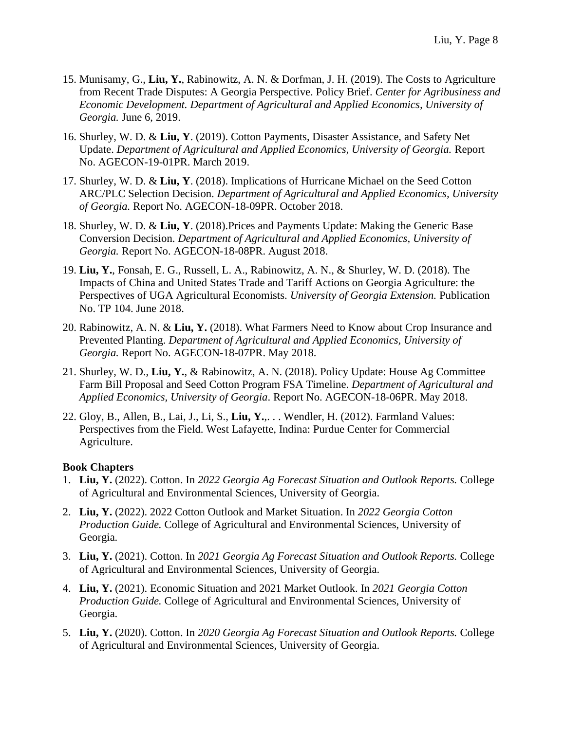- 15. Munisamy, G., **Liu, Y.**, Rabinowitz, A. N. & Dorfman, J. H. (2019). The Costs to Agriculture from Recent Trade Disputes: A Georgia Perspective. Policy Brief. *Center for Agribusiness and Economic Development. Department of Agricultural and Applied Economics, University of Georgia.* June 6, 2019.
- 16. Shurley, W. D. & **Liu, Y**. (2019). Cotton Payments, Disaster Assistance, and Safety Net Update. *Department of Agricultural and Applied Economics, University of Georgia.* Report No. AGECON-19-01PR. March 2019.
- 17. Shurley, W. D. & **Liu, Y**. (2018). Implications of Hurricane Michael on the Seed Cotton ARC/PLC Selection Decision. *Department of Agricultural and Applied Economics, University of Georgia.* Report No. AGECON-18-09PR. October 2018.
- 18. Shurley, W. D. & **Liu, Y**. (2018).Prices and Payments Update: Making the Generic Base Conversion Decision. *Department of Agricultural and Applied Economics, University of Georgia.* Report No. AGECON-18-08PR. August 2018.
- 19. **Liu, Y.**, Fonsah, E. G., Russell, L. A., Rabinowitz, A. N., & Shurley, W. D. (2018). The Impacts of China and United States Trade and Tariff Actions on Georgia Agriculture: the Perspectives of UGA Agricultural Economists. *University of Georgia Extension.* Publication No. TP 104. June 2018.
- 20. Rabinowitz, A. N. & **Liu, Y.** (2018). What Farmers Need to Know about Crop Insurance and Prevented Planting. *Department of Agricultural and Applied Economics, University of Georgia.* Report No. AGECON-18-07PR. May 2018.
- 21. Shurley, W. D., **Liu, Y.**, & Rabinowitz, A. N. (2018). Policy Update: House Ag Committee Farm Bill Proposal and Seed Cotton Program FSA Timeline. *Department of Agricultural and Applied Economics, University of Georgia*. Report No. AGECON-18-06PR. May 2018.
- 22. Gloy, B., Allen, B., Lai, J., Li, S., **Liu, Y.**,. . . Wendler, H. (2012). Farmland Values: Perspectives from the Field. West Lafayette, Indina: Purdue Center for Commercial Agriculture.

#### **Book Chapters**

- 1. **Liu, Y.** (2022). Cotton. In *2022 Georgia Ag Forecast Situation and Outlook Reports.* College of Agricultural and Environmental Sciences, University of Georgia.
- 2. **Liu, Y.** (2022). 2022 Cotton Outlook and Market Situation. In *2022 Georgia Cotton Production Guide.* College of Agricultural and Environmental Sciences, University of Georgia.
- 3. **Liu, Y.** (2021). Cotton. In *2021 Georgia Ag Forecast Situation and Outlook Reports.* College of Agricultural and Environmental Sciences, University of Georgia.
- 4. **Liu, Y.** (2021). Economic Situation and 2021 Market Outlook. In *2021 Georgia Cotton Production Guide.* College of Agricultural and Environmental Sciences, University of Georgia.
- 5. **Liu, Y.** (2020). Cotton. In *2020 Georgia Ag Forecast Situation and Outlook Reports.* College of Agricultural and Environmental Sciences, University of Georgia.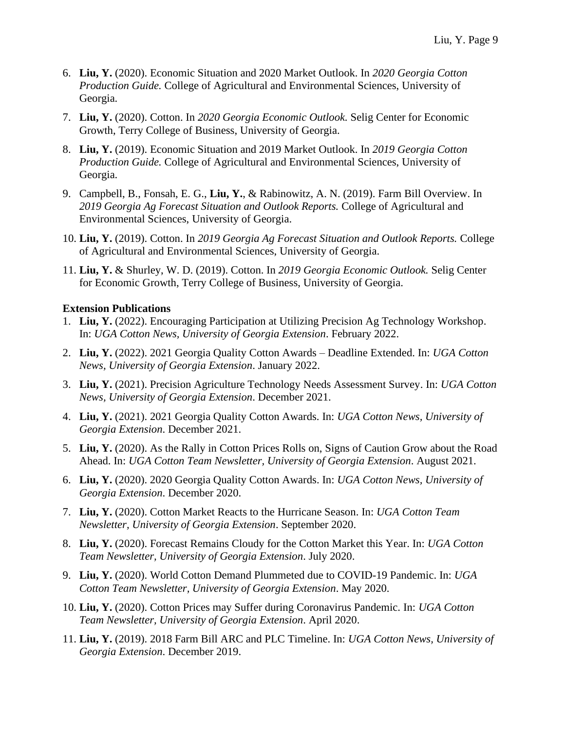- 6. **Liu, Y.** (2020). Economic Situation and 2020 Market Outlook. In *2020 Georgia Cotton Production Guide.* College of Agricultural and Environmental Sciences, University of Georgia.
- 7. **Liu, Y.** (2020). Cotton. In *2020 Georgia Economic Outlook.* Selig Center for Economic Growth, Terry College of Business, University of Georgia.
- 8. **Liu, Y.** (2019). Economic Situation and 2019 Market Outlook. In *2019 Georgia Cotton Production Guide.* College of Agricultural and Environmental Sciences, University of Georgia.
- 9. Campbell, B., Fonsah, E. G., **Liu, Y.**, & Rabinowitz, A. N. (2019). Farm Bill Overview. In *2019 Georgia Ag Forecast Situation and Outlook Reports.* College of Agricultural and Environmental Sciences, University of Georgia.
- 10. **Liu, Y.** (2019). Cotton. In *2019 Georgia Ag Forecast Situation and Outlook Reports.* College of Agricultural and Environmental Sciences, University of Georgia.
- 11. **Liu, Y.** & Shurley, W. D. (2019). Cotton. In *2019 Georgia Economic Outlook.* Selig Center for Economic Growth, Terry College of Business, University of Georgia.

#### **Extension Publications**

- 1. **Liu, Y.** (2022). Encouraging Participation at Utilizing Precision Ag Technology Workshop. In: *UGA Cotton News, University of Georgia Extension*. February 2022.
- 2. **Liu, Y.** (2022). 2021 Georgia Quality Cotton Awards Deadline Extended. In: *UGA Cotton News, University of Georgia Extension*. January 2022.
- 3. **Liu, Y.** (2021). Precision Agriculture Technology Needs Assessment Survey. In: *UGA Cotton News, University of Georgia Extension*. December 2021.
- 4. **Liu, Y.** (2021). 2021 Georgia Quality Cotton Awards. In: *UGA Cotton News, University of Georgia Extension*. December 2021.
- 5. **Liu, Y.** (2020). As the Rally in Cotton Prices Rolls on, Signs of Caution Grow about the Road Ahead. In: *UGA Cotton Team Newsletter, University of Georgia Extension*. August 2021.
- 6. **Liu, Y.** (2020). 2020 Georgia Quality Cotton Awards. In: *UGA Cotton News, University of Georgia Extension*. December 2020.
- 7. **Liu, Y.** (2020). Cotton Market Reacts to the Hurricane Season. In: *UGA Cotton Team Newsletter, University of Georgia Extension*. September 2020.
- 8. **Liu, Y.** (2020). Forecast Remains Cloudy for the Cotton Market this Year. In: *UGA Cotton Team Newsletter, University of Georgia Extension*. July 2020.
- 9. **Liu, Y.** (2020). World Cotton Demand Plummeted due to COVID-19 Pandemic. In: *UGA Cotton Team Newsletter, University of Georgia Extension*. May 2020.
- 10. **Liu, Y.** (2020). Cotton Prices may Suffer during Coronavirus Pandemic. In: *UGA Cotton Team Newsletter, University of Georgia Extension*. April 2020.
- 11. **Liu, Y.** (2019). 2018 Farm Bill ARC and PLC Timeline. In: *UGA Cotton News, University of Georgia Extension*. December 2019.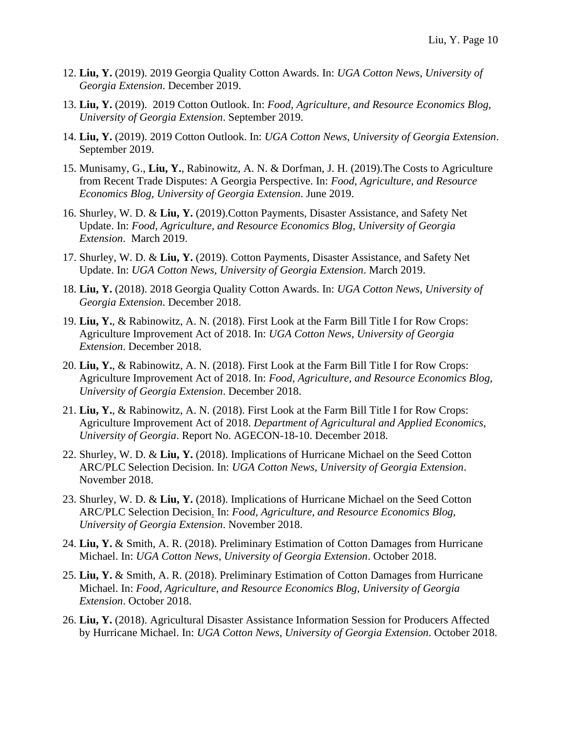- 12. **Liu, Y.** (2019). 2019 Georgia Quality Cotton Awards. In: *UGA Cotton News, University of Georgia Extension*. December 2019.
- 13. **Liu, Y.** (2019). 2019 Cotton Outlook. In: *Food, Agriculture, and Resource Economics Blog, University of Georgia Extension*. September 2019.
- 14. **Liu, Y.** (2019). 2019 Cotton Outlook. In: *UGA Cotton News, University of Georgia Extension*. September 2019.
- 15. Munisamy, G., **Liu, Y.**, Rabinowitz, A. N. & Dorfman, J. H. (2019).The Costs to Agriculture from Recent Trade Disputes: A Georgia Perspective. In: *Food, Agriculture, and Resource Economics Blog, University of Georgia Extension*. June 2019.
- 16. Shurley, W. D. & **Liu, Y.** (2019).Cotton Payments, Disaster Assistance, and Safety Net Update. In: *Food, Agriculture, and Resource Economics Blog, University of Georgia Extension*. March 2019.
- 17. Shurley, W. D. & **Liu, Y.** (2019). Cotton Payments, Disaster Assistance, and Safety Net Update. In: *UGA Cotton News, University of Georgia Extension*. March 2019.
- 18. **Liu, Y.** (2018). 2018 Georgia Quality Cotton Awards. In: *UGA Cotton News, University of Georgia Extension*. December 2018.
- 19. **Liu, Y.**, & Rabinowitz, A. N. (2018). First Look at the Farm Bill Title I for Row Crops: Agriculture Improvement Act of 2018. In: *UGA Cotton News, University of Georgia Extension*. December 2018.
- 20. **Liu, Y.**, & Rabinowitz, A. N. (2018). First Look at the Farm Bill Title I for Row Crops: Agriculture Improvement Act of 2018. In: *Food, Agriculture, and Resource Economics Blog, University of Georgia Extension*. December 2018.
- 21. **Liu, Y.**, & Rabinowitz, A. N. (2018). First Look at the Farm Bill Title I for Row Crops: Agriculture Improvement Act of 2018. *Department of Agricultural and Applied Economics, University of Georgia*. Report No. AGECON-18-10. December 2018.
- 22. Shurley, W. D. & **Liu, Y.** (2018). Implications of Hurricane Michael on the Seed Cotton ARC/PLC Selection Decision. In: *UGA Cotton News, University of Georgia Extension*. November 2018.
- 23. Shurley, W. D. & **Liu, Y.** (2018). Implications of Hurricane Michael on the Seed Cotton ARC/PLC Selection Decision. In: *Food, Agriculture, and Resource Economics Blog, University of Georgia Extension*. November 2018.
- 24. **Liu, Y.** & Smith, A. R. (2018). Preliminary Estimation of Cotton Damages from Hurricane Michael. In: *UGA Cotton News, University of Georgia Extension*. October 2018.
- 25. **Liu, Y.** & Smith, A. R. (2018). Preliminary Estimation of Cotton Damages from Hurricane Michael. In: *Food, Agriculture, and Resource Economics Blog, University of Georgia Extension*. October 2018.
- 26. **Liu, Y.** (2018). Agricultural Disaster Assistance Information Session for Producers Affected by Hurricane Michael. In: *UGA Cotton News, University of Georgia Extension*. October 2018.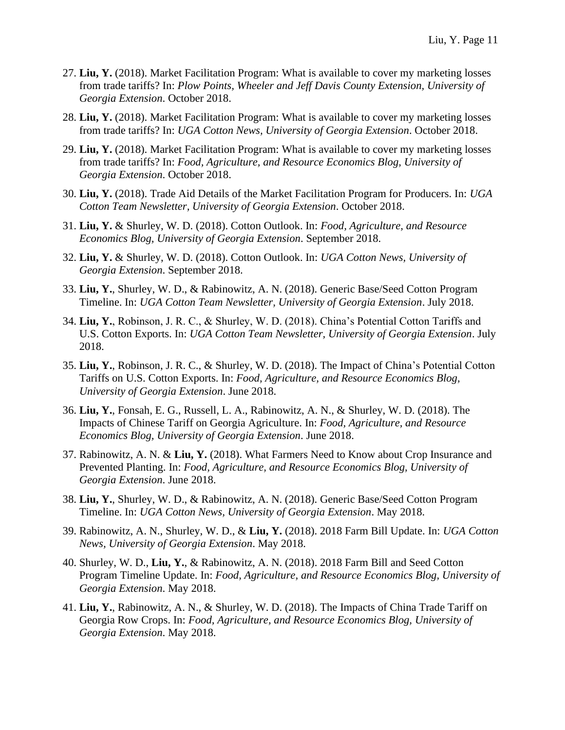- 27. **Liu, Y.** (2018). Market Facilitation Program: What is available to cover my marketing losses from trade tariffs? In: *Plow Points, Wheeler and Jeff Davis County Extension, University of Georgia Extension*. October 2018.
- 28. **Liu, Y.** (2018). Market Facilitation Program: What is available to cover my marketing losses from trade tariffs? In: *UGA Cotton News, University of Georgia Extension*. October 2018.
- 29. **Liu, Y.** (2018). Market Facilitation Program: What is available to cover my marketing losses from trade tariffs? In: *Food, Agriculture, and Resource Economics Blog, University of Georgia Extension*. October 2018.
- 30. **Liu, Y.** (2018). Trade Aid Details of the Market Facilitation Program for Producers. In: *UGA Cotton Team Newsletter, University of Georgia Extension*. October 2018.
- 31. **Liu, Y.** & Shurley, W. D. (2018). Cotton Outlook. In: *Food, Agriculture, and Resource Economics Blog, University of Georgia Extension*. September 2018.
- 32. **Liu, Y.** & Shurley, W. D. (2018). Cotton Outlook. In: *UGA Cotton News, University of Georgia Extension*. September 2018.
- 33. **Liu, Y.**, Shurley, W. D., & Rabinowitz, A. N. (2018). Generic Base/Seed Cotton Program Timeline. In: *UGA Cotton Team Newsletter, University of Georgia Extension*. July 2018.
- 34. **Liu, Y.**, Robinson, J. R. C., & Shurley, W. D. (2018). China's Potential Cotton Tariffs and U.S. Cotton Exports. In: *UGA Cotton Team Newsletter, University of Georgia Extension*. July 2018.
- 35. **Liu, Y.**, Robinson, J. R. C., & Shurley, W. D. (2018). The Impact of China's Potential Cotton Tariffs on U.S. Cotton Exports. In: *Food, Agriculture, and Resource Economics Blog, University of Georgia Extension*. June 2018.
- 36. **Liu, Y.**, Fonsah, E. G., Russell, L. A., Rabinowitz, A. N., & Shurley, W. D. (2018). The Impacts of Chinese Tariff on Georgia Agriculture. In: *Food, Agriculture, and Resource Economics Blog, University of Georgia Extension*. June 2018.
- 37. Rabinowitz, A. N. & **Liu, Y.** (2018). What Farmers Need to Know about Crop Insurance and Prevented Planting. In: *Food, Agriculture, and Resource Economics Blog, University of Georgia Extension*. June 2018.
- 38. **Liu, Y.**, Shurley, W. D., & Rabinowitz, A. N. (2018). Generic Base/Seed Cotton Program Timeline. In: *UGA Cotton News, University of Georgia Extension*. May 2018.
- 39. Rabinowitz, A. N., Shurley, W. D., & **Liu, Y.** (2018). 2018 Farm Bill Update. In: *UGA Cotton News, University of Georgia Extension*. May 2018.
- 40. Shurley, W. D., **Liu, Y.**, & Rabinowitz, A. N. (2018). 2018 Farm Bill and Seed Cotton Program Timeline Update. In: *Food, Agriculture, and Resource Economics Blog, University of Georgia Extension*. May 2018.
- 41. **Liu, Y.**, Rabinowitz, A. N., & Shurley, W. D. (2018). The Impacts of China Trade Tariff on Georgia Row Crops. In: *Food, Agriculture, and Resource Economics Blog, University of Georgia Extension*. May 2018.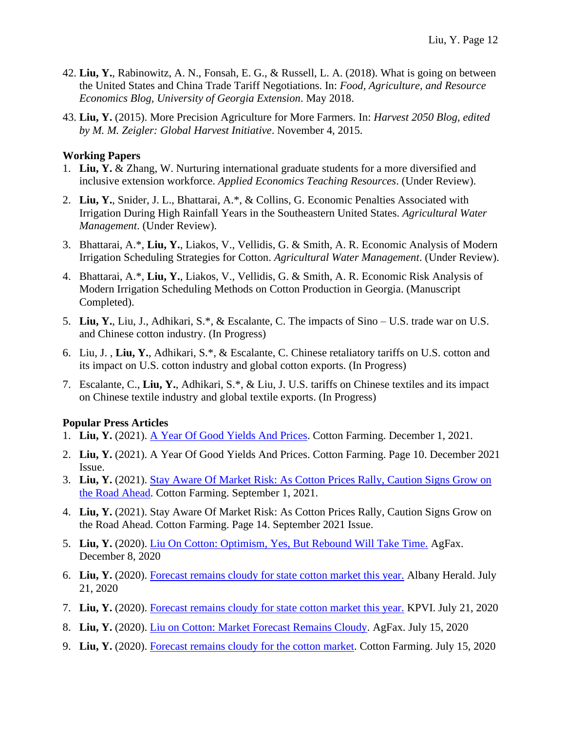- 42. **Liu, Y.**, Rabinowitz, A. N., Fonsah, E. G., & Russell, L. A. (2018). What is going on between the United States and China Trade Tariff Negotiations. In: *Food, Agriculture, and Resource Economics Blog, University of Georgia Extension*. May 2018.
- 43. **Liu, Y.** (2015). More Precision Agriculture for More Farmers. In: *Harvest 2050 Blog, edited by M. M. Zeigler: Global Harvest Initiative*. November 4, 2015.

### **Working Papers**

- 1. **Liu, Y.** & Zhang, W. Nurturing international graduate students for a more diversified and inclusive extension workforce. *Applied Economics Teaching Resources*. (Under Review).
- 2. **Liu, Y.**, Snider, J. L., Bhattarai, A.\*, & Collins, G. Economic Penalties Associated with Irrigation During High Rainfall Years in the Southeastern United States. *Agricultural Water Management*. (Under Review).
- 3. Bhattarai, A.\*, **Liu, Y.**, Liakos, V., Vellidis, G. & Smith, A. R. Economic Analysis of Modern Irrigation Scheduling Strategies for Cotton. *Agricultural Water Management*. (Under Review).
- 4. Bhattarai, A.\*, **Liu, Y.**, Liakos, V., Vellidis, G. & Smith, A. R. Economic Risk Analysis of Modern Irrigation Scheduling Methods on Cotton Production in Georgia. (Manuscript Completed).
- 5. **Liu, Y.**, Liu, J., Adhikari, S.\*, & Escalante, C. The impacts of Sino U.S. trade war on U.S. and Chinese cotton industry. (In Progress)
- 6. Liu, J. , **Liu, Y.**, Adhikari, S.\*, & Escalante, C. Chinese retaliatory tariffs on U.S. cotton and its impact on U.S. cotton industry and global cotton exports. (In Progress)
- 7. Escalante, C., **Liu, Y.**, Adhikari, S.\*, & Liu, J. U.S. tariffs on Chinese textiles and its impact on Chinese textile industry and global textile exports. (In Progress)

## **Popular Press Articles**

- 1. **Liu, Y.** (2021). [A Year Of Good Yields And Prices.](https://www.cottonfarming.com/cover-story/a-year-of-good-yields-and-prices/) Cotton Farming. December 1, 2021.
- 2. **Liu, Y.** (2021). A Year Of Good Yields And Prices. Cotton Farming. Page 10. December 2021 Issue.
- 3. **Liu, Y.** (2021). [Stay Aware Of Market Risk: As Cotton Prices Rally, Caution Signs Grow on](https://www.cottonfarming.com/feature-story/stay-aware-of-market-risk/)  [the Road Ahead.](https://www.cottonfarming.com/feature-story/stay-aware-of-market-risk/) Cotton Farming. September 1, 2021.
- 4. **Liu, Y.** (2021). Stay Aware Of Market Risk: As Cotton Prices Rally, Caution Signs Grow on the Road Ahead. Cotton Farming. Page 14. September 2021 Issue.
- 5. **Liu, Y.** (2020). [Liu On Cotton: Optimism, Yes, But Rebound Will Take Time.](https://agfax.com/2020/12/08/liu-on-cotton-optimism-yes-but-rebound-will-take-time/) AgFax. December 8, 2020
- 6. **Liu, Y.** (2020). [Forecast remains cloudy for state cotton market this year.](https://www.albanyherald.com/news/forecast-remains-cloudy-for-state-cotton-market-this-year/article_e662269c-c9d4-11ea-9d75-9b836940afc8.html) Albany Herald. July 21, 2020
- 7. **Liu, Y.** (2020). [Forecast remains cloudy for state cotton market this year.](https://www.kpvi.com/news/national_news/forecast-remains-cloudy-for-state-cotton-market-this-year/article_49240c4d-4e98-597c-a66b-ec3503704e80.html) KPVI. July 21, 2020
- 8. **Liu, Y.** (2020). [Liu on Cotton: Market Forecast Remains Cloudy.](https://agfax.com/2020/07/15/liu-on-cotton-market-forecast-remains-cloudy/) AgFax. July 15, 2020
- 9. **Liu, Y.** (2020). [Forecast remains cloudy for the cotton market.](https://www.cottonfarming.com/breakingnews/forecast-remains-cloudy-for-the-cotton-market/) Cotton Farming. July 15, 2020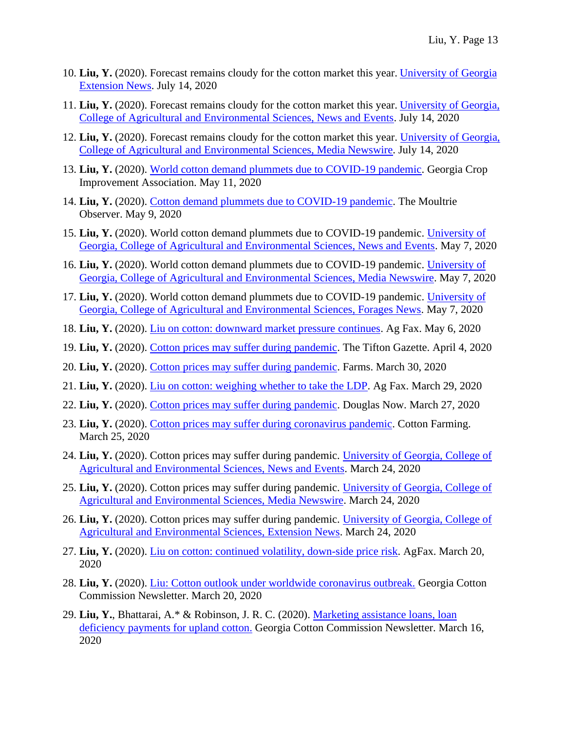- 10. **Liu, Y.** (2020). Forecast remains cloudy for the cotton market this year. [University of Georgia](https://extension.uga.edu/story.html?storyid=8409&story=Uncertain-Market)  [Extension News.](https://extension.uga.edu/story.html?storyid=8409&story=Uncertain-Market) July 14, 2020
- 11. **Liu, Y.** (2020). Forecast remains cloudy for the cotton market this year. [University of Georgia,](https://www.caes.uga.edu/news-events/news/story.html?storyid=8409&story=Uncertain-Market)  [College of Agricultural and Environmental Sciences, News and Events.](https://www.caes.uga.edu/news-events/news/story.html?storyid=8409&story=Uncertain-Market) July 14, 2020
- 12. **Liu, Y.** (2020). Forecast remains cloudy for the cotton market this year. [University of Georgia,](https://newswire.caes.uga.edu/story.html?storyid=8409&rss)  [College of Agricultural and Environmental Sciences, Media Newswire.](https://newswire.caes.uga.edu/story.html?storyid=8409&rss) July 14, 2020
- 13. **Liu, Y.** (2020). [World cotton demand plummets due to COVID-19 pandemic.](http://www.georgiacrop.com/world-cotton-demand-plummets-due-to-covid-19-pandemic) Georgia Crop Improvement Association. May 11, 2020
- 14. **Liu, Y.** (2020). [Cotton demand plummets due to COVID-19 pandemic.](https://www.moultrieobserver.com/news/local_news/cotton-demand-plummets-due-to-covid-19-pandemic/article_571fd780-9230-11ea-aee0-c3f2c90ad339.html) The Moultrie Observer. May 9, 2020
- 15. **Liu, Y.** (2020). World cotton demand plummets due to COVID-19 pandemic. [University of](https://www.caes.uga.edu/news-events/news/story.html?storyid=8352&story=Cotton-Demand-Down)  [Georgia, College of Agricultural and Environmental Sciences, News and Events.](https://www.caes.uga.edu/news-events/news/story.html?storyid=8352&story=Cotton-Demand-Down) May 7, 2020
- 16. **Liu, Y.** (2020). World cotton demand plummets due to COVID-19 pandemic. [University of](https://newswire.caes.uga.edu/story.html?storyid=8352&story=Cotton-Demand-Down)  [Georgia, College of Agricultural and Environmental Sciences, Media Newswire.](https://newswire.caes.uga.edu/story.html?storyid=8352&story=Cotton-Demand-Down) May 7, 2020
- 17. **Liu, Y.** (2020). World cotton demand plummets due to COVID-19 pandemic. [University of](https://georgiaforages.caes.uga.edu/news/story.html?storyid=8352&story=Cotton-Demand-Down)  [Georgia, College of Agricultural and Environmental Sciences, Forages News.](https://georgiaforages.caes.uga.edu/news/story.html?storyid=8352&story=Cotton-Demand-Down) May 7, 2020
- 18. **Liu, Y.** (2020). [Liu on cotton: downward market pressure continues.](https://agfax.com/2020/05/06/liu-on-cotton-downward-market-pressure-continues/) Ag Fax. May 6, 2020
- 19. **Liu, Y.** (2020). [Cotton prices may suffer during pandemic.](https://www.tiftongazette.com/news/cotton-prices-may-suffer-during-pandemic/article_48dd2e88-7526-11ea-8b55-d3f6e5ccdc3b.html) The Tifton Gazette. April 4, 2020
- 20. **Liu, Y.** (2020). [Cotton prices may suffer during pandemic.](https://www.farms.com/news/cotton-prices-may-suffer-during-pandemic-154975.aspx) Farms. March 30, 2020
- 21. **Liu, Y.** (2020). [Liu on cotton: weighing whether to take the LDP.](https://agfax.com/2020/03/29/liu-on-cotton-weighting-whether-to-take-the-ldp/) Ag Fax. March 29, 2020
- 22. **Liu, Y.** (2020). [Cotton prices may suffer during pandemic.](http://douglasnow.com/index.php/news/item/7717-cotton-prices-may-suffer-during-pandemic) Douglas Now. March 27, 2020
- 23. **Liu, Y.** (2020). [Cotton prices may suffer during coronavirus pandemic.](https://www.cottonfarming.com/breakingnews/cotton-prices-may-suffer-during-coronavirus-pandemic/) Cotton Farming. March 25, 2020
- 24. **Liu, Y.** (2020). Cotton prices may suffer during pandemic. [University of Georgia, College of](https://www.caes.uga.edu/news-events/news/story.html?storyid=8291&story=Cotton-Market)  [Agricultural and Environmental Sciences, News and Events.](https://www.caes.uga.edu/news-events/news/story.html?storyid=8291&story=Cotton-Market) March 24, 2020
- 25. **Liu, Y.** (2020). Cotton prices may suffer during pandemic. [University of Georgia, College of](https://newswire.caes.uga.edu/story.html?storyid=8291&story=Cotton-Market)  [Agricultural and Environmental Sciences, Media Newswire.](https://newswire.caes.uga.edu/story.html?storyid=8291&story=Cotton-Market) March 24, 2020
- 26. **Liu, Y.** (2020). Cotton prices may suffer during pandemic. [University of Georgia, College of](https://extension.uga.edu/story.html?storyid=8291)  [Agricultural and Environmental Sciences, Extension News.](https://extension.uga.edu/story.html?storyid=8291) March 24, 2020
- 27. **Liu, Y.** (2020). [Liu on cotton: continued volatility, down-side price risk.](https://agfax.com/2020/03/20/liu-on-cotton-continued-volatility-down-side-price-risk/) AgFax. March 20, 2020
- 28. **Liu, Y.** (2020). [Liu: Cotton outlook under worldwide coronavirus outbreak.](https://gacotton.wordpress.com/2020/03/20/liu-cotton-outlook-under-worldwide-coronavirus-outbreak/) Georgia Cotton Commission Newsletter. March 20, 2020
- 29. **Liu, Y.**, Bhattarai, A.\* & Robinson, J. R. C. (2020). [Marketing assistance loans, loan](https://gacotton.wordpress.com/2020/03/16/marketing-assistance-loans-and-loan-deficiency-payments-for-upland-cotton/)  [deficiency payments for upland cotton.](https://gacotton.wordpress.com/2020/03/16/marketing-assistance-loans-and-loan-deficiency-payments-for-upland-cotton/) Georgia Cotton Commission Newsletter. March 16, 2020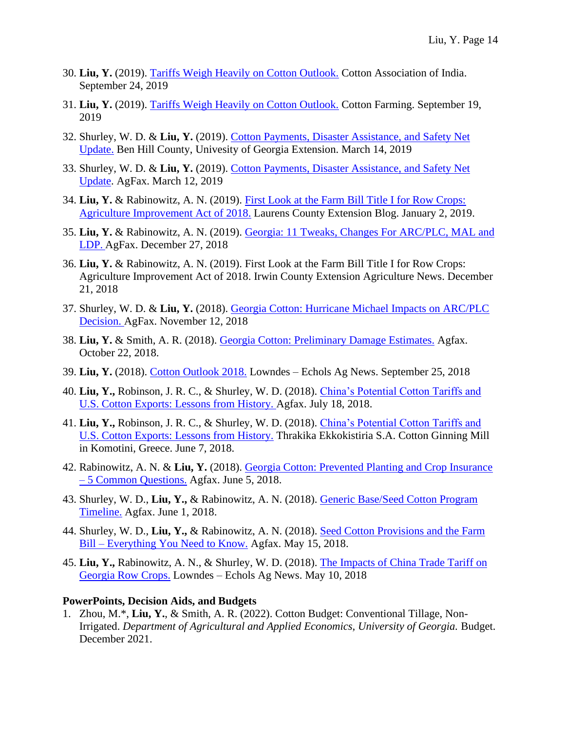- 30. **Liu, Y.** (2019). [Tariffs Weigh Heavily on Cotton Outlook.](http://www.caionline.in/articles/tariffs-weigh-heavily-on-cotton-outlook) Cotton Association of India. September 24, 2019
- 31. **Liu, Y.** (2019). [Tariffs Weigh Heavily on Cotton Outlook.](https://www.cottonfarming.com/breakingnews/tariffs-weigh-heavily-on-cotton-outlook/) Cotton Farming. September 19, 2019
- 32. Shurley, W. D. & **Liu, Y.** (2019). [Cotton Payments, Disaster Assistance, and Safety Net](https://site.extension.uga.edu/benhillcoag/2019/03/cotton-payments-disaster-assistance-and-safety-net-update/)  [Update.](https://site.extension.uga.edu/benhillcoag/2019/03/cotton-payments-disaster-assistance-and-safety-net-update/) Ben Hill County, Univesity of Georgia Extension. March 14, 2019
- 33. Shurley, W. D. & **Liu, Y.** (2019). [Cotton Payments, Disaster Assistance, and Safety Net](https://agfax.com/2019/03/12/cotton-payments-disaster-assistance-and-safety-net-update/)  [Update.](https://agfax.com/2019/03/12/cotton-payments-disaster-assistance-and-safety-net-update/) AgFax. March 12, 2019
- 34. **Liu, Y.** & Rabinowitz, A. N. (2019). [First Look at the Farm Bill Title I for Row Crops:](https://site.extension.uga.edu/laurens/2019/01/first-look-at-the-farm-bill-title-i-for-row-crops-agriculture-improvement-act-of-2018/?cat=4)  [Agriculture Improvement Act of 2018.](https://site.extension.uga.edu/laurens/2019/01/first-look-at-the-farm-bill-title-i-for-row-crops-agriculture-improvement-act-of-2018/?cat=4) Laurens County Extension Blog. January 2, 2019.
- 35. **Liu, Y.** & Rabinowitz, A. N. (2019). [Georgia: 11 Tweaks, Changes For ARC/PLC, MAL and](https://agfax.com/2018/12/27/georgia-11-tweaks-changes-for-plc-mal-and-ldp/)  [LDP.](https://agfax.com/2018/12/27/georgia-11-tweaks-changes-for-plc-mal-and-ldp/) AgFax. December 27, 2018
- 36. **Liu, Y.** & Rabinowitz, A. N. (2019). First Look at the Farm Bill Title I for Row Crops: Agriculture Improvement Act of 2018. Irwin County Extension Agriculture News. December 21, 2018
- 37. Shurley, W. D. & **Liu, Y.** (2018). [Georgia Cotton: Hurricane Michael Impacts on ARC/PLC](https://agfax.com/2018/11/12/georgia-cotton-hurricane-michael-impacts-on-arc-plc-decision/)  [Decision.](https://agfax.com/2018/11/12/georgia-cotton-hurricane-michael-impacts-on-arc-plc-decision/) AgFax. November 12, 2018
- 38. **Liu, Y.** & Smith, A. R. (2018). [Georgia Cotton: Preliminary Damage Estimates.](https://agfax.com/2018/10/22/georgia-cotton-preliminary-damage-estimates/?utm_source=facebook) Agfax. October 22, 2018.
- 39. **Liu, Y.** (2018). [Cotton Outlook 2018.](https://site.extension.uga.edu/lowndesecholsag/2018/09/cotton-outlook-2018/) Lowndes Echols Ag News. September 25, 2018
- 40. **Liu, Y.,** Robinson, J. R. C., & Shurley, W. D. (2018). [China's Potential Cotton Tariffs and](https://agfax.com/2018/07/18/cotton-chinas-potential-tariffs-and-u-s-exports-lessons-from-history/)  [U.S. Cotton Exports: Lessons from History.](https://agfax.com/2018/07/18/cotton-chinas-potential-tariffs-and-u-s-exports-lessons-from-history/) Agfax. July 18, 2018.
- 41. **Liu, Y.,** Robinson, J. R. C., & Shurley, W. D. (2018). [China's Potential Cotton Tariffs and](http://thrakika.gr/?p=18867)  [U.S. Cotton Exports: Lessons from History.](http://thrakika.gr/?p=18867) Thrakika Ekkokistiria S.A. Cotton Ginning Mill in Komotini, Greece. June 7, 2018.
- 42. Rabinowitz, A. N. & **Liu, Y.** (2018). [Georgia Cotton: Prevented Planting and Crop Insurance](https://agfax.com/2018/06/05/georgia-cotton-prevented-planting-and-crop-insurance-5-common-questions/)  – [5 Common Questions.](https://agfax.com/2018/06/05/georgia-cotton-prevented-planting-and-crop-insurance-5-common-questions/) Agfax. June 5, 2018.
- 43. Shurley, W. D., **Liu, Y.,** & Rabinowitz, A. N. (2018). [Generic Base/Seed Cotton Program](https://agfax.com/2018/06/01/generic-base-seed-cotton-program-timeline/)  [Timeline.](https://agfax.com/2018/06/01/generic-base-seed-cotton-program-timeline/) Agfax. June 1, 2018.
- 44. Shurley, W. D., **Liu, Y.,** & Rabinowitz, A. N. (2018). [Seed Cotton Provisions and the Farm](https://agfax.com/2018/05/15/seed-cotton-provisions-and-the-farm-bill-everything-you-need-to-know/)  Bill – [Everything You Need to Know.](https://agfax.com/2018/05/15/seed-cotton-provisions-and-the-farm-bill-everything-you-need-to-know/) Agfax. May 15, 2018.
- 45. **Liu, Y.,** Rabinowitz, A. N., & Shurley, W. D. (2018). [The Impacts of China Trade Tariff on](https://site.extension.uga.edu/lowndesecholsag/2018/05/the-impacts-of-china-trade-tariff-on-georgia-row-crops/)  [Georgia Row Crops.](https://site.extension.uga.edu/lowndesecholsag/2018/05/the-impacts-of-china-trade-tariff-on-georgia-row-crops/) Lowndes – Echols Ag News. May 10, 2018

#### **PowerPoints, Decision Aids, and Budgets**

1. Zhou, M.\*, **Liu, Y.**, & Smith, A. R. (2022). Cotton Budget: Conventional Tillage, Non-Irrigated. *Department of Agricultural and Applied Economics, University of Georgia.* Budget. December 2021.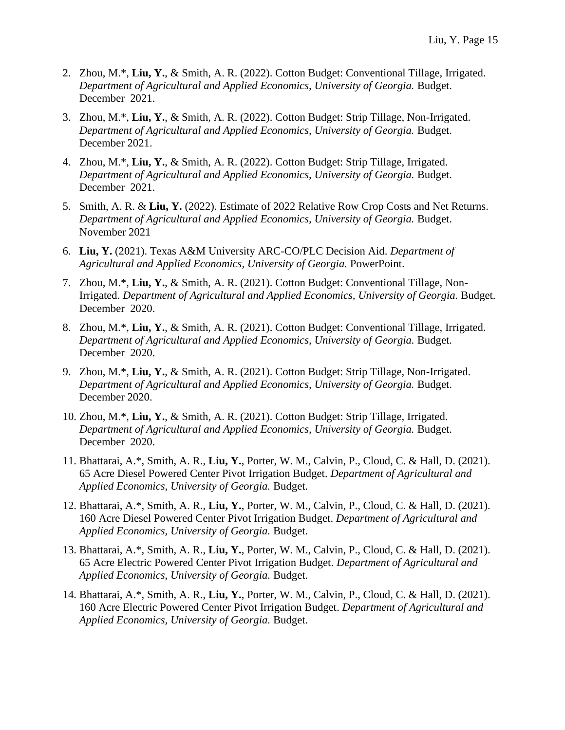- 2. Zhou, M.\*, **Liu, Y.**, & Smith, A. R. (2022). Cotton Budget: Conventional Tillage, Irrigated. *Department of Agricultural and Applied Economics, University of Georgia.* Budget. December 2021.
- 3. Zhou, M.\*, **Liu, Y.**, & Smith, A. R. (2022). Cotton Budget: Strip Tillage, Non-Irrigated. *Department of Agricultural and Applied Economics, University of Georgia.* Budget. December 2021.
- 4. Zhou, M.\*, **Liu, Y.**, & Smith, A. R. (2022). Cotton Budget: Strip Tillage, Irrigated. *Department of Agricultural and Applied Economics, University of Georgia.* Budget. December 2021.
- 5. Smith, A. R. & **Liu, Y.** (2022). Estimate of 2022 Relative Row Crop Costs and Net Returns. *Department of Agricultural and Applied Economics, University of Georgia.* Budget. November 2021
- 6. **Liu, Y.** (2021). Texas A&M University ARC-CO/PLC Decision Aid. *Department of Agricultural and Applied Economics, University of Georgia.* PowerPoint.
- 7. Zhou, M.\*, **Liu, Y.**, & Smith, A. R. (2021). Cotton Budget: Conventional Tillage, Non-Irrigated. *Department of Agricultural and Applied Economics, University of Georgia.* Budget. December 2020.
- 8. Zhou, M.\*, **Liu, Y.**, & Smith, A. R. (2021). Cotton Budget: Conventional Tillage, Irrigated. *Department of Agricultural and Applied Economics, University of Georgia.* Budget. December 2020.
- 9. Zhou, M.\*, **Liu, Y.**, & Smith, A. R. (2021). Cotton Budget: Strip Tillage, Non-Irrigated. *Department of Agricultural and Applied Economics, University of Georgia.* Budget. December 2020.
- 10. Zhou, M.\*, **Liu, Y.**, & Smith, A. R. (2021). Cotton Budget: Strip Tillage, Irrigated. *Department of Agricultural and Applied Economics, University of Georgia.* Budget. December 2020.
- 11. Bhattarai, A.\*, Smith, A. R., **Liu, Y.**, Porter, W. M., Calvin, P., Cloud, C. & Hall, D. (2021). 65 Acre Diesel Powered Center Pivot Irrigation Budget. *Department of Agricultural and Applied Economics, University of Georgia.* Budget.
- 12. Bhattarai, A.\*, Smith, A. R., **Liu, Y.**, Porter, W. M., Calvin, P., Cloud, C. & Hall, D. (2021). 160 Acre Diesel Powered Center Pivot Irrigation Budget. *Department of Agricultural and Applied Economics, University of Georgia.* Budget.
- 13. Bhattarai, A.\*, Smith, A. R., **Liu, Y.**, Porter, W. M., Calvin, P., Cloud, C. & Hall, D. (2021). 65 Acre Electric Powered Center Pivot Irrigation Budget. *Department of Agricultural and Applied Economics, University of Georgia.* Budget.
- 14. Bhattarai, A.\*, Smith, A. R., **Liu, Y.**, Porter, W. M., Calvin, P., Cloud, C. & Hall, D. (2021). 160 Acre Electric Powered Center Pivot Irrigation Budget. *Department of Agricultural and Applied Economics, University of Georgia.* Budget.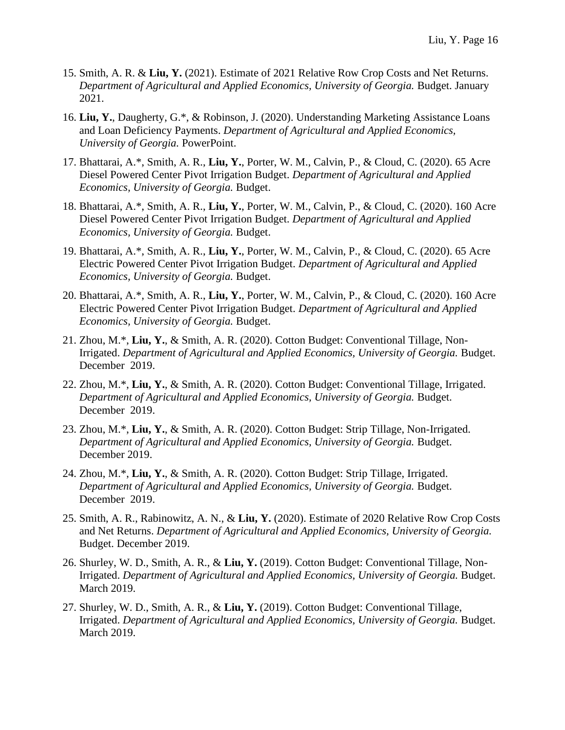- 15. Smith, A. R. & **Liu, Y.** (2021). Estimate of 2021 Relative Row Crop Costs and Net Returns. *Department of Agricultural and Applied Economics, University of Georgia.* Budget. January 2021.
- 16. **Liu, Y.**, Daugherty, G.\*, & Robinson, J. (2020). Understanding Marketing Assistance Loans and Loan Deficiency Payments. *Department of Agricultural and Applied Economics, University of Georgia.* PowerPoint.
- 17. Bhattarai, A.\*, Smith, A. R., **Liu, Y.**, Porter, W. M., Calvin, P., & Cloud, C. (2020). 65 Acre Diesel Powered Center Pivot Irrigation Budget. *Department of Agricultural and Applied Economics, University of Georgia.* Budget.
- 18. Bhattarai, A.\*, Smith, A. R., **Liu, Y.**, Porter, W. M., Calvin, P., & Cloud, C. (2020). 160 Acre Diesel Powered Center Pivot Irrigation Budget. *Department of Agricultural and Applied Economics, University of Georgia.* Budget.
- 19. Bhattarai, A.\*, Smith, A. R., **Liu, Y.**, Porter, W. M., Calvin, P., & Cloud, C. (2020). 65 Acre Electric Powered Center Pivot Irrigation Budget. *Department of Agricultural and Applied Economics, University of Georgia.* Budget.
- 20. Bhattarai, A.\*, Smith, A. R., **Liu, Y.**, Porter, W. M., Calvin, P., & Cloud, C. (2020). 160 Acre Electric Powered Center Pivot Irrigation Budget. *Department of Agricultural and Applied Economics, University of Georgia.* Budget.
- 21. Zhou, M.\*, **Liu, Y.**, & Smith, A. R. (2020). Cotton Budget: Conventional Tillage, Non-Irrigated. *Department of Agricultural and Applied Economics, University of Georgia.* Budget. December 2019.
- 22. Zhou, M.\*, **Liu, Y.**, & Smith, A. R. (2020). Cotton Budget: Conventional Tillage, Irrigated. *Department of Agricultural and Applied Economics, University of Georgia.* Budget. December 2019.
- 23. Zhou, M.\*, **Liu, Y.**, & Smith, A. R. (2020). Cotton Budget: Strip Tillage, Non-Irrigated. *Department of Agricultural and Applied Economics, University of Georgia.* Budget. December 2019.
- 24. Zhou, M.\*, **Liu, Y.**, & Smith, A. R. (2020). Cotton Budget: Strip Tillage, Irrigated. *Department of Agricultural and Applied Economics, University of Georgia.* Budget. December 2019.
- 25. Smith, A. R., Rabinowitz, A. N., & **Liu, Y.** (2020). Estimate of 2020 Relative Row Crop Costs and Net Returns. *Department of Agricultural and Applied Economics, University of Georgia.* Budget. December 2019.
- 26. Shurley, W. D., Smith, A. R., & **Liu, Y.** (2019). Cotton Budget: Conventional Tillage, Non-Irrigated. *Department of Agricultural and Applied Economics, University of Georgia.* Budget. March 2019.
- 27. Shurley, W. D., Smith, A. R., & **Liu, Y.** (2019). Cotton Budget: Conventional Tillage, Irrigated. *Department of Agricultural and Applied Economics, University of Georgia.* Budget. March 2019.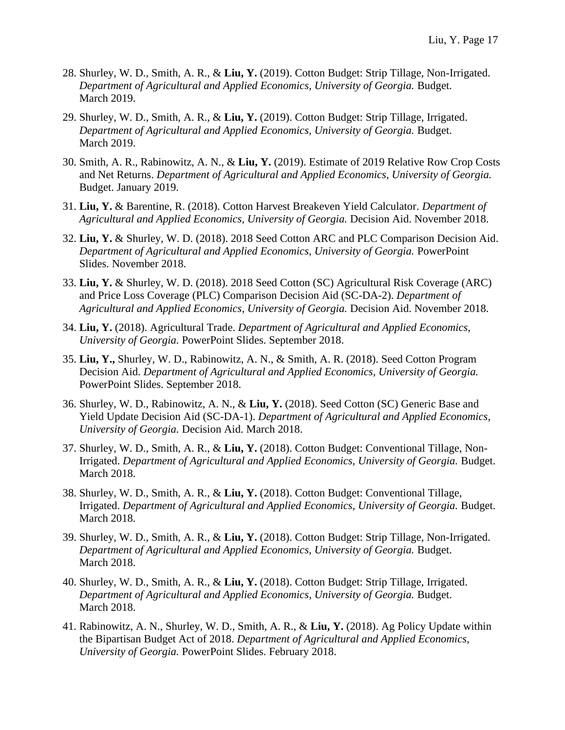- 28. Shurley, W. D., Smith, A. R., & **Liu, Y.** (2019). Cotton Budget: Strip Tillage, Non-Irrigated. *Department of Agricultural and Applied Economics, University of Georgia.* Budget. March 2019.
- 29. Shurley, W. D., Smith, A. R., & **Liu, Y.** (2019). Cotton Budget: Strip Tillage, Irrigated. *Department of Agricultural and Applied Economics, University of Georgia.* Budget. March 2019.
- 30. Smith, A. R., Rabinowitz, A. N., & **Liu, Y.** (2019). Estimate of 2019 Relative Row Crop Costs and Net Returns. *Department of Agricultural and Applied Economics, University of Georgia.* Budget. January 2019.
- 31. **Liu, Y.** & Barentine, R. (2018). Cotton Harvest Breakeven Yield Calculator. *Department of Agricultural and Applied Economics, University of Georgia.* Decision Aid. November 2018.
- 32. **Liu, Y.** & Shurley, W. D. (2018). 2018 Seed Cotton ARC and PLC Comparison Decision Aid. *Department of Agricultural and Applied Economics, University of Georgia.* PowerPoint Slides. November 2018.
- 33. **Liu, Y.** & Shurley, W. D. (2018). 2018 Seed Cotton (SC) Agricultural Risk Coverage (ARC) and Price Loss Coverage (PLC) Comparison Decision Aid (SC-DA-2). *Department of Agricultural and Applied Economics, University of Georgia.* Decision Aid. November 2018.
- 34. **Liu, Y.** (2018). Agricultural Trade. *Department of Agricultural and Applied Economics, University of Georgia.* PowerPoint Slides. September 2018.
- 35. **Liu, Y.,** Shurley, W. D., Rabinowitz, A. N., & Smith, A. R. (2018). Seed Cotton Program Decision Aid. *Department of Agricultural and Applied Economics, University of Georgia.* PowerPoint Slides. September 2018.
- 36. Shurley, W. D., Rabinowitz, A. N., & **Liu, Y.** (2018). Seed Cotton (SC) Generic Base and Yield Update Decision Aid (SC-DA-1). *Department of Agricultural and Applied Economics, University of Georgia.* Decision Aid. March 2018.
- 37. Shurley, W. D., Smith, A. R., & **Liu, Y.** (2018). Cotton Budget: Conventional Tillage, Non-Irrigated. *Department of Agricultural and Applied Economics, University of Georgia.* Budget. March 2018.
- 38. Shurley, W. D., Smith, A. R., & **Liu, Y.** (2018). Cotton Budget: Conventional Tillage, Irrigated. *Department of Agricultural and Applied Economics, University of Georgia.* Budget. March 2018.
- 39. Shurley, W. D., Smith, A. R., & **Liu, Y.** (2018). Cotton Budget: Strip Tillage, Non-Irrigated. *Department of Agricultural and Applied Economics, University of Georgia.* Budget. March 2018.
- 40. Shurley, W. D., Smith, A. R., & **Liu, Y.** (2018). Cotton Budget: Strip Tillage, Irrigated. *Department of Agricultural and Applied Economics, University of Georgia.* Budget. March 2018.
- 41. Rabinowitz, A. N., Shurley, W. D., Smith, A. R., & **Liu, Y.** (2018). Ag Policy Update within the Bipartisan Budget Act of 2018. *Department of Agricultural and Applied Economics, University of Georgia.* PowerPoint Slides. February 2018.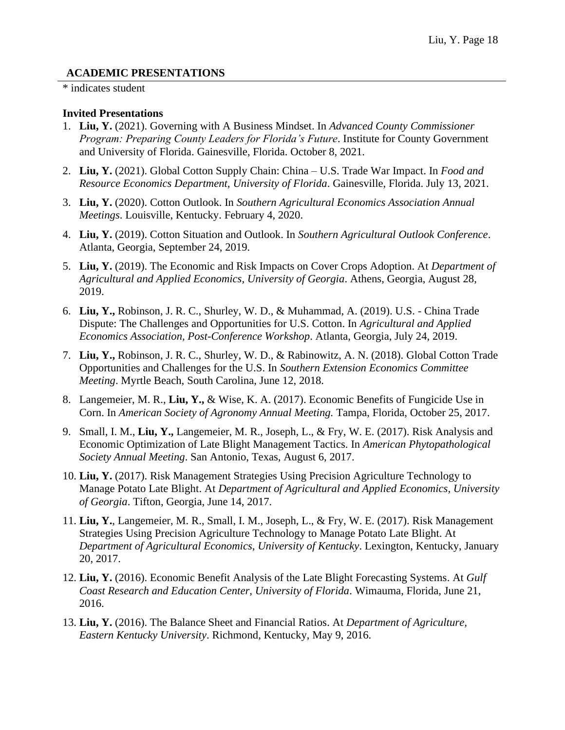## **ACADEMIC PRESENTATIONS**

#### \* indicates student

### **Invited Presentations**

- 1. **Liu, Y.** (2021). Governing with A Business Mindset. In *Advanced County Commissioner Program: Preparing County Leaders for Florida's Future*. Institute for County Government and University of Florida. Gainesville, Florida. October 8, 2021.
- 2. **Liu, Y.** (2021). Global Cotton Supply Chain: China U.S. Trade War Impact. In *Food and Resource Economics Department, University of Florida*. Gainesville, Florida. July 13, 2021.
- 3. **Liu, Y.** (2020). Cotton Outlook. In *Southern Agricultural Economics Association Annual Meetings*. Louisville, Kentucky. February 4, 2020.
- 4. **Liu, Y.** (2019). Cotton Situation and Outlook. In *Southern Agricultural Outlook Conference*. Atlanta, Georgia, September 24, 2019.
- 5. **Liu, Y.** (2019). The Economic and Risk Impacts on Cover Crops Adoption. At *Department of Agricultural and Applied Economics, University of Georgia*. Athens, Georgia, August 28, 2019.
- 6. **Liu, Y.,** Robinson, J. R. C., Shurley, W. D., & Muhammad, A. (2019). U.S. China Trade Dispute: The Challenges and Opportunities for U.S. Cotton. In *Agricultural and Applied Economics Association, Post-Conference Workshop*. Atlanta, Georgia, July 24, 2019.
- 7. **Liu, Y.,** Robinson, J. R. C., Shurley, W. D., & Rabinowitz, A. N. (2018). Global Cotton Trade Opportunities and Challenges for the U.S. In *Southern Extension Economics Committee Meeting*. Myrtle Beach, South Carolina, June 12, 2018.
- 8. Langemeier, M. R., **Liu, Y.,** & Wise, K. A. (2017). Economic Benefits of Fungicide Use in Corn. In *American Society of Agronomy Annual Meeting.* Tampa, Florida, October 25, 2017.
- 9. Small, I. M., **Liu, Y.,** Langemeier, M. R., Joseph, L., & Fry, W. E. (2017). Risk Analysis and Economic Optimization of Late Blight Management Tactics. In *American Phytopathological Society Annual Meeting*. San Antonio, Texas, August 6, 2017.
- 10. **Liu, Y.** (2017). Risk Management Strategies Using Precision Agriculture Technology to Manage Potato Late Blight. At *Department of Agricultural and Applied Economics, University of Georgia*. Tifton, Georgia, June 14, 2017.
- 11. **Liu, Y.**, Langemeier, M. R., Small, I. M., Joseph, L., & Fry, W. E. (2017). Risk Management Strategies Using Precision Agriculture Technology to Manage Potato Late Blight. At *Department of Agricultural Economics, University of Kentucky*. Lexington, Kentucky, January 20, 2017.
- 12. **Liu, Y.** (2016). Economic Benefit Analysis of the Late Blight Forecasting Systems. At *Gulf Coast Research and Education Center, University of Florida*. Wimauma, Florida, June 21, 2016.
- 13. **Liu, Y.** (2016). The Balance Sheet and Financial Ratios. At *Department of Agriculture, Eastern Kentucky University*. Richmond, Kentucky, May 9, 2016.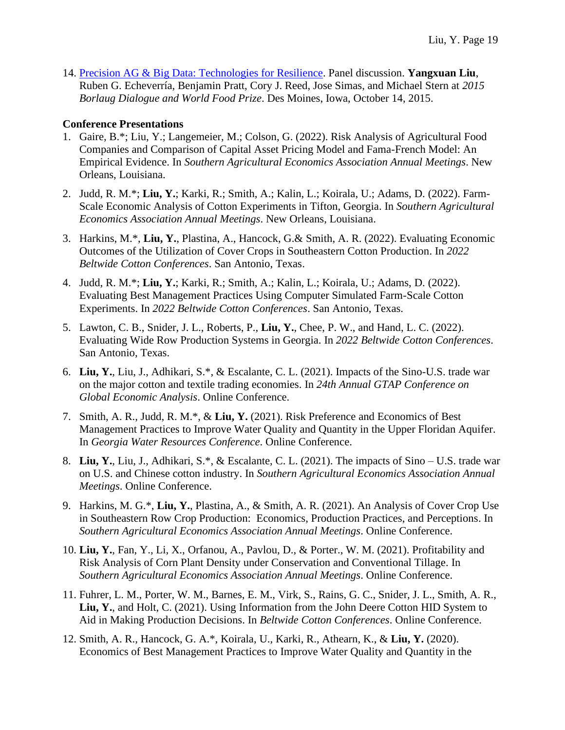14. [Precision AG & Big Data: Technologies for Resilience.](https://www.youtube.com/watch?v=9MFgxdjgAeE&feature=youtu.be) Panel discussion. **Yangxuan Liu**, Ruben G. Echeverría, Benjamin Pratt, Cory J. Reed, Jose Simas, and Michael Stern at *2015 Borlaug Dialogue and World Food Prize*. Des Moines, Iowa, October 14, 2015.

### **Conference Presentations**

- 1. Gaire, B.\*; Liu, Y.; Langemeier, M.; Colson, G. (2022). Risk Analysis of Agricultural Food Companies and Comparison of Capital Asset Pricing Model and Fama-French Model: An Empirical Evidence. In *Southern Agricultural Economics Association Annual Meetings*. New Orleans, Louisiana.
- 2. Judd, R. M.\*; **Liu, Y.**; Karki, R.; Smith, A.; Kalin, L.; Koirala, U.; Adams, D. (2022). Farm-Scale Economic Analysis of Cotton Experiments in Tifton, Georgia. In *Southern Agricultural Economics Association Annual Meetings*. New Orleans, Louisiana.
- 3. Harkins, M.\*, **Liu, Y.**, Plastina, A., Hancock, G.& Smith, A. R. (2022). Evaluating Economic Outcomes of the Utilization of Cover Crops in Southeastern Cotton Production. In *2022 Beltwide Cotton Conferences*. San Antonio, Texas.
- 4. Judd, R. M.\*; **Liu, Y.**; Karki, R.; Smith, A.; Kalin, L.; Koirala, U.; Adams, D. (2022). Evaluating Best Management Practices Using Computer Simulated Farm-Scale Cotton Experiments. In *2022 Beltwide Cotton Conferences*. San Antonio, Texas.
- 5. Lawton, C. B., Snider, J. L., Roberts, P., **Liu, Y.**, Chee, P. W., and Hand, L. C. (2022). Evaluating Wide Row Production Systems in Georgia. In *2022 Beltwide Cotton Conferences*. San Antonio, Texas.
- 6. **Liu, Y.**, Liu, J., Adhikari, S.\*, & Escalante, C. L. (2021). Impacts of the Sino-U.S. trade war on the major cotton and textile trading economies. In *24th Annual GTAP Conference on Global Economic Analysis*. Online Conference.
- 7. Smith, A. R., Judd, R. M.\*, & **Liu, Y.** (2021). Risk Preference and Economics of Best Management Practices to Improve Water Quality and Quantity in the Upper Floridan Aquifer. In *Georgia Water Resources Conference*. Online Conference.
- 8. **Liu, Y.**, Liu, J., Adhikari, S.\*, & Escalante, C. L. (2021). The impacts of Sino U.S. trade war on U.S. and Chinese cotton industry. In *Southern Agricultural Economics Association Annual Meetings*. Online Conference.
- 9. Harkins, M. G.\*, **Liu, Y.**, Plastina, A., & Smith, A. R. (2021). An Analysis of Cover Crop Use in Southeastern Row Crop Production: Economics, Production Practices, and Perceptions. In *Southern Agricultural Economics Association Annual Meetings*. Online Conference.
- 10. **Liu, Y.**, Fan, Y., Li, X., Orfanou, A., Pavlou, D., & Porter., W. M. (2021). Profitability and Risk Analysis of Corn Plant Density under Conservation and Conventional Tillage. In *Southern Agricultural Economics Association Annual Meetings*. Online Conference.
- 11. Fuhrer, L. M., Porter, W. M., Barnes, E. M., Virk, S., Rains, G. C., Snider, J. L., Smith, A. R., **Liu, Y.**, and Holt, C. (2021). Using Information from the John Deere Cotton HID System to Aid in Making Production Decisions. In *Beltwide Cotton Conferences*. Online Conference.
- 12. Smith, A. R., Hancock, G. A.\*, Koirala, U., Karki, R., Athearn, K., & **Liu, Y.** (2020). Economics of Best Management Practices to Improve Water Quality and Quantity in the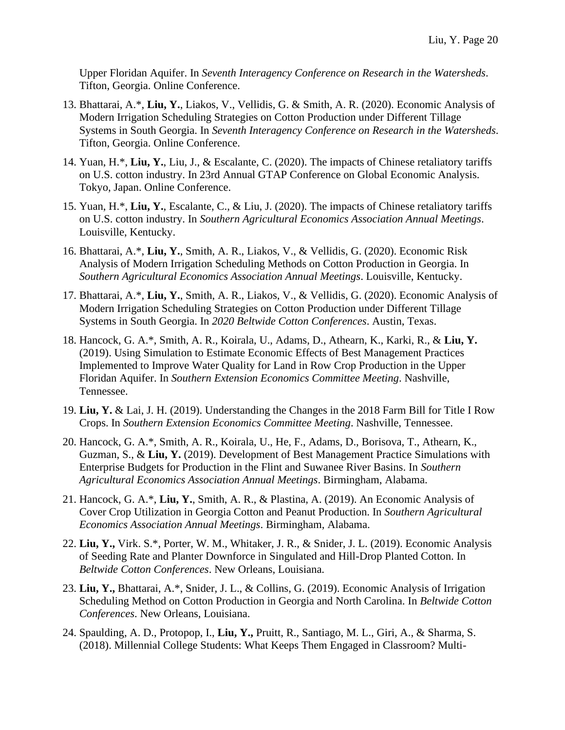Upper Floridan Aquifer. In *Seventh Interagency Conference on Research in the Watersheds*. Tifton, Georgia. Online Conference.

- 13. Bhattarai, A.\*, **Liu, Y.**, Liakos, V., Vellidis, G. & Smith, A. R. (2020). Economic Analysis of Modern Irrigation Scheduling Strategies on Cotton Production under Different Tillage Systems in South Georgia. In *Seventh Interagency Conference on Research in the Watersheds*. Tifton, Georgia. Online Conference.
- 14. Yuan, H.\*, **Liu, Y.**, Liu, J., & Escalante, C. (2020). The impacts of Chinese retaliatory tariffs on U.S. cotton industry. In 23rd Annual GTAP Conference on Global Economic Analysis. Tokyo, Japan. Online Conference.
- 15. Yuan, H.\*, **Liu, Y.**, Escalante, C., & Liu, J. (2020). The impacts of Chinese retaliatory tariffs on U.S. cotton industry. In *Southern Agricultural Economics Association Annual Meetings*. Louisville, Kentucky.
- 16. Bhattarai, A.\*, **Liu, Y.**, Smith, A. R., Liakos, V., & Vellidis, G. (2020). Economic Risk Analysis of Modern Irrigation Scheduling Methods on Cotton Production in Georgia. In *Southern Agricultural Economics Association Annual Meetings*. Louisville, Kentucky.
- 17. Bhattarai, A.\*, **Liu, Y.**, Smith, A. R., Liakos, V., & Vellidis, G. (2020). Economic Analysis of Modern Irrigation Scheduling Strategies on Cotton Production under Different Tillage Systems in South Georgia. In *2020 Beltwide Cotton Conferences*. Austin, Texas.
- 18. Hancock, G. A.\*, Smith, A. R., Koirala, U., Adams, D., Athearn, K., Karki, R., & **Liu, Y.** (2019). Using Simulation to Estimate Economic Effects of Best Management Practices Implemented to Improve Water Quality for Land in Row Crop Production in the Upper Floridan Aquifer. In *Southern Extension Economics Committee Meeting*. Nashville, Tennessee.
- 19. **Liu, Y.** & Lai, J. H. (2019). Understanding the Changes in the 2018 Farm Bill for Title I Row Crops. In *Southern Extension Economics Committee Meeting*. Nashville, Tennessee.
- 20. Hancock, G. A.\*, Smith, A. R., Koirala, U., He, F., Adams, D., Borisova, T., Athearn, K., Guzman, S., & **Liu, Y.** (2019). Development of Best Management Practice Simulations with Enterprise Budgets for Production in the Flint and Suwanee River Basins. In *Southern Agricultural Economics Association Annual Meetings*. Birmingham, Alabama.
- 21. Hancock, G. A.\*, **Liu, Y.**, Smith, A. R., & Plastina, A. (2019). An Economic Analysis of Cover Crop Utilization in Georgia Cotton and Peanut Production. In *Southern Agricultural Economics Association Annual Meetings*. Birmingham, Alabama.
- 22. **Liu, Y.,** Virk. S.\*, Porter, W. M., Whitaker, J. R., & Snider, J. L. (2019). Economic Analysis of Seeding Rate and Planter Downforce in Singulated and Hill-Drop Planted Cotton. In *Beltwide Cotton Conferences*. New Orleans, Louisiana.
- 23. **Liu, Y.,** Bhattarai, A.\*, Snider, J. L., & Collins, G. (2019). Economic Analysis of Irrigation Scheduling Method on Cotton Production in Georgia and North Carolina. In *Beltwide Cotton Conferences*. New Orleans, Louisiana.
- 24. Spaulding, A. D., Protopop, I., **Liu, Y.,** Pruitt, R., Santiago, M. L., Giri, A., & Sharma, S. (2018). Millennial College Students: What Keeps Them Engaged in Classroom? Multi-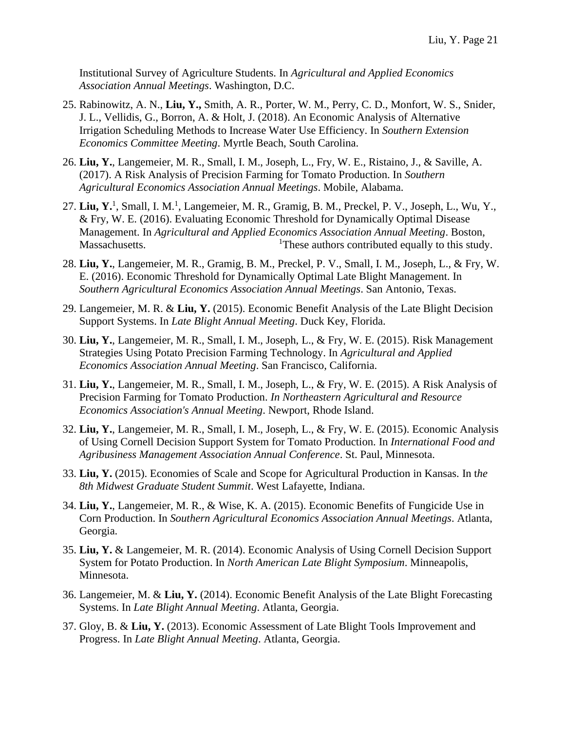Institutional Survey of Agriculture Students. In *Agricultural and Applied Economics Association Annual Meetings*. Washington, D.C.

- 25. Rabinowitz, A. N., **Liu, Y.,** Smith, A. R., Porter, W. M., Perry, C. D., Monfort, W. S., Snider, J. L., Vellidis, G., Borron, A. & Holt, J. (2018). An Economic Analysis of Alternative Irrigation Scheduling Methods to Increase Water Use Efficiency. In *Southern Extension Economics Committee Meeting*. Myrtle Beach, South Carolina.
- 26. **Liu, Y.**, Langemeier, M. R., Small, I. M., Joseph, L., Fry, W. E., Ristaino, J., & Saville, A. (2017). A Risk Analysis of Precision Farming for Tomato Production. In *Southern Agricultural Economics Association Annual Meetings*. Mobile, Alabama.
- 27. Liu, Y.<sup>1</sup>, Small, I. M.<sup>1</sup>, Langemeier, M. R., Gramig, B. M., Preckel, P. V., Joseph, L., Wu, Y., & Fry, W. E. (2016). Evaluating Economic Threshold for Dynamically Optimal Disease Management. In *Agricultural and Applied Economics Association Annual Meeting*. Boston, Massachusetts. 1These authors contributed equally to this study.
- 28. **Liu, Y.**, Langemeier, M. R., Gramig, B. M., Preckel, P. V., Small, I. M., Joseph, L., & Fry, W. E. (2016). Economic Threshold for Dynamically Optimal Late Blight Management. In *Southern Agricultural Economics Association Annual Meetings*. San Antonio, Texas.
- 29. Langemeier, M. R. & **Liu, Y.** (2015). Economic Benefit Analysis of the Late Blight Decision Support Systems. In *Late Blight Annual Meeting*. Duck Key, Florida.
- 30. **Liu, Y.**, Langemeier, M. R., Small, I. M., Joseph, L., & Fry, W. E. (2015). Risk Management Strategies Using Potato Precision Farming Technology. In *Agricultural and Applied Economics Association Annual Meeting*. San Francisco, California.
- 31. **Liu, Y.**, Langemeier, M. R., Small, I. M., Joseph, L., & Fry, W. E. (2015). A Risk Analysis of Precision Farming for Tomato Production. *In Northeastern Agricultural and Resource Economics Association's Annual Meeting*. Newport, Rhode Island.
- 32. **Liu, Y.**, Langemeier, M. R., Small, I. M., Joseph, L., & Fry, W. E. (2015). Economic Analysis of Using Cornell Decision Support System for Tomato Production. In *International Food and Agribusiness Management Association Annual Conference*. St. Paul, Minnesota.
- 33. **Liu, Y.** (2015). Economies of Scale and Scope for Agricultural Production in Kansas. In t*he 8th Midwest Graduate Student Summit*. West Lafayette, Indiana.
- 34. **Liu, Y.**, Langemeier, M. R., & Wise, K. A. (2015). Economic Benefits of Fungicide Use in Corn Production. In *Southern Agricultural Economics Association Annual Meetings*. Atlanta, Georgia.
- 35. **Liu, Y.** & Langemeier, M. R. (2014). Economic Analysis of Using Cornell Decision Support System for Potato Production. In *North American Late Blight Symposium*. Minneapolis, Minnesota.
- 36. Langemeier, M. & **Liu, Y.** (2014). Economic Benefit Analysis of the Late Blight Forecasting Systems. In *Late Blight Annual Meeting*. Atlanta, Georgia.
- 37. Gloy, B. & **Liu, Y.** (2013). Economic Assessment of Late Blight Tools Improvement and Progress. In *Late Blight Annual Meeting*. Atlanta, Georgia.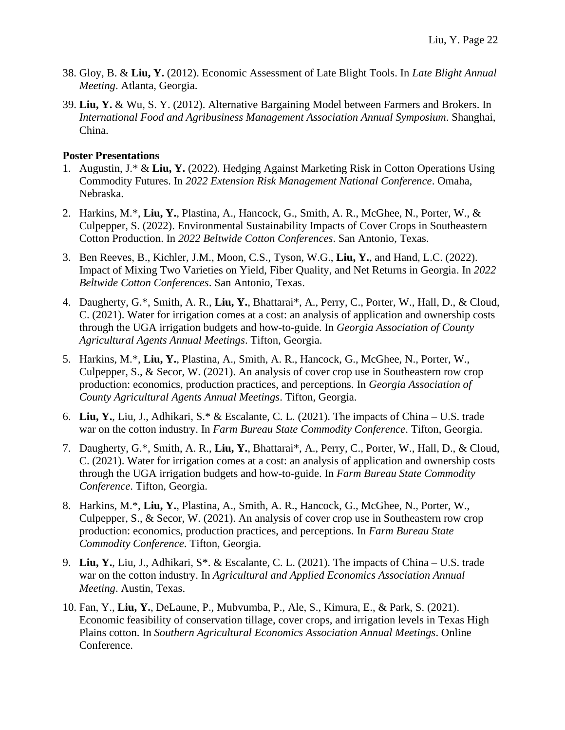- 38. Gloy, B. & **Liu, Y.** (2012). Economic Assessment of Late Blight Tools. In *Late Blight Annual Meeting*. Atlanta, Georgia.
- 39. **Liu, Y.** & Wu, S. Y. (2012). Alternative Bargaining Model between Farmers and Brokers. In *International Food and Agribusiness Management Association Annual Symposium*. Shanghai, China.

### **Poster Presentations**

- 1. Augustin, J.\* & **Liu, Y.** (2022). Hedging Against Marketing Risk in Cotton Operations Using Commodity Futures. In *2022 Extension Risk Management National Conference*. Omaha, Nebraska.
- 2. Harkins, M.\*, **Liu, Y.**, Plastina, A., Hancock, G., Smith, A. R., McGhee, N., Porter, W., & Culpepper, S. (2022). Environmental Sustainability Impacts of Cover Crops in Southeastern Cotton Production. In *2022 Beltwide Cotton Conferences*. San Antonio, Texas.
- 3. Ben Reeves, B., Kichler, J.M., Moon, C.S., Tyson, W.G., **Liu, Y.**, and Hand, L.C. (2022). Impact of Mixing Two Varieties on Yield, Fiber Quality, and Net Returns in Georgia. In *2022 Beltwide Cotton Conferences*. San Antonio, Texas.
- 4. Daugherty, G.\*, Smith, A. R., **Liu, Y.**, Bhattarai\*, A., Perry, C., Porter, W., Hall, D., & Cloud, C. (2021). Water for irrigation comes at a cost: an analysis of application and ownership costs through the UGA irrigation budgets and how-to-guide. In *Georgia Association of County Agricultural Agents Annual Meetings*. Tifton, Georgia.
- 5. Harkins, M.\*, **Liu, Y.**, Plastina, A., Smith, A. R., Hancock, G., McGhee, N., Porter, W., Culpepper, S., & Secor, W. (2021). An analysis of cover crop use in Southeastern row crop production: economics, production practices, and perceptions. In *Georgia Association of County Agricultural Agents Annual Meetings*. Tifton, Georgia.
- 6. **Liu, Y.**, Liu, J., Adhikari, S.\* & Escalante, C. L. (2021). The impacts of China U.S. trade war on the cotton industry. In *Farm Bureau State Commodity Conference*. Tifton, Georgia.
- 7. Daugherty, G.\*, Smith, A. R., **Liu, Y.**, Bhattarai\*, A., Perry, C., Porter, W., Hall, D., & Cloud, C. (2021). Water for irrigation comes at a cost: an analysis of application and ownership costs through the UGA irrigation budgets and how-to-guide. In *Farm Bureau State Commodity Conference*. Tifton, Georgia.
- 8. Harkins, M.\*, **Liu, Y.**, Plastina, A., Smith, A. R., Hancock, G., McGhee, N., Porter, W., Culpepper, S., & Secor, W. (2021). An analysis of cover crop use in Southeastern row crop production: economics, production practices, and perceptions. In *Farm Bureau State Commodity Conference*. Tifton, Georgia.
- 9. **Liu, Y.**, Liu, J., Adhikari, S\*. & Escalante, C. L. (2021). The impacts of China U.S. trade war on the cotton industry. In *Agricultural and Applied Economics Association Annual Meeting*. Austin, Texas.
- 10. Fan, Y., **Liu, Y.**, DeLaune, P., Mubvumba, P., Ale, S., Kimura, E., & Park, S. (2021). Economic feasibility of conservation tillage, cover crops, and irrigation levels in Texas High Plains cotton. In *Southern Agricultural Economics Association Annual Meetings*. Online Conference.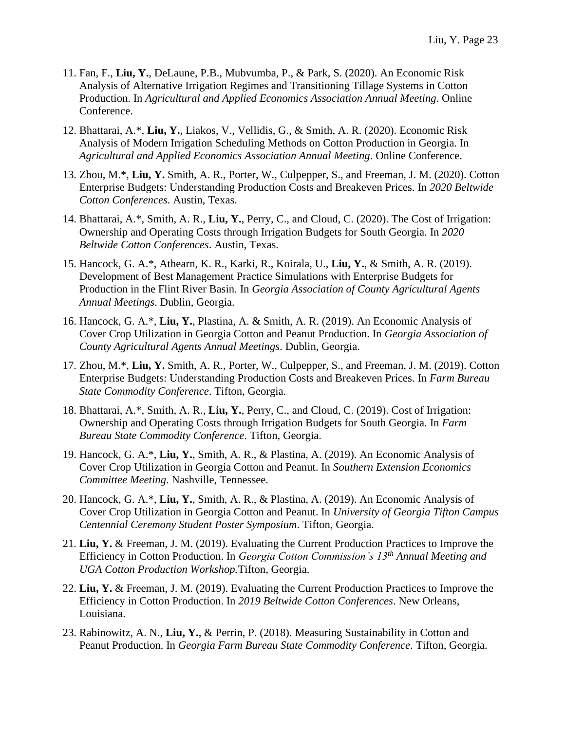- 11. Fan, F., **Liu, Y.**, DeLaune, P.B., Mubvumba, P., & Park, S. (2020). An Economic Risk Analysis of Alternative Irrigation Regimes and Transitioning Tillage Systems in Cotton Production. In *Agricultural and Applied Economics Association Annual Meeting*. Online Conference.
- 12. Bhattarai, A.\*, **Liu, Y.**, Liakos, V., Vellidis, G., & Smith, A. R. (2020). Economic Risk Analysis of Modern Irrigation Scheduling Methods on Cotton Production in Georgia. In *Agricultural and Applied Economics Association Annual Meeting*. Online Conference.
- 13. Zhou, M.\*, **Liu, Y.** Smith, A. R., Porter, W., Culpepper, S., and Freeman, J. M. (2020). Cotton Enterprise Budgets: Understanding Production Costs and Breakeven Prices. In *2020 Beltwide Cotton Conferences*. Austin, Texas.
- 14. Bhattarai, A.\*, Smith, A. R., **Liu, Y.**, Perry, C., and Cloud, C. (2020). The Cost of Irrigation: Ownership and Operating Costs through Irrigation Budgets for South Georgia. In *2020 Beltwide Cotton Conferences*. Austin, Texas.
- 15. Hancock, G. A.\*, Athearn, K. R., Karki, R., Koirala, U., **Liu, Y.**, & Smith, A. R. (2019). Development of Best Management Practice Simulations with Enterprise Budgets for Production in the Flint River Basin. In *Georgia Association of County Agricultural Agents Annual Meetings*. Dublin, Georgia.
- 16. Hancock, G. A.\*, **Liu, Y.**, Plastina, A. & Smith, A. R. (2019). An Economic Analysis of Cover Crop Utilization in Georgia Cotton and Peanut Production. In *Georgia Association of County Agricultural Agents Annual Meetings*. Dublin, Georgia.
- 17. Zhou, M.\*, **Liu, Y.** Smith, A. R., Porter, W., Culpepper, S., and Freeman, J. M. (2019). Cotton Enterprise Budgets: Understanding Production Costs and Breakeven Prices. In *Farm Bureau State Commodity Conference*. Tifton, Georgia.
- 18. Bhattarai, A.\*, Smith, A. R., **Liu, Y.**, Perry, C., and Cloud, C. (2019). Cost of Irrigation: Ownership and Operating Costs through Irrigation Budgets for South Georgia. In *Farm Bureau State Commodity Conference*. Tifton, Georgia.
- 19. Hancock, G. A.\*, **Liu, Y.**, Smith, A. R., & Plastina, A. (2019). An Economic Analysis of Cover Crop Utilization in Georgia Cotton and Peanut. In *Southern Extension Economics Committee Meeting*. Nashville, Tennessee.
- 20. Hancock, G. A.\*, **Liu, Y.**, Smith, A. R., & Plastina, A. (2019). An Economic Analysis of Cover Crop Utilization in Georgia Cotton and Peanut. In *University of Georgia Tifton Campus Centennial Ceremony Student Poster Symposium*. Tifton, Georgia.
- 21. **Liu, Y.** & Freeman, J. M. (2019). Evaluating the Current Production Practices to Improve the Efficiency in Cotton Production. In *Georgia Cotton Commission's 13th Annual Meeting and UGA Cotton Production Workshop.*Tifton, Georgia.
- 22. **Liu, Y.** & Freeman, J. M. (2019). Evaluating the Current Production Practices to Improve the Efficiency in Cotton Production. In *2019 Beltwide Cotton Conferences*. New Orleans, Louisiana.
- 23. Rabinowitz, A. N., **Liu, Y.**, & Perrin, P. (2018). Measuring Sustainability in Cotton and Peanut Production. In *Georgia Farm Bureau State Commodity Conference*. Tifton, Georgia.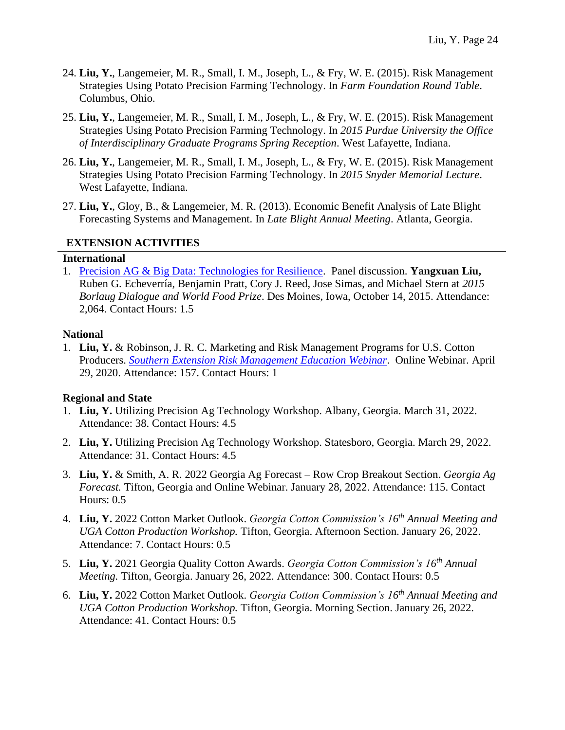- 24. **Liu, Y.**, Langemeier, M. R., Small, I. M., Joseph, L., & Fry, W. E. (2015). Risk Management Strategies Using Potato Precision Farming Technology. In *Farm Foundation Round Table*. Columbus, Ohio.
- 25. **Liu, Y.**, Langemeier, M. R., Small, I. M., Joseph, L., & Fry, W. E. (2015). Risk Management Strategies Using Potato Precision Farming Technology. In *2015 Purdue University the Office of Interdisciplinary Graduate Programs Spring Reception*. West Lafayette, Indiana.
- 26. **Liu, Y.**, Langemeier, M. R., Small, I. M., Joseph, L., & Fry, W. E. (2015). Risk Management Strategies Using Potato Precision Farming Technology. In *2015 Snyder Memorial Lecture*. West Lafayette, Indiana.
- 27. **Liu, Y.**, Gloy, B., & Langemeier, M. R. (2013). Economic Benefit Analysis of Late Blight Forecasting Systems and Management. In *Late Blight Annual Meeting*. Atlanta, Georgia.

## **EXTENSION ACTIVITIES**

#### **International**

1. [Precision AG & Big Data: Technologies for Resilience.](https://www.youtube.com/watch?v=9MFgxdjgAeE&feature=youtu.be) Panel discussion. **Yangxuan Liu,** Ruben G. Echeverría, Benjamin Pratt, Cory J. Reed, Jose Simas, and Michael Stern at *2015 Borlaug Dialogue and World Food Prize*. Des Moines, Iowa, October 14, 2015. Attendance: 2,064. Contact Hours: 1.5

#### **National**

1. **Liu, Y.** & Robinson, J. R. C. Marketing and Risk Management Programs for U.S. Cotton Producers. *[Southern Extension Risk Management Education Webinar](https://srmec.uaex.edu/webinars/default.aspx)*. Online Webinar. April 29, 2020. Attendance: 157. Contact Hours: 1

## **Regional and State**

- 1. **Liu, Y.** Utilizing Precision Ag Technology Workshop. Albany, Georgia. March 31, 2022. Attendance: 38. Contact Hours: 4.5
- 2. **Liu, Y.** Utilizing Precision Ag Technology Workshop. Statesboro, Georgia. March 29, 2022. Attendance: 31. Contact Hours: 4.5
- 3. **Liu, Y.** & Smith, A. R. 2022 Georgia Ag Forecast Row Crop Breakout Section. *Georgia Ag Forecast.* Tifton, Georgia and Online Webinar. January 28, 2022. Attendance: 115. Contact Hours: 0.5
- 4. **Liu, Y.** 2022 Cotton Market Outlook. *Georgia Cotton Commission's 16 th Annual Meeting and UGA Cotton Production Workshop.* Tifton, Georgia. Afternoon Section. January 26, 2022. Attendance: 7. Contact Hours: 0.5
- 5. **Liu, Y.** 2021 Georgia Quality Cotton Awards. *Georgia Cotton Commission's 16 th Annual Meeting.* Tifton, Georgia. January 26, 2022. Attendance: 300. Contact Hours: 0.5
- 6. **Liu, Y.** 2022 Cotton Market Outlook. *Georgia Cotton Commission's 16 th Annual Meeting and UGA Cotton Production Workshop.* Tifton, Georgia. Morning Section. January 26, 2022. Attendance: 41. Contact Hours: 0.5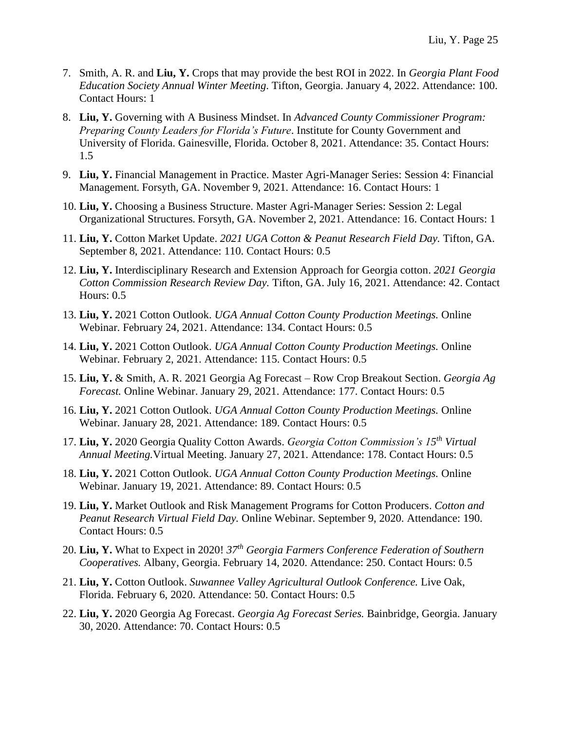- 7. Smith, A. R. and **Liu, Y.** Crops that may provide the best ROI in 2022. In *Georgia Plant Food Education Society Annual Winter Meeting*. Tifton, Georgia. January 4, 2022. Attendance: 100. Contact Hours: 1
- 8. **Liu, Y.** Governing with A Business Mindset. In *Advanced County Commissioner Program: Preparing County Leaders for Florida's Future*. Institute for County Government and University of Florida. Gainesville, Florida. October 8, 2021. Attendance: 35. Contact Hours: 1.5
- 9. **Liu, Y.** Financial Management in Practice. Master Agri-Manager Series: Session 4: Financial Management*.* Forsyth, GA. November 9, 2021. Attendance: 16. Contact Hours: 1
- 10. **Liu, Y.** Choosing a Business Structure. Master Agri-Manager Series: Session 2: Legal Organizational Structures*.* Forsyth, GA. November 2, 2021. Attendance: 16. Contact Hours: 1
- 11. **Liu, Y.** Cotton Market Update. *2021 UGA Cotton & Peanut Research Field Day.* Tifton, GA. September 8, 2021. Attendance: 110. Contact Hours: 0.5
- 12. **Liu, Y.** Interdisciplinary Research and Extension Approach for Georgia cotton. *2021 Georgia Cotton Commission Research Review Day.* Tifton, GA. July 16, 2021. Attendance: 42. Contact Hours: 0.5
- 13. **Liu, Y.** 2021 Cotton Outlook. *UGA Annual Cotton County Production Meetings.* Online Webinar. February 24, 2021. Attendance: 134. Contact Hours: 0.5
- 14. **Liu, Y.** 2021 Cotton Outlook. *UGA Annual Cotton County Production Meetings.* Online Webinar. February 2, 2021. Attendance: 115. Contact Hours: 0.5
- 15. **Liu, Y.** & Smith, A. R. 2021 Georgia Ag Forecast Row Crop Breakout Section. *Georgia Ag Forecast.* Online Webinar. January 29, 2021. Attendance: 177. Contact Hours: 0.5
- 16. **Liu, Y.** 2021 Cotton Outlook. *UGA Annual Cotton County Production Meetings.* Online Webinar. January 28, 2021. Attendance: 189. Contact Hours: 0.5
- 17. **Liu, Y.** 2020 Georgia Quality Cotton Awards. *Georgia Cotton Commission's 15 th Virtual Annual Meeting.*Virtual Meeting. January 27, 2021. Attendance: 178. Contact Hours: 0.5
- 18. **Liu, Y.** 2021 Cotton Outlook. *UGA Annual Cotton County Production Meetings.* Online Webinar. January 19, 2021. Attendance: 89. Contact Hours: 0.5
- 19. **Liu, Y.** Market Outlook and Risk Management Programs for Cotton Producers. *Cotton and Peanut Research Virtual Field Day.* Online Webinar. September 9, 2020. Attendance: 190. Contact Hours: 0.5
- 20. **Liu, Y.** What to Expect in 2020! *37th Georgia Farmers Conference Federation of Southern Cooperatives.* Albany, Georgia. February 14, 2020. Attendance: 250. Contact Hours: 0.5
- 21. **Liu, Y.** Cotton Outlook. *Suwannee Valley Agricultural Outlook Conference.* Live Oak, Florida. February 6, 2020. Attendance: 50. Contact Hours: 0.5
- 22. **Liu, Y.** 2020 Georgia Ag Forecast. *Georgia Ag Forecast Series.* Bainbridge, Georgia. January 30, 2020. Attendance: 70. Contact Hours: 0.5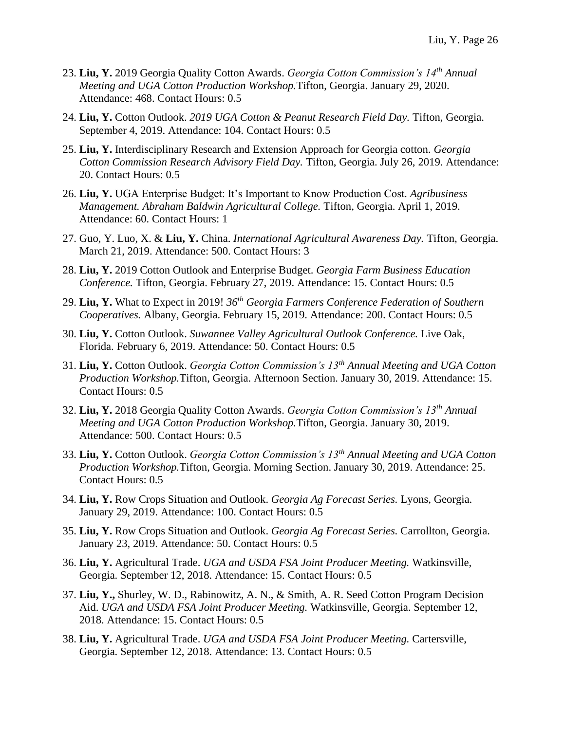- 23. **Liu, Y.** 2019 Georgia Quality Cotton Awards. *Georgia Cotton Commission's 14th Annual Meeting and UGA Cotton Production Workshop.*Tifton, Georgia. January 29, 2020. Attendance: 468. Contact Hours: 0.5
- 24. **Liu, Y.** Cotton Outlook. *2019 UGA Cotton & Peanut Research Field Day.* Tifton, Georgia. September 4, 2019. Attendance: 104. Contact Hours: 0.5
- 25. **Liu, Y.** Interdisciplinary Research and Extension Approach for Georgia cotton. *Georgia Cotton Commission Research Advisory Field Day.* Tifton, Georgia. July 26, 2019. Attendance: 20. Contact Hours: 0.5
- 26. **Liu, Y.** UGA Enterprise Budget: It's Important to Know Production Cost. *Agribusiness Management. Abraham Baldwin Agricultural College.* Tifton, Georgia. April 1, 2019. Attendance: 60. Contact Hours: 1
- 27. Guo, Y. Luo, X. & **Liu, Y.** China. *International Agricultural Awareness Day.* Tifton, Georgia. March 21, 2019. Attendance: 500. Contact Hours: 3
- 28. **Liu, Y.** 2019 Cotton Outlook and Enterprise Budget. *Georgia Farm Business Education Conference.* Tifton, Georgia. February 27, 2019. Attendance: 15. Contact Hours: 0.5
- 29. **Liu, Y.** What to Expect in 2019! *36th Georgia Farmers Conference Federation of Southern Cooperatives.* Albany, Georgia. February 15, 2019. Attendance: 200. Contact Hours: 0.5
- 30. **Liu, Y.** Cotton Outlook. *Suwannee Valley Agricultural Outlook Conference.* Live Oak, Florida. February 6, 2019. Attendance: 50. Contact Hours: 0.5
- 31. **Liu, Y.** Cotton Outlook. *Georgia Cotton Commission's 13th Annual Meeting and UGA Cotton Production Workshop.*Tifton, Georgia. Afternoon Section. January 30, 2019. Attendance: 15. Contact Hours: 0.5
- 32. **Liu, Y.** 2018 Georgia Quality Cotton Awards. *Georgia Cotton Commission's 13th Annual Meeting and UGA Cotton Production Workshop.*Tifton, Georgia. January 30, 2019. Attendance: 500. Contact Hours: 0.5
- 33. **Liu, Y.** Cotton Outlook. *Georgia Cotton Commission's 13th Annual Meeting and UGA Cotton Production Workshop.*Tifton, Georgia. Morning Section. January 30, 2019. Attendance: 25. Contact Hours: 0.5
- 34. **Liu, Y.** Row Crops Situation and Outlook. *Georgia Ag Forecast Series.* Lyons, Georgia. January 29, 2019. Attendance: 100. Contact Hours: 0.5
- 35. **Liu, Y.** Row Crops Situation and Outlook. *Georgia Ag Forecast Series.* Carrollton, Georgia. January 23, 2019. Attendance: 50. Contact Hours: 0.5
- 36. **Liu, Y.** Agricultural Trade. *UGA and USDA FSA Joint Producer Meeting.* Watkinsville, Georgia. September 12, 2018. Attendance: 15. Contact Hours: 0.5
- 37. **Liu, Y.,** Shurley, W. D., Rabinowitz, A. N., & Smith, A. R. Seed Cotton Program Decision Aid. *UGA and USDA FSA Joint Producer Meeting.* Watkinsville, Georgia. September 12, 2018. Attendance: 15. Contact Hours: 0.5
- 38. **Liu, Y.** Agricultural Trade. *UGA and USDA FSA Joint Producer Meeting.* Cartersville, Georgia. September 12, 2018. Attendance: 13. Contact Hours: 0.5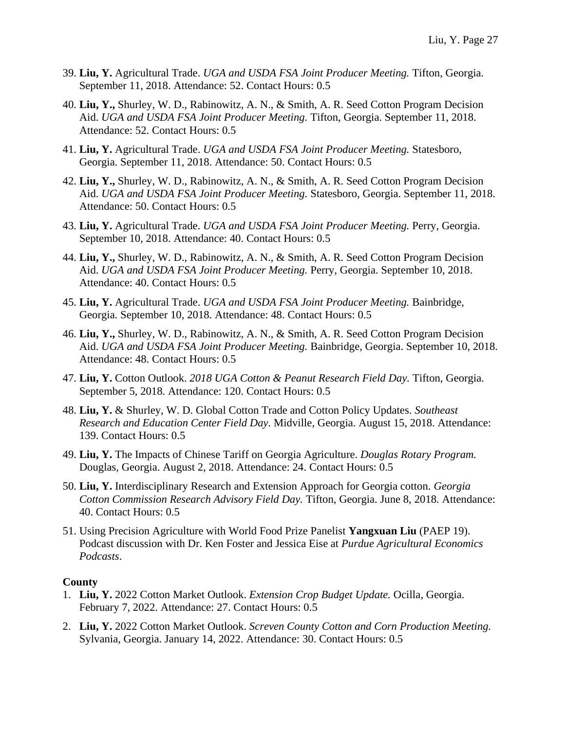- 39. **Liu, Y.** Agricultural Trade. *UGA and USDA FSA Joint Producer Meeting.* Tifton, Georgia. September 11, 2018. Attendance: 52. Contact Hours: 0.5
- 40. **Liu, Y.,** Shurley, W. D., Rabinowitz, A. N., & Smith, A. R. Seed Cotton Program Decision Aid. *UGA and USDA FSA Joint Producer Meeting.* Tifton, Georgia. September 11, 2018. Attendance: 52. Contact Hours: 0.5
- 41. **Liu, Y.** Agricultural Trade. *UGA and USDA FSA Joint Producer Meeting.* Statesboro, Georgia. September 11, 2018. Attendance: 50. Contact Hours: 0.5
- 42. **Liu, Y.,** Shurley, W. D., Rabinowitz, A. N., & Smith, A. R. Seed Cotton Program Decision Aid. *UGA and USDA FSA Joint Producer Meeting.* Statesboro, Georgia. September 11, 2018. Attendance: 50. Contact Hours: 0.5
- 43. **Liu, Y.** Agricultural Trade. *UGA and USDA FSA Joint Producer Meeting.* Perry, Georgia. September 10, 2018. Attendance: 40. Contact Hours: 0.5
- 44. **Liu, Y.,** Shurley, W. D., Rabinowitz, A. N., & Smith, A. R. Seed Cotton Program Decision Aid. *UGA and USDA FSA Joint Producer Meeting.* Perry, Georgia. September 10, 2018. Attendance: 40. Contact Hours: 0.5
- 45. **Liu, Y.** Agricultural Trade. *UGA and USDA FSA Joint Producer Meeting.* Bainbridge, Georgia. September 10, 2018. Attendance: 48. Contact Hours: 0.5
- 46. **Liu, Y.,** Shurley, W. D., Rabinowitz, A. N., & Smith, A. R. Seed Cotton Program Decision Aid. *UGA and USDA FSA Joint Producer Meeting.* Bainbridge, Georgia. September 10, 2018. Attendance: 48. Contact Hours: 0.5
- 47. **Liu, Y.** Cotton Outlook. *2018 UGA Cotton & Peanut Research Field Day.* Tifton, Georgia. September 5, 2018. Attendance: 120. Contact Hours: 0.5
- 48. **Liu, Y.** & Shurley, W. D. Global Cotton Trade and Cotton Policy Updates. *Southeast Research and Education Center Field Day.* Midville, Georgia. August 15, 2018. Attendance: 139. Contact Hours: 0.5
- 49. **Liu, Y.** The Impacts of Chinese Tariff on Georgia Agriculture. *Douglas Rotary Program.*  Douglas, Georgia. August 2, 2018. Attendance: 24. Contact Hours: 0.5
- 50. **Liu, Y.** Interdisciplinary Research and Extension Approach for Georgia cotton. *Georgia Cotton Commission Research Advisory Field Day.* Tifton, Georgia. June 8, 2018. Attendance: 40. Contact Hours: 0.5
- 51. Using Precision Agriculture with World Food Prize Panelist **Yangxuan Liu** (PAEP 19). Podcast discussion with Dr. Ken Foster and Jessica Eise at *Purdue Agricultural Economics Podcasts*.

#### **County**

- 1. **Liu, Y.** 2022 Cotton Market Outlook. *Extension Crop Budget Update.* Ocilla, Georgia. February 7, 2022. Attendance: 27. Contact Hours: 0.5
- 2. **Liu, Y.** 2022 Cotton Market Outlook. *Screven County Cotton and Corn Production Meeting.*  Sylvania, Georgia. January 14, 2022. Attendance: 30. Contact Hours: 0.5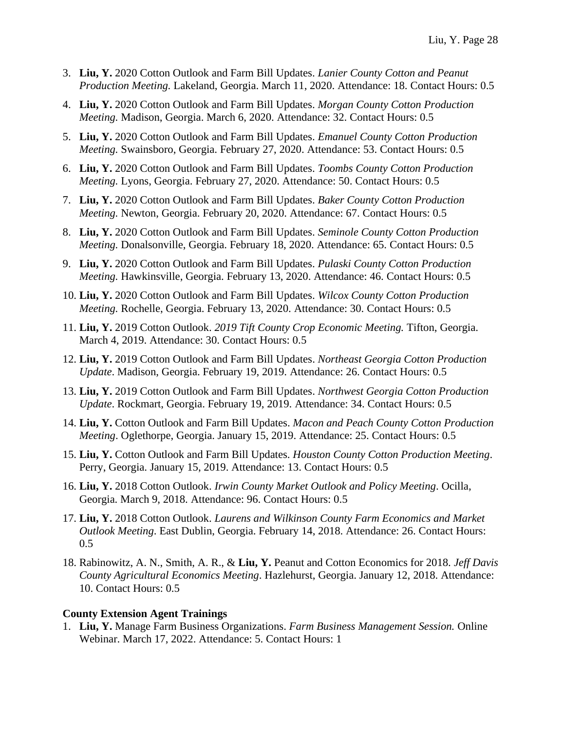- 3. **Liu, Y.** 2020 Cotton Outlook and Farm Bill Updates. *Lanier County Cotton and Peanut Production Meeting.* Lakeland, Georgia. March 11, 2020. Attendance: 18. Contact Hours: 0.5
- 4. **Liu, Y.** 2020 Cotton Outlook and Farm Bill Updates. *Morgan County Cotton Production Meeting.* Madison, Georgia. March 6, 2020. Attendance: 32. Contact Hours: 0.5
- 5. **Liu, Y.** 2020 Cotton Outlook and Farm Bill Updates. *Emanuel County Cotton Production Meeting.* Swainsboro, Georgia. February 27, 2020. Attendance: 53. Contact Hours: 0.5
- 6. **Liu, Y.** 2020 Cotton Outlook and Farm Bill Updates. *Toombs County Cotton Production Meeting.* Lyons, Georgia. February 27, 2020. Attendance: 50. Contact Hours: 0.5
- 7. **Liu, Y.** 2020 Cotton Outlook and Farm Bill Updates. *Baker County Cotton Production Meeting.* Newton, Georgia. February 20, 2020. Attendance: 67. Contact Hours: 0.5
- 8. **Liu, Y.** 2020 Cotton Outlook and Farm Bill Updates. *Seminole County Cotton Production Meeting. Donalsonville, Georgia. February 18, 2020. Attendance: 65. Contact Hours: 0.5*
- 9. **Liu, Y.** 2020 Cotton Outlook and Farm Bill Updates. *Pulaski County Cotton Production Meeting.* Hawkinsville, Georgia. February 13, 2020. Attendance: 46. Contact Hours: 0.5
- 10. **Liu, Y.** 2020 Cotton Outlook and Farm Bill Updates. *Wilcox County Cotton Production Meeting.* Rochelle, Georgia. February 13, 2020. Attendance: 30. Contact Hours: 0.5
- 11. **Liu, Y.** 2019 Cotton Outlook. *2019 Tift County Crop Economic Meeting.* Tifton, Georgia. March 4, 2019. Attendance: 30. Contact Hours: 0.5
- 12. **Liu, Y.** 2019 Cotton Outlook and Farm Bill Updates. *Northeast Georgia Cotton Production Update*. Madison, Georgia. February 19, 2019. Attendance: 26. Contact Hours: 0.5
- 13. **Liu, Y.** 2019 Cotton Outlook and Farm Bill Updates. *Northwest Georgia Cotton Production Update*. Rockmart, Georgia. February 19, 2019. Attendance: 34. Contact Hours: 0.5
- 14. **Liu, Y.** Cotton Outlook and Farm Bill Updates. *Macon and Peach County Cotton Production Meeting*. Oglethorpe, Georgia. January 15, 2019. Attendance: 25. Contact Hours: 0.5
- 15. **Liu, Y.** Cotton Outlook and Farm Bill Updates. *Houston County Cotton Production Meeting*. Perry, Georgia. January 15, 2019. Attendance: 13. Contact Hours: 0.5
- 16. **Liu, Y.** 2018 Cotton Outlook. *Irwin County Market Outlook and Policy Meeting*. Ocilla, Georgia. March 9, 2018. Attendance: 96. Contact Hours: 0.5
- 17. **Liu, Y.** 2018 Cotton Outlook. *Laurens and Wilkinson County Farm Economics and Market Outlook Meeting*. East Dublin, Georgia. February 14, 2018. Attendance: 26. Contact Hours: 0.5
- 18. Rabinowitz, A. N., Smith, A. R., & **Liu, Y.** Peanut and Cotton Economics for 2018. *Jeff Davis County Agricultural Economics Meeting*. Hazlehurst, Georgia. January 12, 2018. Attendance: 10. Contact Hours: 0.5

#### **County Extension Agent Trainings**

1. **Liu, Y.** Manage Farm Business Organizations. *Farm Business Management Session.* Online Webinar. March 17, 2022. Attendance: 5. Contact Hours: 1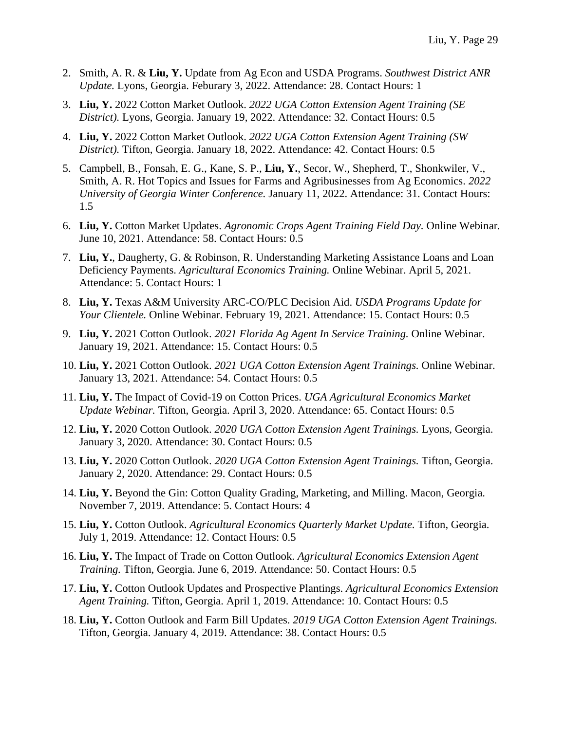- 2. Smith, A. R. & **Liu, Y.** Update from Ag Econ and USDA Programs. *Southwest District ANR Update.* Lyons, Georgia. Feburary 3, 2022. Attendance: 28. Contact Hours: 1
- 3. **Liu, Y.** 2022 Cotton Market Outlook. *2022 UGA Cotton Extension Agent Training (SE District).* Lyons, Georgia. January 19, 2022. Attendance: 32. Contact Hours: 0.5
- 4. **Liu, Y.** 2022 Cotton Market Outlook. *2022 UGA Cotton Extension Agent Training (SW District).* Tifton, Georgia. January 18, 2022. Attendance: 42. Contact Hours: 0.5
- 5. Campbell, B., Fonsah, E. G., Kane, S. P., **Liu, Y.**, Secor, W., Shepherd, T., Shonkwiler, V., Smith, A. R. Hot Topics and Issues for Farms and Agribusinesses from Ag Economics. *2022 University of Georgia Winter Conference.* January 11, 2022. Attendance: 31. Contact Hours: 1.5
- 6. **Liu, Y.** Cotton Market Updates. *Agronomic Crops Agent Training Field Day.* Online Webinar*.*  June 10, 2021. Attendance: 58. Contact Hours: 0.5
- 7. **Liu, Y.**, Daugherty, G. & Robinson, R. Understanding Marketing Assistance Loans and Loan Deficiency Payments. *Agricultural Economics Training.* Online Webinar. April 5, 2021. Attendance: 5. Contact Hours: 1
- 8. **Liu, Y.** Texas A&M University ARC-CO/PLC Decision Aid. *USDA Programs Update for Your Clientele.* Online Webinar. February 19, 2021. Attendance: 15. Contact Hours: 0.5
- 9. **Liu, Y.** 2021 Cotton Outlook. *2021 Florida Ag Agent In Service Training.* Online Webinar. January 19, 2021. Attendance: 15. Contact Hours: 0.5
- 10. **Liu, Y.** 2021 Cotton Outlook. *2021 UGA Cotton Extension Agent Trainings.* Online Webinar. January 13, 2021. Attendance: 54. Contact Hours: 0.5
- 11. **Liu, Y.** The Impact of Covid-19 on Cotton Prices. *UGA Agricultural Economics Market Update Webinar.* Tifton, Georgia. April 3, 2020. Attendance: 65. Contact Hours: 0.5
- 12. **Liu, Y.** 2020 Cotton Outlook. *2020 UGA Cotton Extension Agent Trainings.* Lyons, Georgia. January 3, 2020. Attendance: 30. Contact Hours: 0.5
- 13. **Liu, Y.** 2020 Cotton Outlook. *2020 UGA Cotton Extension Agent Trainings.* Tifton, Georgia. January 2, 2020. Attendance: 29. Contact Hours: 0.5
- 14. **Liu, Y.** Beyond the Gin: Cotton Quality Grading, Marketing, and Milling. Macon, Georgia. November 7, 2019. Attendance: 5. Contact Hours: 4
- 15. **Liu, Y.** Cotton Outlook. *Agricultural Economics Quarterly Market Update.* Tifton, Georgia. July 1, 2019. Attendance: 12. Contact Hours: 0.5
- 16. **Liu, Y.** The Impact of Trade on Cotton Outlook. *Agricultural Economics Extension Agent Training.* Tifton, Georgia. June 6, 2019. Attendance: 50. Contact Hours: 0.5
- 17. **Liu, Y.** Cotton Outlook Updates and Prospective Plantings. *Agricultural Economics Extension Agent Training.* Tifton, Georgia. April 1, 2019. Attendance: 10. Contact Hours: 0.5
- 18. **Liu, Y.** Cotton Outlook and Farm Bill Updates. *2019 UGA Cotton Extension Agent Trainings.*  Tifton, Georgia. January 4, 2019. Attendance: 38. Contact Hours: 0.5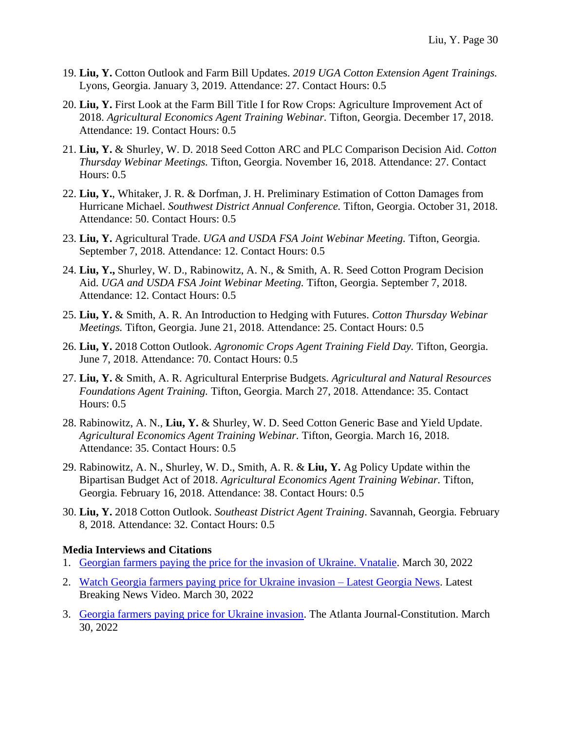- 19. **Liu, Y.** Cotton Outlook and Farm Bill Updates. *2019 UGA Cotton Extension Agent Trainings.*  Lyons, Georgia. January 3, 2019. Attendance: 27. Contact Hours: 0.5
- 20. **Liu, Y.** First Look at the Farm Bill Title I for Row Crops: Agriculture Improvement Act of 2018. *Agricultural Economics Agent Training Webinar.* Tifton, Georgia. December 17, 2018. Attendance: 19. Contact Hours: 0.5
- 21. **Liu, Y.** & Shurley, W. D. 2018 Seed Cotton ARC and PLC Comparison Decision Aid. *Cotton Thursday Webinar Meetings.* Tifton, Georgia. November 16, 2018. Attendance: 27. Contact Hours: 0.5
- 22. **Liu, Y.**, Whitaker, J. R. & Dorfman, J. H. Preliminary Estimation of Cotton Damages from Hurricane Michael. *Southwest District Annual Conference.* Tifton, Georgia. October 31, 2018. Attendance: 50. Contact Hours: 0.5
- 23. **Liu, Y.** Agricultural Trade. *UGA and USDA FSA Joint Webinar Meeting.* Tifton, Georgia. September 7, 2018. Attendance: 12. Contact Hours: 0.5
- 24. **Liu, Y.,** Shurley, W. D., Rabinowitz, A. N., & Smith, A. R. Seed Cotton Program Decision Aid. *UGA and USDA FSA Joint Webinar Meeting.* Tifton, Georgia. September 7, 2018. Attendance: 12. Contact Hours: 0.5
- 25. **Liu, Y.** & Smith, A. R. An Introduction to Hedging with Futures. *Cotton Thursday Webinar Meetings.* Tifton, Georgia. June 21, 2018. Attendance: 25. Contact Hours: 0.5
- 26. **Liu, Y.** 2018 Cotton Outlook. *Agronomic Crops Agent Training Field Day.* Tifton, Georgia. June 7, 2018. Attendance: 70. Contact Hours: 0.5
- 27. **Liu, Y.** & Smith, A. R. Agricultural Enterprise Budgets. *Agricultural and Natural Resources Foundations Agent Training.* Tifton, Georgia. March 27, 2018. Attendance: 35. Contact Hours: 0.5
- 28. Rabinowitz, A. N., **Liu, Y.** & Shurley, W. D. Seed Cotton Generic Base and Yield Update. *Agricultural Economics Agent Training Webinar.* Tifton, Georgia. March 16, 2018. Attendance: 35. Contact Hours: 0.5
- 29. Rabinowitz, A. N., Shurley, W. D., Smith, A. R. & **Liu, Y.** Ag Policy Update within the Bipartisan Budget Act of 2018. *Agricultural Economics Agent Training Webinar.* Tifton, Georgia. February 16, 2018. Attendance: 38. Contact Hours: 0.5
- 30. **Liu, Y.** 2018 Cotton Outlook. *Southeast District Agent Training*. Savannah, Georgia. February 8, 2018. Attendance: 32. Contact Hours: 0.5

#### **Media Interviews and Citations**

- 1. [Georgian farmers paying the price for the invasion of Ukraine. Vnatalie.](https://www.vnatalie.com/2022/03/30/georgian-farmers-paying-the-price-for-the-invasion-of-ukraine/) March 30, 2022
- 2. [Watch Georgia farmers paying price for Ukraine invasion –](https://www.latestbreakingnewsvideo.com/news/latest-news/watch-georgia-farmers-paying-price-for-ukraine-invasion-latest-georgia-news.html) Latest Georgia News. Latest Breaking News Video. March 30, 2022
- 3. [Georgia farmers paying price for Ukraine invasion.](https://www.ajc.com/news/georgia-farmers-paying-price-for-ukraine-invasion/LNEEMMCZKJBM3IZNTG64G2GJVA/#:~:text=University%20of%20Georgia%20agricultural%20economists,And%20that) The Atlanta Journal-Constitution. March 30, 2022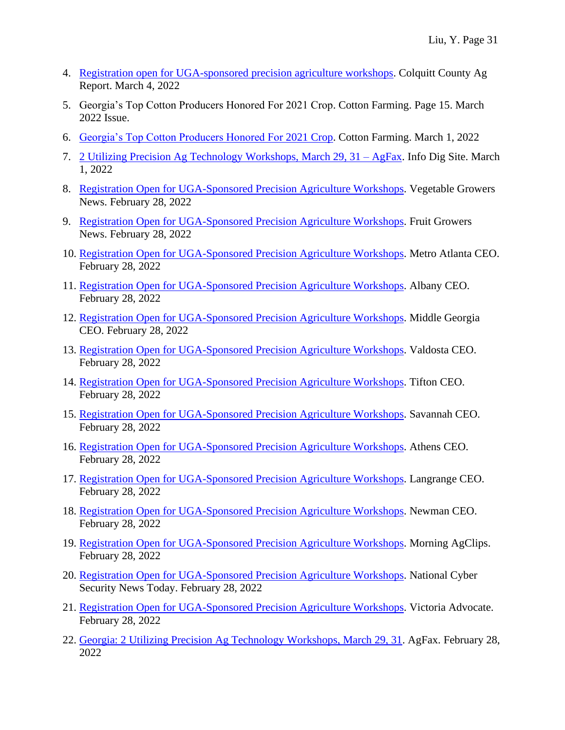- 4. [Registration open for UGA-sponsored precision agriculture workshops.](https://site.extension.uga.edu/colquittag/2022/03/registration-open-for-uga-sponsored-precision-agriculture-workshops/) Colquitt County Ag Report. March 4, 2022
- 5. Georgia's Top Cotton Producers Honored For 2021 Crop. Cotton Farming. Page 15. March 2022 Issue.
- 6. [Georgia's Top Cotton Producers Honored For 2021 Crop.](https://www.cottonfarming.com/feature-story/georgias-top-cotton-producers-honored-for-2021-crop/) Cotton Farming. March 1, 2022
- 7. [2 Utilizing Precision Ag Technology Workshops, March 29, 31 –](https://infodig.site/2-utilizing-precision-ag-technology-workshops-march-29-31-agfax/) AgFax. Info Dig Site. March 1, 2022
- 8. [Registration Open for UGA-Sponsored Precision Agriculture Workshops.](https://vegetablegrowersnews.com/news/uga-sponsored-precision-agriculture-workshops-registration-open/) Vegetable Growers News. February 28, 2022
- 9. [Registration Open for UGA-Sponsored Precision Agriculture Workshops.](https://fruitgrowersnews.com/news/registration-open-for-uga-sponsored-precision-agriculture-workshops/) Fruit Growers News. February 28, 2022
- 10. [Registration Open for UGA-Sponsored Precision Agriculture Workshops.](http://metroatlantaceo.com/news/2022/02/registration-open-uga-sponsored-precision-agriculture-workshops/) Metro Atlanta CEO. February 28, 2022
- 11. [Registration Open for UGA-Sponsored Precision Agriculture Workshops.](http://albanyceo.com/news/2022/02/registration-open-uga-sponsored-precision-agriculture-workshops/?utm_source=albanyceo&utm_medium=rss&utm_campaign=rss) Albany CEO. February 28, 2022
- 12. [Registration Open for UGA-Sponsored Precision Agriculture Workshops.](http://middlegeorgiaceo.com/news/2022/02/registration-open-uga-sponsored-precision-agriculture-workshops/) Middle Georgia CEO. February 28, 2022
- 13. [Registration Open for UGA-Sponsored Precision Agriculture Workshops.](http://valdostaceo.com/news/2022/02/registration-open-uga-sponsored-precision-agriculture-workshops/?utm_source=valdostaceo&utm_medium=rss&utm_campaign=rss) Valdosta CEO. February 28, 2022
- 14. [Registration Open for UGA-Sponsored Precision Agriculture Workshops.](http://tiftonceo.com/news/2022/02/registration-open-uga-sponsored-precision-agriculture-workshops/?utm_source=tiftonceo&utm_medium=rss&utm_campaign=rss) Tifton CEO. February 28, 2022
- 15. [Registration Open for UGA-Sponsored Precision Agriculture Workshops.](http://savannahceo.com/news/2022/02/registration-open-uga-sponsored-precision-agriculture-workshops/?utm_source=savannahceo&utm_medium=rss&utm_campaign=rss) Savannah CEO. February 28, 2022
- 16. [Registration Open for UGA-Sponsored Precision Agriculture Workshops.](http://athensceo.com/news/2022/02/registration-open-uga-sponsored-precision-agriculture-workshops/?utm_source=athensceo&utm_medium=rss&utm_campaign=rss) Athens CEO. February 28, 2022
- 17. [Registration Open for UGA-Sponsored Precision Agriculture Workshops.](http://lagrangeceo.com/news/2022/02/registration-open-uga-sponsored-precision-agriculture-workshops/) Langrange CEO. February 28, 2022
- 18. [Registration Open for UGA-Sponsored Precision Agriculture Workshops.](http://newnanceo.com/news/2022/02/registration-open-uga-sponsored-precision-agriculture-workshops/) Newman CEO. February 28, 2022
- 19. [Registration Open for UGA-Sponsored Precision Agriculture Workshops.](https://www.morningagclips.com/registration-open-for-uga-sponsored-precision-agriculture-workshops/) Morning AgClips. February 28, 2022
- 20. [Registration Open for UGA-Sponsored Precision Agriculture Workshops.](https://nationalcybersecuritynews.today/registration-open-for-uga-sponsored-precision-agriculture-workshops-education-technology-training/) National Cyber Security News Today. February 28, 2022
- 21. [Registration Open for UGA-Sponsored Precision Agriculture Workshops.](https://www.victoriaadvocate.com/registration-open-for-uga-sponsored-precision-agriculture-workshops/article_310712db-26d4-59c3-b029-19b112def593.html) Victoria Advocate. February 28, 2022
- 22. [Georgia: 2 Utilizing Precision Ag Technology Workshops, March 29, 31.](https://agfax.com/2022/02/28/georgia-2-utilizing-precision-ag-technology-workshops-march-29-31/) AgFax. February 28, 2022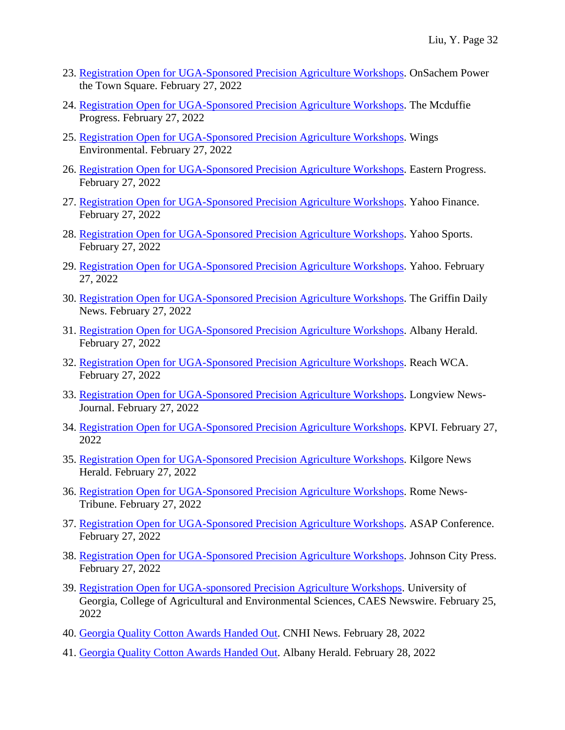- 23. [Registration Open for UGA-Sponsored Precision Agriculture Workshops.](https://www.ontownmedia.com/townnews/university/registration-open-for-uga-sponsored-precision-agriculture-workshops/article_b889fa64-6f4b-53c0-92d1-2136e4ef5cdb.html) OnSachem Power the Town Square. February 27, 2022
- 24. [Registration Open for UGA-Sponsored Precision Agriculture Workshops.](https://www.mcduffieprogress.com/news/state/registration-open-for-uga-sponsored-precision-agriculture-workshops/article_ca73152c-992a-5947-b5af-41da75869f65.html) The Mcduffie Progress. February 27, 2022
- 25. [Registration Open for UGA-Sponsored Precision Agriculture Workshops.](https://wingsenvironmental.com/registration-open-for-uga-sponsored-precision-agriculture-workshops/) Wings Environmental. February 27, 2022
- 26. [Registration Open for UGA-Sponsored Precision Agriculture Workshops.](https://www.easternprogress.com/registration-open-for-uga-sponsored-precision-agriculture-workshops/article_7328749b-a83f-5ca6-886b-4590cb94ae8e.html) Eastern Progress. February 27, 2022
- 27. [Registration Open for UGA-Sponsored Precision Agriculture Workshops.](https://finance.yahoo.com/news/registration-open-uga-sponsored-precision-220500659.html) Yahoo Finance. February 27, 2022
- 28. [Registration Open for UGA-Sponsored Precision Agriculture Workshops.](https://sports.yahoo.com/registration-open-uga-sponsored-precision-220500659.html) Yahoo Sports. February 27, 2022
- 29. [Registration Open for UGA-Sponsored Precision Agriculture Workshops.](https://www.yahoo.com/video/registration-open-uga-sponsored-precision-220500659.html) Yahoo. February 27, 2022
- 30. [Registration Open for UGA-Sponsored Precision Agriculture Workshops.](https://www.griffindailynews.com/news/state/registration-open-for-uga-sponsored-precision-agriculture-workshops/article_e469178e-f7e1-5c7d-b0da-d9dd44abed02.html) The Griffin Daily News. February 27, 2022
- 31. [Registration Open for UGA-Sponsored Precision Agriculture Workshops.](https://www.albanyherald.com/news/registration-open-for-uga-sponsored-precision-agriculture-workshops/article_0113c902-9772-11ec-818b-071ebbdc6991.html) Albany Herald. February 27, 2022
- 32. [Registration Open for UGA-Sponsored Precision Agriculture Workshops.](https://www.reachwca.com/registration-open-for-uga-sponsored-precision-agriculture-workshops/) Reach WCA. February 27, 2022
- 33. [Registration Open for UGA-Sponsored Precision Agriculture Workshops.](https://www.news-journal.com/registration-open-for-uga-sponsored-precision-agriculture-workshops/article_f9c770ca-203a-58b1-969c-8c0e39d2970d.html) Longview News-Journal. February 27, 2022
- 34. [Registration Open for UGA-Sponsored Precision Agriculture Workshops.](https://www.kpvi.com/news/national_news/registration-open-for-uga-sponsored-precision-agriculture-workshops/article_e1925c3d-b89a-5fcf-a60d-9afd56adfe45.html) KPVI. February 27, 2022
- 35. [Registration Open for UGA-Sponsored Precision Agriculture Workshops.](https://www.kilgorenewsherald.com/registration-open-for-uga-sponsored-precision-agriculture-workshops/article_fb23fe15-4213-5893-b9bd-d9bb30617a8c.html) Kilgore News Herald. February 27, 2022
- 36. [Registration Open for UGA-Sponsored Precision Agriculture Workshops.](https://www.northwestgeorgianews.com/registration-open-for-uga-sponsored-precision-agriculture-workshops/article_55d22d0a-0c3e-5967-9fec-5ebe9d99bd35.html) Rome News-Tribune. February 27, 2022
- 37. [Registration Open for UGA-Sponsored Precision Agriculture Workshops.](https://asap-conference.org/registration-open-for-uga-sponsored-precision-agriculture-workshops/) ASAP Conference. February 27, 2022
- 38. [Registration Open for UGA-Sponsored Precision Agriculture Workshops.](https://www.johnsoncitypress.com/registration-open-for-uga-sponsored-precision-agriculture-workshops/article_22e403a0-18e6-5027-82fa-544ff140b32b.html) Johnson City Press. February 27, 2022
- 39. [Registration Open for UGA-sponsored Precision Agriculture Workshops.](https://newswire.caes.uga.edu/story/8878/Precision-Agriculture-Workshops.html) University of Georgia, College of Agricultural and Environmental Sciences, CAES Newswire. February 25, 2022
- 40. [Georgia Quality Cotton Awards Handed Out.](https://www.cnhinews.com/exchange/states/georgia/article_d58206e3-7f91-5664-a680-f9e354b06b56.html) CNHI News. February 28, 2022
- 41. [Georgia Quality Cotton Awards Handed Out.](https://www.albanyherald.com/news/georgia-quality-cotton-awards-handed-out/article_c98da66c-98c3-11ec-87bf-03990dbc787d.html) Albany Herald. February 28, 2022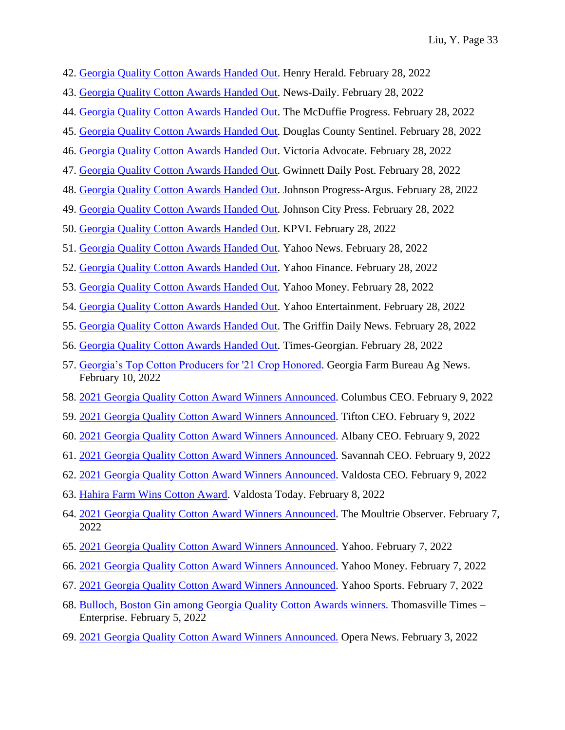- 42. [Georgia Quality Cotton Awards Handed Out.](https://www.henryherald.com/news/georgia-quality-cotton-awards-handed-out/article_29bb7095-d5a8-5867-9649-1bbf6b45d9e1.html) Henry Herald. February 28, 2022
- 43. [Georgia Quality Cotton Awards Handed Out.](https://www.news-daily.com/news/georgia-quality-cotton-awards-handed-out/article_41b9a0f6-d1d2-5b4d-a18f-201a4342172e.html) News-Daily. February 28, 2022
- 44. [Georgia Quality Cotton Awards Handed Out.](https://www.mcduffieprogress.com/news/state/georgia-quality-cotton-awards-handed-out/article_f128f716-3505-52c2-af68-182d40860992.html) The McDuffie Progress. February 28, 2022
- 45. [Georgia Quality Cotton Awards Handed Out.](https://www.douglascountysentinel.com/news/state/georgia-quality-cotton-awards-handed-out/article_62048745-c762-5a79-86b0-05dd70582509.html) Douglas County Sentinel. February 28, 2022
- 46. [Georgia Quality Cotton Awards Handed Out.](https://www.victoriaadvocate.com/georgia-quality-cotton-awards-handed-out/article_cde7fa3a-d812-5dd4-bc1a-634db88644f7.html) Victoria Advocate. February 28, 2022
- 47. [Georgia Quality Cotton Awards Handed Out.](https://www.gwinnettdailypost.com/news/georgia-quality-cotton-awards-handed-out/article_b3fb1120-08e7-5bbb-9e46-ef76a4894de7.html) Gwinnett Daily Post. February 28, 2022
- 48. [Georgia Quality Cotton Awards Handed Out.](https://www.jacksonprogress-argus.com/news/georgia-quality-cotton-awards-handed-out/article_f1850e0e-2e93-5ee3-9f96-9563421dddfd.html) Johnson Progress-Argus. February 28, 2022
- 49. [Georgia Quality Cotton Awards Handed Out.](https://www.johnsoncitypress.com/georgia-quality-cotton-awards-handed-out/article_5b126f41-1a82-51df-8a6b-d05a02193b60.html) Johnson City Press. February 28, 2022
- 50. [Georgia Quality Cotton Awards Handed Out.](https://www.kpvi.com/news/national_news/georgia-quality-cotton-awards-handed-out/article_0279036b-b314-5a55-880d-ca72b29fc5e7.html) KPVI. February 28, 2022
- 51. [Georgia Quality Cotton Awards Handed Out.](https://www.yahoo.com/news/georgia-quality-cotton-awards-handed-220400479.html) Yahoo News. February 28, 2022
- 52. [Georgia Quality Cotton Awards Handed Out.](https://finance.yahoo.com/news/georgia-quality-cotton-awards-handed-220400479.html) Yahoo Finance. February 28, 2022
- 53. [Georgia Quality Cotton Awards Handed Out.](https://money.yahoo.com/georgia-quality-cotton-awards-handed-220400479.html) Yahoo Money. February 28, 2022
- 54. [Georgia Quality Cotton Awards Handed Out.](https://www.yahoo.com/entertainment/georgia-quality-cotton-awards-handed-220400479.html) Yahoo Entertainment. February 28, 2022
- 55. [Georgia Quality Cotton Awards Handed Out.](https://www.griffindailynews.com/news/state/georgia-quality-cotton-awards-handed-out/article_c557abb3-6bf5-54c6-bfd7-a88ac52c07be.html) The Griffin Daily News. February 28, 2022
- 56. [Georgia Quality Cotton Awards Handed Out.](https://www.times-georgian.com/news/state/georgia-quality-cotton-awards-handed-out/article_12bf3037-01e3-54cc-8b44-eb1d2ecb430a.html) Times-Georgian. February 28, 2022
- 57. [Georgia's Top Cotton Producers for '21 Crop Honored.](https://www.gfb.org/media-and-publications/news.cms/2022/1212/georgia-s-top-cotton-producers-for--21-crop-honored) Georgia Farm Bureau Ag News. February 10, 2022
- 58. [2021 Georgia Quality Cotton Award Winners Announced.](http://thecolumbusceo.com/news/2022/02/2021-georgia-quality-cotton-award-winners-announced/) Columbus CEO. February 9, 2022
- 59. [2021 Georgia Quality Cotton Award Winners Announced.](http://tiftonceo.com/news/2022/02/2021-georgia-quality-cotton-award-winners-announced/?utm_source=tiftonceo&utm_medium=rss&utm_campaign=rss) Tifton CEO. February 9, 2022
- 60. [2021 Georgia Quality Cotton Award Winners Announced.](http://albanyceo.com/news/2022/02/2021-georgia-quality-cotton-award-winners-announced/?utm_source=albanyceo&utm_medium=rss&utm_campaign=rss) Albany CEO. February 9, 2022
- 61. [2021 Georgia Quality Cotton Award Winners Announced.](http://savannahceo.com/news/2022/02/2021-georgia-quality-cotton-award-winners-announced/) Savannah CEO. February 9, 2022
- 62. [2021 Georgia Quality Cotton Award Winners Announced.](http://valdostaceo.com/news/2022/02/2021-georgia-quality-cotton-award-winners-announced/?utm_source=valdostaceo&utm_medium=rss&utm_campaign=rss) Valdosta CEO. February 9, 2022
- 63. [Hahira Farm Wins Cotton Award.](https://valdostatoday.com/news-2/local/2022/02/hahira-farm-wins-cotton-award/) Valdosta Today. February 8, 2022
- 64. [2021 Georgia Quality Cotton Award Winners Announced.](https://www.moultrieobserver.com/news/local_news/2021-georgia-quality-cotton-award-winners-announced/article_72347992-8831-11ec-abe8-73ad89c710b2.html) The Moultrie Observer. February 7, 2022
- 65. [2021 Georgia Quality Cotton Award Winners Announced.](https://www.yahoo.com/video/2021-georgia-quality-cotton-award-045900116.html) Yahoo. February 7, 2022
- 66. [2021 Georgia Quality Cotton Award Winners Announced.](https://money.yahoo.com/2021-georgia-quality-cotton-award-045900116.html) Yahoo Money. February 7, 2022
- 67. [2021 Georgia Quality Cotton Award Winners Announced.](https://sports.yahoo.com/2021-georgia-quality-cotton-award-045900116.html) Yahoo Sports. February 7, 2022
- 68. [Bulloch, Boston Gin among Georgia Quality Cotton Awards winners.](https://www.timesenterprise.com/news/local_news/bulloch-boston-gin-among-georgia-quality-cotton-awards-winners/article_31fc7e52-68ea-51ea-9ab6-f80085fef534.html#:~:text=The%20final%20award%20given%20was,premium%20of%205.70%20cents%2Flb.) Thomasville Times Enterprise. February 5, 2022
- 69. 2021 [Georgia Quality Cotton Award Winners Announced.](https://www.dailyadvent.com/news/088c2e18e52fb5f093da6e7229b4e4da-2021-Georgia-Quality-Cotton-Award-Winners-Announced-) Opera News. February 3, 2022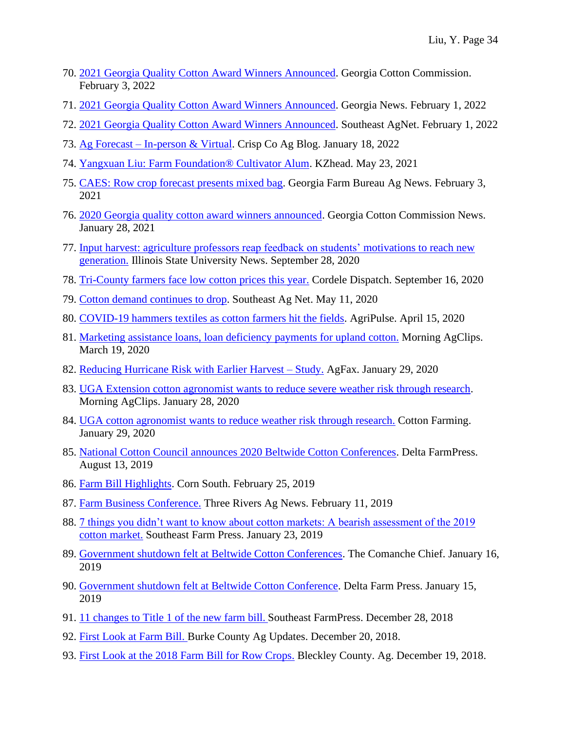- 70. [2021 Georgia Quality Cotton Award Winners Announced.](https://georgiacottoncommission.org/2021-georgia-quality-cotton-award-winners-announced/) Georgia Cotton Commission. February 3, 2022
- 71. [2021 Georgia Quality Cotton Award Winners Announced.](https://darik.news/georgia/2021-georgia-quality-cotton-award-winners-announced/202202498094.html) Georgia News. February 1, 2022
- 72. [2021 Georgia Quality Cotton Award Winners Announced.](https://southeastagnet.com/2022/02/01/2021-georgia-quality-cotton-award-winners-announced/#:~:text=The%20final%20award%20given%20was,premium%20of%205.70%20cents%2Flb.) Southeast AgNet. February 1, 2022
- 73. Ag Forecast [In-person & Virtual.](https://site.extension.uga.edu/crispcoag/2022/01/ag-forecast-in-person-virtual/) Crisp Co Ag Blog. January 18, 2022
- 74. [Yangxuan Liu: Farm Foundation® Cultivator Alum.](https://kzhead.info/sun/dsajosZokYBseqM/yangxuan-liu.html) KZhead. May 23, 2021
- 75. [CAES: Row crop forecast presents mixed bag.](https://www.gfb.org/media-and-publications/news.cms/2021/967/caes--row-crop-forecast-presents-mixed-bag) Georgia Farm Bureau Ag News. February 3, 2021
- 76. [2020 Georgia quality cotton award winners announced.](https://georgiacottoncommission.org/2020-georgia-quality-cotton-award-winners-announced/) Georgia Cotton Commission News. January 28, 2021
- 77. [Input harvest: agriculture professors reap feedback on students'](https://news.illinoisstate.edu/2020/09/input-harvest-agriculture-professors-reap-feedback-on-students-motivations-to-reach-new-generation/) motivations to reach new [generation.](https://news.illinoisstate.edu/2020/09/input-harvest-agriculture-professors-reap-feedback-on-students-motivations-to-reach-new-generation/) Illinois State University News. September 28, 2020
- 78. [Tri-County farmers face low cotton prices this year.](https://www.cordeledispatch.com/2020/09/16/tri-county-farmers-face-low-cotton-prices-this-year/) Cordele Dispatch. September 16, 2020
- 79. [Cotton demand continues to drop.](http://southeastagnet.com/2020/05/11/cotton-demand-continues-drop/) Southeast Ag Net. May 11, 2020
- 80. [COVID-19 hammers textiles as cotton farmers hit the fields.](https://www.agri-pulse.com/articles/13486-covid-19-hammers-textiles-as-cotton-farmers-hit-the-fields) AgriPulse. April 15, 2020
- 81. [Marketing assistance loans, loan deficiency payments for upland cotton.](https://www.morningagclips.com/marketing-assistance-loans-loan-deficiency-payments-for-upland-cotton/) Morning AgClips. March 19, 2020
- 82. [Reducing Hurricane Risk with Earlier Harvest –](https://agfax.com/2020/01/29/georgia-cotton-reducing-hurricane-risk-with-earlier-harvest-study/) Study. AgFax. January 29, 2020
- 83. [UGA Extension cotton agronomist wants to reduce severe weather risk through research.](https://www.morningagclips.com/uga-extension-cotton-agronomist-wants-to-reduce-severe-weather-risk-through-research/) Morning AgClips. January 28, 2020
- 84. [UGA cotton agronomist wants to reduce weather risk through research.](https://www.cottonfarming.com/production-2/uga-cotton-agronomist-wants-to-reduce-weather-risk-through-research/) Cotton Farming. January 29, 2020
- 85. [National Cotton Council announces 2020 Beltwide Cotton Conferences.](https://www.farmprogress.com/cotton/national-cotton-council-announces-2020-beltwide-cotton-conferences) Delta FarmPress. August 13, 2019
- 86. [Farm Bill Highlights.](https://cornsouth.com/articles/farm-bill-highlights/) Corn South. February 25, 2019
- 87. [Farm Business Conference.](https://site.extension.uga.edu/threerivers/2019/02/farm-business-conference/) Three Rivers Ag News. February 11, 2019
- 88. [7 things you didn't want to know about cotton markets: A bearish assessment of the 2019](https://www.farmprogress.com/cotton/7-things-you-didn-t-want-know-about-cotton-markets)  [cotton market.](https://www.farmprogress.com/cotton/7-things-you-didn-t-want-know-about-cotton-markets) Southeast Farm Press. January 23, 2019
- 89. [Government shutdown felt at Beltwide Cotton Conferences.](http://www.thecomanchechief.com/agriculture/government-shutdown-felt-at-beltwide-cotton-conferences/article_90085a9a-19c8-11e9-a5af-7bad522244c6.html) The Comanche Chief. January 16, 2019
- 90. [Government shutdown felt at Beltwide Cotton Conference.](https://ww2.theseam.com/news/industry-news/post/4880) Delta Farm Press. January 15, 2019
- 91. [11 changes to Title 1 of the new farm bill.](https://www.farmprogress.com/farm-bill/11-changes-title-1-new-farm-bill?PK=UM_SEPTOP5&NL=UM_TOP5&utm_rid=CPG02000003479558&utm_campaign=35159&utm_medium=email&elq2=baae5b701ebd4dfea868d5938df18a45) Southeast FarmPress. December 28, 2018
- 92. [First Look at Farm Bill.](https://site.extension.uga.edu/burkeag/2018/12/first-look-at-farm-bill/) Burke County Ag Updates. December 20, 2018.
- 93. [First Look at the 2018 Farm Bill for Row Crops.](https://site.extension.uga.edu/bleckleyblog/2018/12/first-look-at-the-2018-farm-bill-for-row-crops/) Bleckley County. Ag. December 19, 2018.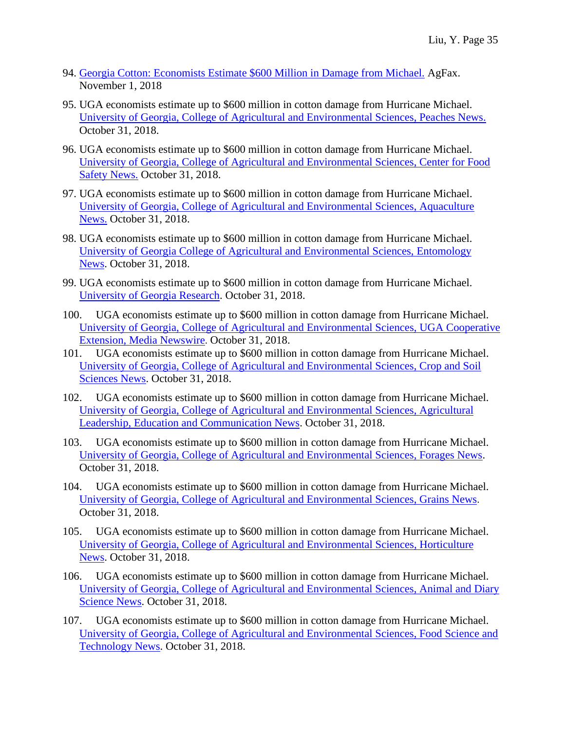- 94. [Georgia Cotton: Economists Estimate \\$600 Million in Damage from Michael.](https://agfax.com/2018/11/01/georgia-cotton-economists-estimate-600-mln-in-damage-from-michael/) AgFax. November 1, 2018
- 95. UGA economists estimate up to \$600 million in cotton damage from Hurricane Michael. [University of Georgia, College of Agricultural and Environmental Sciences, Peaches News.](http://peaches.caes.uga.edu/news/story.html?storyid=7766&story=Cotton-Crop) October 31, 2018.
- 96. UGA economists estimate up to \$600 million in cotton damage from Hurricane Michael. [University of Georgia, College of Agricultural and Environmental Sciences, Center for Food](http://cfs.caes.uga.edu/news/story.html?storyid=7766&story=Cotton-Crop)  [Safety News.](http://cfs.caes.uga.edu/news/story.html?storyid=7766&story=Cotton-Crop) October 31, 2018.
- 97. UGA economists estimate up to \$600 million in cotton damage from Hurricane Michael. [University of Georgia, College of Agricultural and Environmental Sciences, Aquaculture](http://aquaculture.caes.uga.edu/content/caes-subsite/aquaculture/news/story.html?storyid=7766&story=Cotton%20Crop)  [News.](http://aquaculture.caes.uga.edu/content/caes-subsite/aquaculture/news/story.html?storyid=7766&story=Cotton%20Crop) October 31, 2018.
- 98. UGA economists estimate up to \$600 million in cotton damage from Hurricane Michael. [University of Georgia College of Agricultural and Environmental Sciences, Entomology](http://ent.uga.edu/news/story.html?storyid=7766&story=Cotton-Crop)  [News.](http://ent.uga.edu/news/story.html?storyid=7766&story=Cotton-Crop) October 31, 2018.
- 99. UGA economists estimate up to \$600 million in cotton damage from Hurricane Michael. [University of Georgia Research.](https://ugaresearch.uga.edu/uga-economists-estimate-up-to-600-million-in-cotton-damage-from-hurricane-michael/) October 31, 2018.
- 100. UGA economists estimate up to \$600 million in cotton damage from Hurricane Michael. University of Georgia, [College of Agricultural and Environmental Sciences, UGA Cooperative](http://newswire.caes.uga.edu/content/newswire/story.html?storyid=7766&story=Cotton-Crop)  [Extension, Media](http://newswire.caes.uga.edu/content/newswire/story.html?storyid=7766&story=Cotton-Crop) Newswire. October 31, 2018.
- 101. UGA economists estimate up to \$600 million in cotton damage from Hurricane Michael. [University of Georgia, College of Agricultural and Environmental Sciences, Crop and Soil](http://cropsoil.uga.edu/news/story.html?storyid=7766&story=Cotton-Crop)  [Sciences News.](http://cropsoil.uga.edu/news/story.html?storyid=7766&story=Cotton-Crop) October 31, 2018.
- 102. UGA economists estimate up to \$600 million in cotton damage from Hurricane Michael. [University of Georgia, College of Agricultural and Environmental Sciences, Agricultural](http://alec.caes.uga.edu/news/story.html?storyid=7766&story=Cotton-Crop)  [Leadership, Education and Communication News.](http://alec.caes.uga.edu/news/story.html?storyid=7766&story=Cotton-Crop) October 31, 2018.
- 103. UGA economists estimate up to \$600 million in cotton damage from Hurricane Michael. [University of Georgia, College of Agricultural and Environmental Sciences, Forages News.](http://georgiaforages.caes.uga.edu/news/story.html?storyid=7766&story=Cotton-Crop) October 31, 2018.
- 104. UGA economists estimate up to \$600 million in cotton damage from Hurricane Michael. [University of Georgia, College of Agricultural and Environmental Sciences, Grains News](http://grains.caes.uga.edu/news/story.html?storyid=7766&story=Cotton%20Crop). October 31, 2018.
- 105. UGA economists estimate up to \$600 million in cotton damage from Hurricane Michael. [University of Georgia, College of Agricultural and Environmental Sciences, Horticulture](http://hort.caes.uga.edu/news/story.html?storyid=7766&story=Cotton-Crop)  [News.](http://hort.caes.uga.edu/news/story.html?storyid=7766&story=Cotton-Crop) October 31, 2018.
- 106. UGA economists estimate up to \$600 million in cotton damage from Hurricane Michael. [University of Georgia, College of Agricultural and Environmental Sciences, Animal and Diary](http://ads.caes.uga.edu/news/story.html?storyid=7766&story=Cotton-Crop)  [Science News.](http://ads.caes.uga.edu/news/story.html?storyid=7766&story=Cotton-Crop) October 31, 2018.
- 107. UGA economists estimate up to \$600 million in cotton damage from Hurricane Michael. [University of Georgia, College of Agricultural and Environmental Sciences, Food Science and](http://foodscience.caes.uga.edu/news/story.html?storyid=7766&story=Cotton-Crop)  [Technology News.](http://foodscience.caes.uga.edu/news/story.html?storyid=7766&story=Cotton-Crop) October 31, 2018.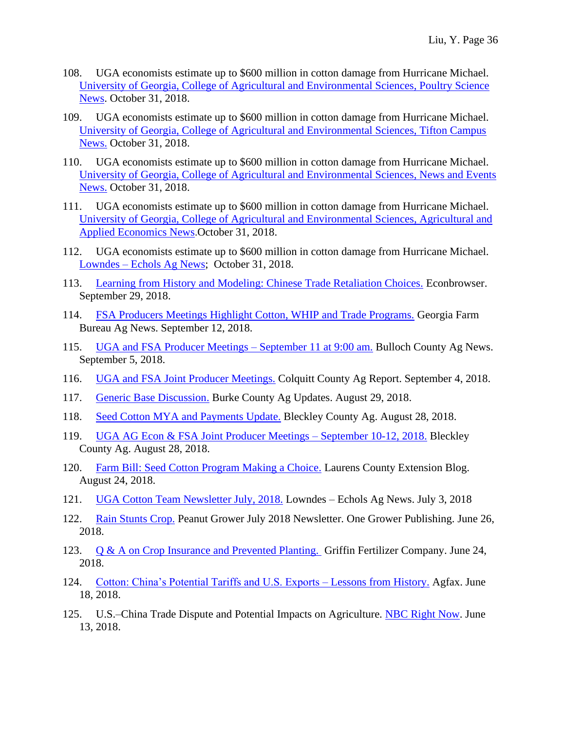- 108. UGA economists estimate up to \$600 million in cotton damage from Hurricane Michael. [University of Georgia, College of Agricultural and Environmental Sciences, Poultry Science](http://poultry.caes.uga.edu/news/story.html?storyid=7766&story=Cotton-Crop)  [News.](http://poultry.caes.uga.edu/news/story.html?storyid=7766&story=Cotton-Crop) October 31, 2018.
- 109. UGA economists estimate up to \$600 million in cotton damage from Hurricane Michael. [University of Georgia, College of Agricultural and Environmental Sciences, Tifton Campus](http://tifton.caes.uga.edu/news/story.html?storyid=7766&story=Cotton-Crop)  [News.](http://tifton.caes.uga.edu/news/story.html?storyid=7766&story=Cotton-Crop) October 31, 2018.
- 110. UGA economists estimate up to \$600 million in cotton damage from Hurricane Michael. [University of Georgia, College of Agricultural and Environmental Sciences, News and Events](http://www.caes.uga.edu/news-events/news/story.html?storyid=7766&story=Cotton%20Crop)  [News.](http://www.caes.uga.edu/news-events/news/story.html?storyid=7766&story=Cotton%20Crop) October 31, 2018.
- 111. UGA economists estimate up to \$600 million in cotton damage from Hurricane Michael. [University of Georgia, College of Agricultural and Environmental Sciences, Agricultural and](http://agecon.uga.edu/news/story.html?storyid=7766&story=Cotton-Crop)  [Applied Economics News](http://agecon.uga.edu/news/story.html?storyid=7766&story=Cotton-Crop).October 31, 2018.
- 112. UGA economists estimate up to \$600 million in cotton damage from Hurricane Michael. Lowndes – [Echols Ag News;](https://site.extension.uga.edu/lowndesecholsag/2018/11/cotton-losses-from-hurricane-michael/) October 31, 2018.
- 113. [Learning from History and Modeling: Chinese Trade Retaliation Choices.](http://econbrowser.com/archives/2018/09/learning-from-history-and-modeling-chinese-trade-retaliation-choices) Econbrowser. September 29, 2018.
- 114. [FSA Producers Meetings Highlight Cotton, WHIP and Trade Programs.](https://www.gfb.org/media-and-publications/news.cms/2018/316/fsa-producers-meetings-highlight-cotton--whip-and-trade-prorgrams) Georgia Farm Bureau Ag News. September 12, 2018.
- 115. [UGA and FSA Producer Meetings –](https://site.extension.uga.edu/bullochag/2018/09/uga-and-fsa-producer-meetings-september-11-at-900-am/) September 11 at 9:00 am. Bulloch County Ag News. September 5, 2018.
- 116. [UGA and FSA Joint Producer Meetings.](https://site.extension.uga.edu/colquittag/2018/09/uga-and-fsa-joint-producer-meetings/) Colquitt County Ag Report. September 4, 2018.
- 117. [Generic Base Discussion.](https://site.extension.uga.edu/burkeag/2018/08/generic-base-decision-aid/) Burke County Ag Updates. August 29, 2018.
- 118. [Seed Cotton MYA and Payments Update.](https://site.extension.uga.edu/bleckleyblog/2018/08/seed-cotton-mya-and-payments-update/) Bleckley County Ag. August 28, 2018.
- 119. [UGA AG Econ & FSA Joint Producer Meetings –](https://site.extension.uga.edu/bleckleyblog/2018/08/uga-ag-econ-fsa-joint-producer-meetings-september-10-12-2018/) September 10-12, 2018. Bleckley County Ag. August 28, 2018.
- 120. [Farm Bill: Seed Cotton Program Making a Choice.](https://site.extension.uga.edu/laurens/2018/08/farm-bill-seed-cotton-program-making-a-choice/) Laurens County Extension Blog. August 24, 2018.
- 121. [UGA Cotton Team Newsletter July, 2018.](https://site.extension.uga.edu/lowndesecholsag/2018/07/uga-cotton-team-newsletter-july-2018/) Lowndes Echols Ag News. July 3, 2018
- 122. [Rain Stunts Crop.](https://issuu.com/onegrower/docs/peanut_grower_july_2018) Peanut Grower July 2018 Newsletter. One Grower Publishing. June 26, 2018.
- 123. [Q & A on Crop Insurance and Prevented Planting.](https://griffinfertilizer.com/q-a-on-crop-insurance-and-prevented-planting/) Griffin Fertilizer Company. June 24, 2018.
- 124. [Cotton: China's Potential Tariffs and U.S. Exports –](https://agfax.com/2018/07/18/cotton-chinas-potential-tariffs-and-u-s-exports-lessons-from-history/) Lessons from History. Agfax. June 18, 2018.
- 125. U.S.–China Trade Dispute and Potential Impacts on Agriculture. [NBC Right Now.](http://www.nbcrightnow.com/story/38413550/uschina-trade-dispute-and-potential-impacts-on-agriculture) June 13, 2018.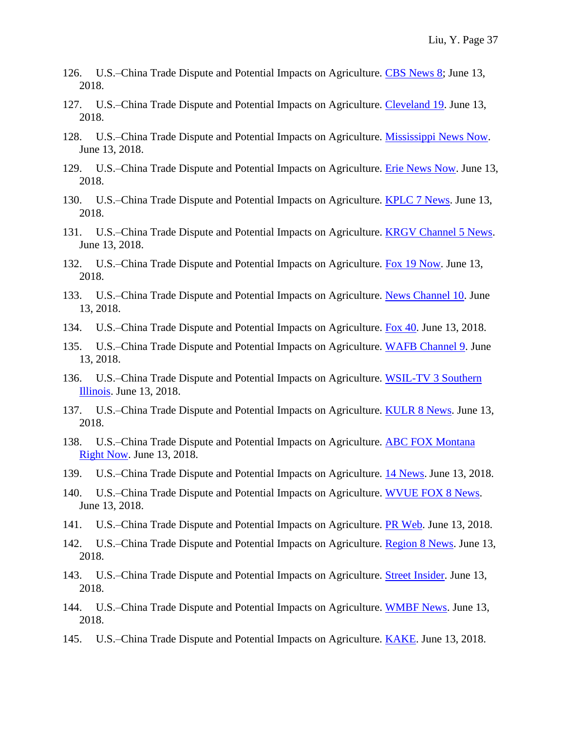- 126. U.S.–China Trade Dispute and Potential Impacts on Agriculture. [CBS News 8;](http://www.cbs8.com/story/38413550/uschina-trade-dispute-and-potential-impacts-on-agriculture) June 13, 2018.
- 127. U.S.–China Trade Dispute and Potential Impacts on Agriculture. [Cleveland 19.](http://www.cleveland19.com/story/38413550/uschina-trade-dispute-and-potential-impacts-on-agriculture) June 13, 2018.
- 128. U.S.–China Trade Dispute and Potential Impacts on Agriculture. [Mississippi News Now.](http://www.msnewsnow.com/story/38413550/uschina-trade-dispute-and-potential-impacts-on-agriculture) June 13, 2018.
- 129. U.S.–China Trade Dispute and Potential Impacts on Agriculture. [Erie News Now.](http://www.erienewsnow.com/story/38413550/uschina-trade-dispute-and-potential-impacts-on-agriculture) June 13, 2018.
- 130. U.S.–China Trade Dispute and Potential Impacts on Agriculture. [KPLC 7 News.](http://www.kplctv.com/story/38413550/uschina-trade-dispute-and-potential-impacts-on-agriculture) June 13, 2018.
- 131. U.S.–China Trade Dispute and Potential Impacts on Agriculture. [KRGV Channel 5 News.](http://www.krgv.com/story/38413550/uschina-trade-dispute-and-potential-impacts-on-agriculture) June 13, 2018.
- 132. U.S.–China Trade Dispute and Potential Impacts on Agriculture. [Fox 19 Now.](http://www.fox19.com/story/38413550/uschina-trade-dispute-and-potential-impacts-on-agriculture) June 13, 2018.
- 133. U.S.–China Trade Dispute and Potential Impacts on Agriculture. [News Channel 10.](http://www.newschannel10.com/story/38413550/uschina-trade-dispute-and-potential-impacts-on-agriculture) June 13, 2018.
- 134. U.S.–China Trade Dispute and Potential Impacts on Agriculture. [Fox 40.](http://www.wicz.com/story/38413550/uschina-trade-dispute-and-potential-impacts-on-agriculture) June 13, 2018.
- 135. U.S.–China Trade Dispute and Potential Impacts on Agriculture. [WAFB Channel 9.](http://www.wafb.com/story/38413550/uschina-trade-dispute-and-potential-impacts-on-agriculture) June 13, 2018.
- 136. U.S.–China Trade Dispute and Potential Impacts on Agriculture. WSIL-TV 3 Southern [Illinois.](http://www.wsiltv.com/story/38413550/uschina-trade-dispute-and-potential-impacts-on-agriculture) June 13, 2018.
- 137. U.S.–China Trade Dispute and Potential Impacts on Agriculture. [KULR 8 News.](http://www.kulr8.com/story/38413550/uschina-trade-dispute-and-potential-impacts-on-agriculture) June 13, 2018.
- 138. U.S.–China Trade Dispute and Potential Impacts on Agriculture. [ABC FOX Montana](http://www.abcfoxmontana.com/story/38413550/uschina-trade-dispute-and-potential-impacts-on-agriculture)  [Right Now.](http://www.abcfoxmontana.com/story/38413550/uschina-trade-dispute-and-potential-impacts-on-agriculture) June 13, 2018.
- 139. U.S.–China Trade Dispute and Potential Impacts on Agriculture. [14 News.](http://www.14news.com/story/38413550/uschina-trade-dispute-and-potential-impacts-on-agriculture) June 13, 2018.
- 140. U.S.–China Trade Dispute and Potential Impacts on Agriculture. [WVUE FOX 8 News.](http://www.fox8live.com/story/38413550/uschina-trade-dispute-and-potential-impacts-on-agriculture) June 13, 2018.
- 141. U.S.–China Trade Dispute and Potential Impacts on Agriculture. [PR Web.](https://www.prweb.com/releases/2018/06/prweb15558049.htm) June 13, 2018.
- 142. U.S.–China Trade Dispute and Potential Impacts on Agriculture. [Region 8 News.](http://www.kait8.com/story/38413550/uschina-trade-dispute-and-potential-impacts-on-agriculture) June 13, 2018.
- 143. U.S.–China Trade Dispute and Potential Impacts on Agriculture. [Street Insider.](https://www.streetinsider.com/Press+Releases/U.S.%E2%80%93China+Trade+Dispute+and+Potential+Impacts+on+Agriculture/14302498.html) June 13, 2018.
- 144. U.S.–China Trade Dispute and Potential Impacts on Agriculture. [WMBF News.](http://www.wmbfnews.com/story/38413550/uschina-trade-dispute-and-potential-impacts-on-agriculture) June 13, 2018.
- 145. U.S.–China Trade Dispute and Potential Impacts on Agriculture. [KAKE.](http://www.kake.com/story/38413550/uschina-trade-dispute-and-potential-impacts-on-agriculture) June 13, 2018.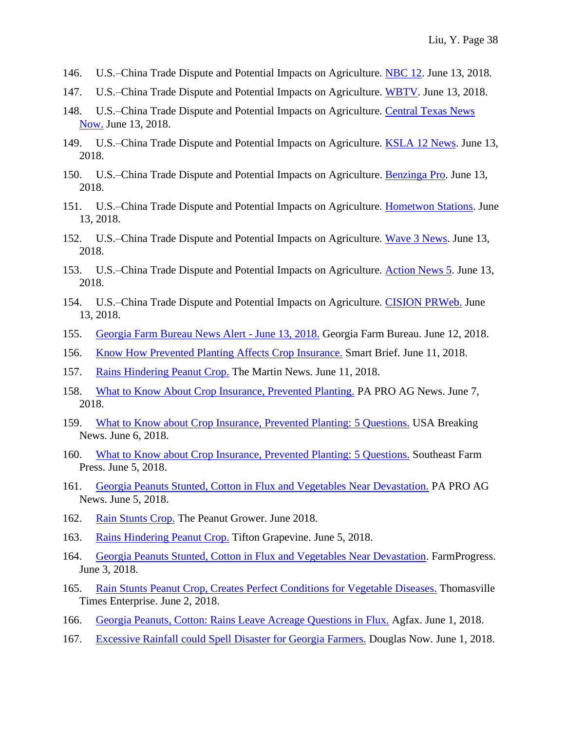- 146. U.S.–China Trade Dispute and Potential Impacts on Agriculture. [NBC 12.](http://www.nbc12.com/story/38413550/uschina-trade-dispute-and-potential-impacts-on-agriculture) June 13, 2018.
- 147. U.S.–China Trade Dispute and Potential Impacts on Agriculture. [WBTV.](http://www.wbtv.com/story/38413550/uschina-trade-dispute-and-potential-impacts-on-agriculture) June 13, 2018.
- 148. U.S.–China Trade Dispute and Potential Impacts on Agriculture. [Central Texas News](http://www.kxxv.com/story/38413550/uschina-trade-dispute-and-potential-impacts-on-agriculture)  [Now.](http://www.kxxv.com/story/38413550/uschina-trade-dispute-and-potential-impacts-on-agriculture) June 13, 2018.
- 149. U.S.–China Trade Dispute and Potential Impacts on Agriculture. [KSLA 12 News.](http://www.ksla.com/story/38413550/uschina-trade-dispute-and-potential-impacts-on-agriculture) June 13, 2018.
- 150. U.S.–China Trade Dispute and Potential Impacts on Agriculture. [Benzinga Pro.](https://www.benzinga.com/pressreleases/18/06/p11872906/u-s-china-trade-dispute-and-potential-impacts-on-agriculture) June 13, 2018.
- 151. U.S.–China Trade Dispute and Potential Impacts on Agriculture. [Hometwon Stations.](http://www.hometownstations.com/story/38413550/uschina-trade-dispute-and-potential-impacts-on-agriculture) June 13, 2018.
- 152. U.S.–China Trade Dispute and Potential Impacts on Agriculture. [Wave 3 News.](http://www.wave3.com/story/38413550/uschina-trade-dispute-and-potential-impacts-on-agriculture) June 13, 2018.
- 153. U.S.–China Trade Dispute and Potential Impacts on Agriculture. [Action News 5.](http://www.wmcactionnews5.com/story/38413550/uschina-trade-dispute-and-potential-impacts-on-agriculture) June 13, 2018.
- 154. U.S.–China Trade Dispute and Potential Impacts on Agriculture. [CISION PRWeb.](https://www.prweb.com/releases/2018/06/prweb15558049.htm) June 13, 2018.
- 155. [Georgia Farm Bureau News Alert -](https://issuu.com/gafarm/docs/june_13_alert) June 13, 2018. Georgia Farm Bureau. June 12, 2018.
- 156. [Know How Prevented Planting Affects Crop Insurance.](http://landing.smartbrief.com/s/2018/06/know-how-prevented-planting-affects-crop-insurance) Smart Brief. June 11, 2018.
- 157. [Rains Hindering Peanut Crop.](http://themartinnews.com/wp-content/uploads/2017/11/newsletter-6-11-2018.pdf) The Martin News. June 11, 2018.
- 158. [What to Know About Crop Insurance, Prevented Planting.](https://www.proag.com/news/what-to-know-about-crop-insurance-prevented-planting/) PA PRO AG News. June 7, 2018.
- 159. [What to Know about Crop Insurance, Prevented Planting: 5 Questions.](https://www.usabreakingnews.net/2018/06/what-to-know-about-crop-insurance-prevented-planting-5-questions/) USA Breaking News. June 6, 2018.
- 160. [What to Know about Crop Insurance, Prevented Planting: 5 Questions.](http://www.southeastfarmpress.com/weather/what-know-about-crop-insurance-prevented-planting-5-questions) Southeast Farm Press. June 5, 2018.
- 161. [Georgia Peanuts Stunted, Cotton in Flux and Vegetables Near Devastation.](https://www.proag.com/news/georgia-peanuts-stunted-cotton-in-flux-and-vegetables-near-devastation/) PA PRO AG News. June 5, 2018.
- 162. [Rain Stunts Crop.](http://www.peanutgrower.com/feature/rain-stunts-crop/) The Peanut Grower. June 2018.
- 163. [Rains Hindering Peanut Crop.](http://myemail.constantcontact.com/Court-Rules-on-Tift-Teacher-s-Lawsuit.html?soid=1108636655667&aid=vRmhNYcYi-M) Tifton Grapevine. June 5, 2018.
- 164. [Georgia Peanuts Stunted, Cotton in Flux and Vegetables Near Devastation.](https://www.farmprogress.com/weather/georgia-peanuts-stunted-cotton-flux-and-vegetables-near-devastation) FarmProgress. June 3, 2018.
- 165. [Rain Stunts Peanut Crop, Creates Perfect Conditions for Vegetable Diseases.](http://www.timesenterprise.com/news/local_news/rain-stunts-peanut-crop-creates-perfect-conditions-for-vegetable-diseases/article_78108f74-66a5-11e8-b1d5-0774ff76a6ef.html) Thomasville Times Enterprise. June 2, 2018.
- 166. [Georgia Peanuts, Cotton: Rains Leave Acreage Questions in Flux.](https://agfax.com/2018/06/01/georgia-peanuts-cotton-rains-leave-acreage-questions-in-flux/) Agfax. June 1, 2018.
- 167. [Excessive Rainfall could Spell Disaster for Georgia Farmers.](https://douglasnow.com/index.php/news/item/5604-excessive-rainfall-could-spell-disaster-for-georgia-farmers) Douglas Now. June 1, 2018.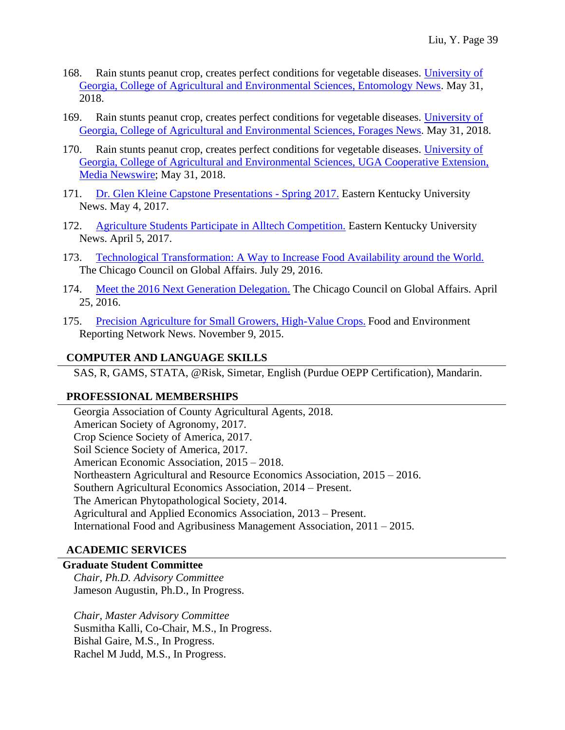- 168. Rain stunts peanut crop, creates perfect conditions for vegetable diseases. [University of](http://ent.uga.edu/news/story.html?storyid=7596&story=Rainy%20Impact)  [Georgia, College of Agricultural and Environmental Sciences, Entomology News.](http://ent.uga.edu/news/story.html?storyid=7596&story=Rainy%20Impact) May 31, 2018.
- 169. Rain stunts peanut crop, creates perfect conditions for vegetable diseases. [University](http://georgiaforages.caes.uga.edu/news/story.html?storyid=7596&story=Rainy%20Impact) of [Georgia, College of Agricultural and Environmental Sciences, Forages News.](http://georgiaforages.caes.uga.edu/news/story.html?storyid=7596&story=Rainy%20Impact) May 31, 2018.
- 170. Rain stunts peanut crop, creates perfect conditions for vegetable diseases. [University](http://newswire.caes.uga.edu/story.html?storyid=7596&story=Rainy-Impact) of [Georgia, College of Agricultural and Environmental Sciences, UGA Cooperative Extension,](http://newswire.caes.uga.edu/story.html?storyid=7596&story=Rainy-Impact)  [Media Newswire;](http://newswire.caes.uga.edu/story.html?storyid=7596&story=Rainy-Impact) May 31, 2018.
- 171. [Dr. Glen Kleine Capstone Presentations -](https://cbt.eku.edu/news/dr-glen-kleine-capstone-presentations-spring-2017) Spring 2017. Eastern Kentucky University News. May 4, 2017.
- 172. [Agriculture Students Participate in Alltech Competition.](https://agriculture.eku.edu/insidelook/agriculture-students-participate-alltech-competition#_ga=2.124085770.1684722552.1550779260-603743201.1550779260) Eastern Kentucky University News. April 5, 2017.
- 173. [Technological Transformation: A Way to Increase Food Availability around the World.](https://www.thechicagocouncil.org/blog/global-food-thought/technological-transformation-way-increase-food-availability-around-world) The Chicago Council on Global Affairs. July 29, 2016.
- 174. [Meet the 2016 Next Generation Delegation.](https://www.thechicagocouncil.org/blog/global-food-thought/meet-2016-next-generation-delegation) The Chicago Council on Global Affairs. April 25, 2016.
- 175. [Precision Agriculture for Small Growers, High-Value Crops.](https://thefern.org/ag_insider/precision-agriculture-for-small-growers-high-value-crops/) Food and Environment Reporting Network News. November 9, 2015.

## **COMPUTER AND LANGUAGE SKILLS**

SAS, R, GAMS, STATA, @Risk, Simetar, English (Purdue OEPP Certification), Mandarin.

## **PROFESSIONAL MEMBERSHIPS**

Georgia Association of County Agricultural Agents, 2018. American Society of Agronomy, 2017. Crop Science Society of America, 2017. Soil Science Society of America, 2017. American Economic Association, 2015 – 2018. Northeastern Agricultural and Resource Economics Association, 2015 – 2016. Southern Agricultural Economics Association, 2014 – Present. The American Phytopathological Society, 2014. Agricultural and Applied Economics Association, 2013 – Present. International Food and Agribusiness Management Association, 2011 – 2015.

#### **ACADEMIC SERVICES**

#### **Graduate Student Committee**

*Chair, Ph.D. Advisory Committee*  Jameson Augustin, Ph.D., In Progress.

*Chair, Master Advisory Committee*  Susmitha Kalli, Co-Chair, M.S., In Progress. Bishal Gaire, M.S., In Progress. Rachel M Judd, M.S., In Progress.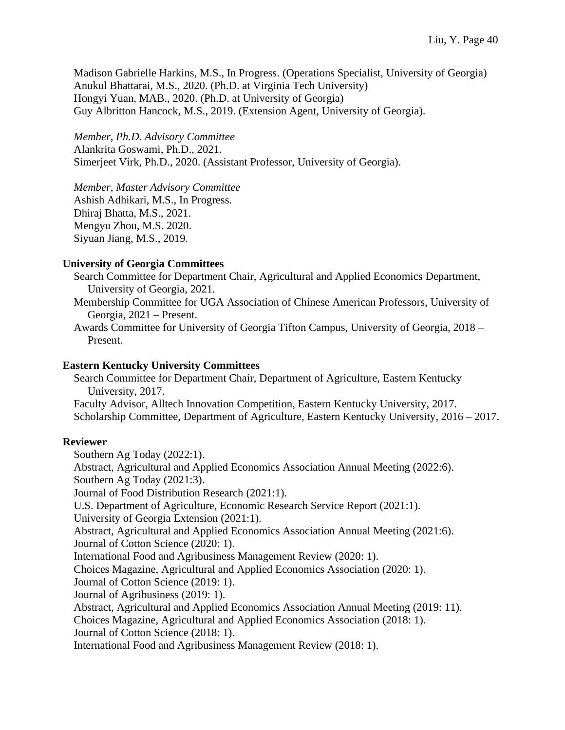Madison Gabrielle Harkins, M.S., In Progress. (Operations Specialist, University of Georgia) Anukul Bhattarai, M.S., 2020. (Ph.D. at Virginia Tech University) Hongyi Yuan, MAB., 2020. (Ph.D. at University of Georgia) Guy Albritton Hancock, M.S., 2019. (Extension Agent, University of Georgia).

*Member, Ph.D. Advisory Committee*  Alankrita Goswami, Ph.D., 2021. Simerjeet Virk, Ph.D., 2020. (Assistant Professor, University of Georgia).

*Member, Master Advisory Committee*  Ashish Adhikari, M.S., In Progress. Dhiraj Bhatta, M.S., 2021. Mengyu Zhou, M.S. 2020. Siyuan Jiang, M.S., 2019.

#### **University of Georgia Committees**

- Search Committee for Department Chair, Agricultural and Applied Economics Department, University of Georgia, 2021.
- Membership Committee for UGA Association of Chinese American Professors, University of Georgia, 2021 – Present.
- Awards Committee for University of Georgia Tifton Campus, University of Georgia, 2018 Present.

#### **Eastern Kentucky University Committees**

Search Committee for Department Chair, Department of Agriculture, Eastern Kentucky University, 2017. Faculty Advisor, Alltech Innovation Competition, Eastern Kentucky University, 2017. Scholarship Committee, Department of Agriculture, Eastern Kentucky University, 2016 – 2017.

#### **Reviewer**

Southern Ag Today (2022:1). Abstract, Agricultural and Applied Economics Association Annual Meeting (2022:6). Southern Ag Today (2021:3). Journal of Food Distribution Research (2021:1). U.S. Department of Agriculture, Economic Research Service Report (2021:1). University of Georgia Extension (2021:1). Abstract, Agricultural and Applied Economics Association Annual Meeting (2021:6). Journal of Cotton Science (2020: 1). International Food and Agribusiness Management Review (2020: 1). Choices Magazine, Agricultural and Applied Economics Association (2020: 1). Journal of Cotton Science (2019: 1). Journal of Agribusiness (2019: 1). Abstract, Agricultural and Applied Economics Association Annual Meeting (2019: 11). Choices Magazine, Agricultural and Applied Economics Association (2018: 1). Journal of Cotton Science (2018: 1). International Food and Agribusiness Management Review (2018: 1).